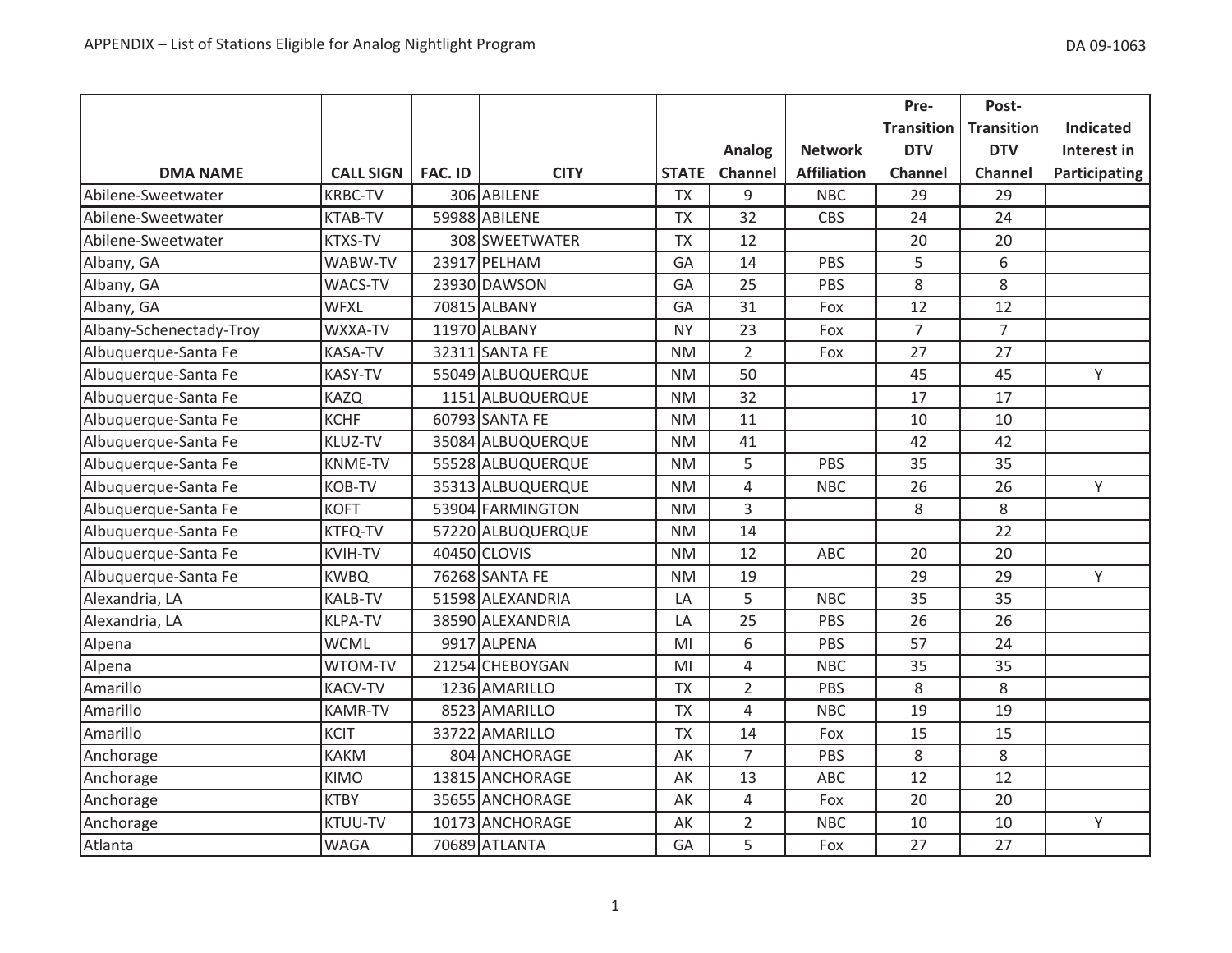|                         |                  |                |                   |              |                |                    | Pre-              | Post-             |                  |
|-------------------------|------------------|----------------|-------------------|--------------|----------------|--------------------|-------------------|-------------------|------------------|
|                         |                  |                |                   |              |                |                    | <b>Transition</b> | <b>Transition</b> | <b>Indicated</b> |
|                         |                  |                |                   |              | Analog         | <b>Network</b>     | <b>DTV</b>        | <b>DTV</b>        | Interest in      |
| <b>DMA NAME</b>         | <b>CALL SIGN</b> | <b>FAC. ID</b> | <b>CITY</b>       | <b>STATE</b> | Channel        | <b>Affiliation</b> | <b>Channel</b>    | Channel           | Participating    |
| Abilene-Sweetwater      | <b>KRBC-TV</b>   |                | 306 ABILENE       | <b>TX</b>    | 9              | <b>NBC</b>         | 29                | 29                |                  |
| Abilene-Sweetwater      | <b>KTAB-TV</b>   |                | 59988 ABILENE     | <b>TX</b>    | 32             | <b>CBS</b>         | 24                | 24                |                  |
| Abilene-Sweetwater      | <b>KTXS-TV</b>   |                | 308 SWEETWATER    | <b>TX</b>    | 12             |                    | 20                | 20                |                  |
| Albany, GA              | WABW-TV          |                | 23917 PELHAM      | GA           | 14             | PBS                | 5                 | 6                 |                  |
| Albany, GA              | WACS-TV          |                | 23930 DAWSON      | GA           | 25             | PBS                | 8                 | 8                 |                  |
| Albany, GA              | <b>WFXL</b>      |                | 70815 ALBANY      | GA           | 31             | Fox                | 12                | 12                |                  |
| Albany-Schenectady-Troy | WXXA-TV          |                | 11970 ALBANY      | <b>NY</b>    | 23             | Fox                | $\overline{7}$    | $\overline{7}$    |                  |
| Albuquerque-Santa Fe    | <b>KASA-TV</b>   |                | 32311 SANTA FE    | <b>NM</b>    | $\overline{2}$ | Fox                | 27                | 27                |                  |
| Albuquerque-Santa Fe    | <b>KASY-TV</b>   |                | 55049 ALBUQUERQUE | <b>NM</b>    | 50             |                    | 45                | 45                | Y                |
| Albuquerque-Santa Fe    | <b>KAZQ</b>      |                | 1151 ALBUQUERQUE  | <b>NM</b>    | 32             |                    | 17                | 17                |                  |
| Albuquerque-Santa Fe    | <b>KCHF</b>      |                | 60793 SANTA FE    | <b>NM</b>    | 11             |                    | 10                | 10                |                  |
| Albuquerque-Santa Fe    | KLUZ-TV          |                | 35084 ALBUQUERQUE | <b>NM</b>    | 41             |                    | 42                | 42                |                  |
| Albuquerque-Santa Fe    | <b>KNME-TV</b>   |                | 55528 ALBUQUERQUE | <b>NM</b>    | 5              | PBS                | 35                | 35                |                  |
| Albuquerque-Santa Fe    | <b>KOB-TV</b>    |                | 35313 ALBUQUERQUE | <b>NM</b>    | 4              | <b>NBC</b>         | 26                | 26                | Y                |
| Albuquerque-Santa Fe    | <b>KOFT</b>      |                | 53904 FARMINGTON  | <b>NM</b>    | 3              |                    | 8                 | 8                 |                  |
| Albuquerque-Santa Fe    | <b>KTFQ-TV</b>   |                | 57220 ALBUQUERQUE | <b>NM</b>    | 14             |                    |                   | 22                |                  |
| Albuquerque-Santa Fe    | <b>KVIH-TV</b>   |                | 40450 CLOVIS      | <b>NM</b>    | 12             | ABC                | 20                | 20                |                  |
| Albuquerque-Santa Fe    | <b>KWBQ</b>      |                | 76268 SANTA FE    | <b>NM</b>    | 19             |                    | 29                | 29                | Y                |
| Alexandria, LA          | <b>KALB-TV</b>   |                | 51598 ALEXANDRIA  | LA           | 5              | <b>NBC</b>         | 35                | 35                |                  |
| Alexandria, LA          | <b>KLPA-TV</b>   |                | 38590 ALEXANDRIA  | LA           | 25             | PBS                | 26                | 26                |                  |
| Alpena                  | <b>WCML</b>      |                | 9917 ALPENA       | MI           | 6              | PBS                | 57                | 24                |                  |
| Alpena                  | WTOM-TV          |                | 21254 CHEBOYGAN   | MI           | 4              | <b>NBC</b>         | 35                | 35                |                  |
| Amarillo                | <b>KACV-TV</b>   |                | 1236 AMARILLO     | <b>TX</b>    | $\overline{2}$ | PBS                | 8                 | 8                 |                  |
| Amarillo                | <b>KAMR-TV</b>   |                | 8523 AMARILLO     | <b>TX</b>    | $\overline{4}$ | <b>NBC</b>         | 19                | 19                |                  |
| Amarillo                | <b>KCIT</b>      |                | 33722 AMARILLO    | <b>TX</b>    | 14             | Fox                | 15                | 15                |                  |
| Anchorage               | <b>KAKM</b>      |                | 804 ANCHORAGE     | AK           | $\overline{7}$ | PBS                | 8                 | 8                 |                  |
| Anchorage               | <b>KIMO</b>      |                | 13815 ANCHORAGE   | AK           | 13             | <b>ABC</b>         | 12                | 12                |                  |
| Anchorage               | <b>KTBY</b>      |                | 35655 ANCHORAGE   | AK           | $\overline{4}$ | Fox                | 20                | 20                |                  |
| Anchorage               | <b>KTUU-TV</b>   |                | 10173 ANCHORAGE   | AK           | $\overline{2}$ | <b>NBC</b>         | 10                | 10                | Υ                |
| Atlanta                 | <b>WAGA</b>      |                | 70689 ATLANTA     | GA           | 5              | Fox                | 27                | 27                |                  |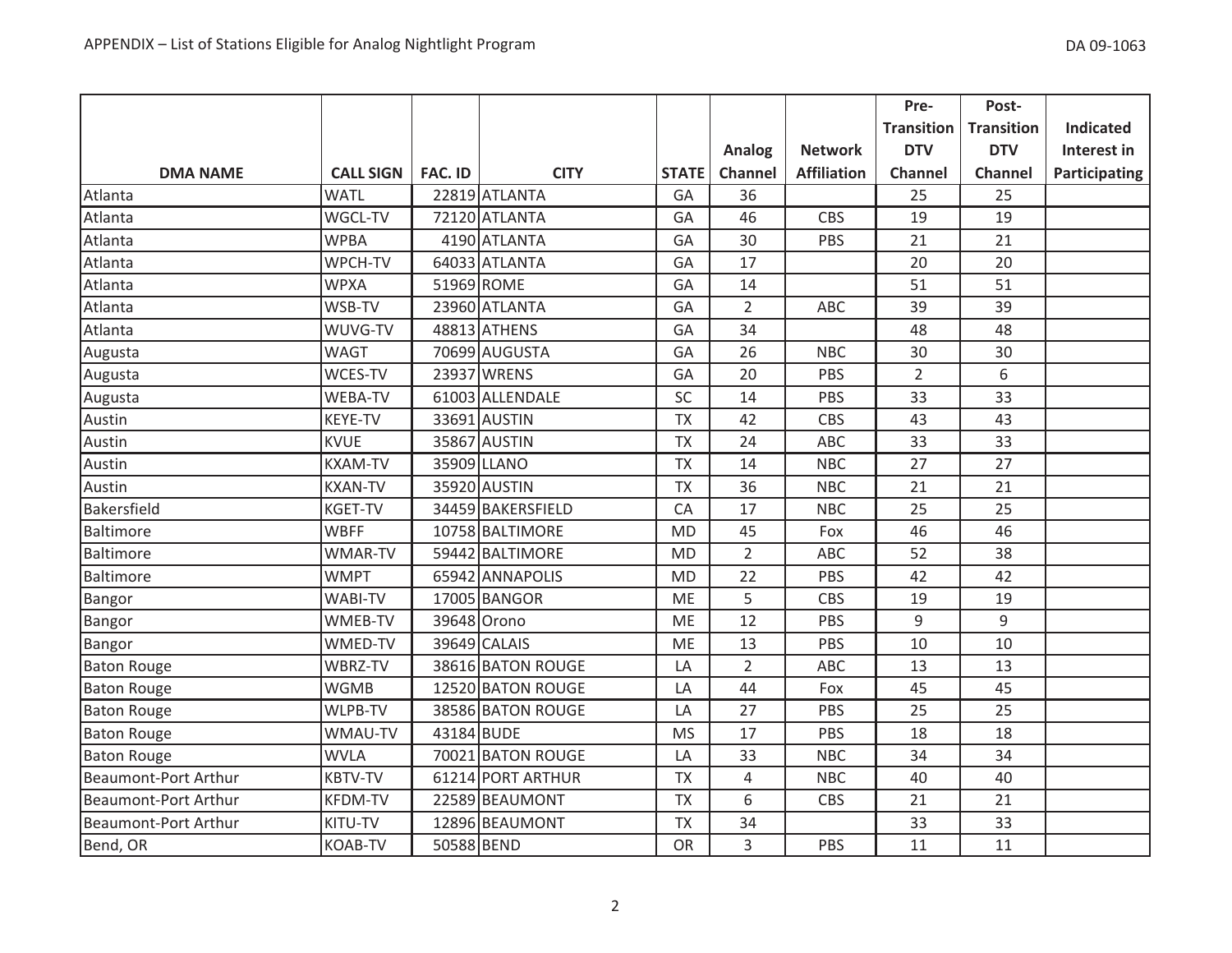|                             |                  |                |                   |              |                |                    | Pre-              | Post-             |                      |
|-----------------------------|------------------|----------------|-------------------|--------------|----------------|--------------------|-------------------|-------------------|----------------------|
|                             |                  |                |                   |              |                |                    | <b>Transition</b> | <b>Transition</b> | <b>Indicated</b>     |
|                             |                  |                |                   |              | Analog         | <b>Network</b>     | <b>DTV</b>        | <b>DTV</b>        | Interest in          |
| <b>DMA NAME</b>             | <b>CALL SIGN</b> | <b>FAC. ID</b> | <b>CITY</b>       | <b>STATE</b> | Channel        | <b>Affiliation</b> | Channel           | Channel           | <b>Participating</b> |
| Atlanta                     | <b>WATL</b>      |                | 22819 ATLANTA     | GA           | 36             |                    | 25                | 25                |                      |
| Atlanta                     | WGCL-TV          |                | 72120 ATLANTA     | GA           | 46             | <b>CBS</b>         | 19                | 19                |                      |
| Atlanta                     | <b>WPBA</b>      |                | 4190 ATLANTA      | GA           | 30             | PBS                | 21                | 21                |                      |
| Atlanta                     | WPCH-TV          |                | 64033 ATLANTA     | GA           | 17             |                    | 20                | 20                |                      |
| Atlanta                     | <b>WPXA</b>      |                | 51969 ROME        | GA           | 14             |                    | 51                | 51                |                      |
| Atlanta                     | WSB-TV           |                | 23960 ATLANTA     | GA           | $\overline{2}$ | ABC                | 39                | 39                |                      |
| Atlanta                     | WUVG-TV          |                | 48813 ATHENS      | GA           | 34             |                    | 48                | 48                |                      |
| Augusta                     | <b>WAGT</b>      |                | 70699 AUGUSTA     | GA           | 26             | <b>NBC</b>         | 30                | 30                |                      |
| Augusta                     | WCES-TV          |                | 23937 WRENS       | GA           | 20             | PBS                | $\overline{2}$    | 6                 |                      |
| Augusta                     | <b>WEBA-TV</b>   |                | 61003 ALLENDALE   | SC           | 14             | PBS                | 33                | 33                |                      |
| Austin                      | <b>KEYE-TV</b>   |                | 33691 AUSTIN      | <b>TX</b>    | 42             | <b>CBS</b>         | 43                | 43                |                      |
| Austin                      | <b>KVUE</b>      |                | 35867 AUSTIN      | <b>TX</b>    | 24             | ABC                | 33                | 33                |                      |
| Austin                      | <b>KXAM-TV</b>   |                | 35909 LLANO       | <b>TX</b>    | 14             | <b>NBC</b>         | 27                | 27                |                      |
| Austin                      | <b>KXAN-TV</b>   |                | 35920 AUSTIN      | <b>TX</b>    | 36             | <b>NBC</b>         | 21                | 21                |                      |
| Bakersfield                 | <b>KGET-TV</b>   |                | 34459 BAKERSFIELD | CA           | 17             | <b>NBC</b>         | 25                | 25                |                      |
| Baltimore                   | <b>WBFF</b>      |                | 10758 BALTIMORE   | <b>MD</b>    | 45             | Fox                | 46                | 46                |                      |
| Baltimore                   | <b>WMAR-TV</b>   |                | 59442 BALTIMORE   | <b>MD</b>    | $\overline{2}$ | ABC                | 52                | 38                |                      |
| Baltimore                   | <b>WMPT</b>      |                | 65942 ANNAPOLIS   | <b>MD</b>    | 22             | PBS                | 42                | 42                |                      |
| Bangor                      | <b>WABI-TV</b>   |                | 17005 BANGOR      | <b>ME</b>    | 5              | CBS                | 19                | 19                |                      |
| Bangor                      | WMEB-TV          |                | 39648 Orono       | <b>ME</b>    | 12             | PBS                | $\mathsf 9$       | 9                 |                      |
| Bangor                      | WMED-TV          |                | 39649 CALAIS      | <b>ME</b>    | 13             | PBS                | 10                | 10                |                      |
| <b>Baton Rouge</b>          | WBRZ-TV          |                | 38616 BATON ROUGE | LA           | $\overline{2}$ | ABC                | 13                | 13                |                      |
| <b>Baton Rouge</b>          | <b>WGMB</b>      |                | 12520 BATON ROUGE | LA           | 44             | Fox                | 45                | 45                |                      |
| <b>Baton Rouge</b>          | WLPB-TV          |                | 38586 BATON ROUGE | LA           | 27             | PBS                | 25                | 25                |                      |
| <b>Baton Rouge</b>          | WMAU-TV          | 43184 BUDE     |                   | <b>MS</b>    | 17             | PBS                | 18                | 18                |                      |
| <b>Baton Rouge</b>          | <b>WVLA</b>      |                | 70021 BATON ROUGE | LA           | 33             | <b>NBC</b>         | 34                | 34                |                      |
| Beaumont-Port Arthur        | <b>KBTV-TV</b>   |                | 61214 PORT ARTHUR | <b>TX</b>    | $\overline{4}$ | <b>NBC</b>         | 40                | 40                |                      |
| <b>Beaumont-Port Arthur</b> | <b>KFDM-TV</b>   |                | 22589 BEAUMONT    | <b>TX</b>    | 6              | <b>CBS</b>         | 21                | 21                |                      |
| Beaumont-Port Arthur        | KITU-TV          |                | 12896 BEAUMONT    | <b>TX</b>    | 34             |                    | 33                | 33                |                      |
| Bend, OR                    | <b>KOAB-TV</b>   | 50588 BEND     |                   | <b>OR</b>    | 3              | PBS                | 11                | 11                |                      |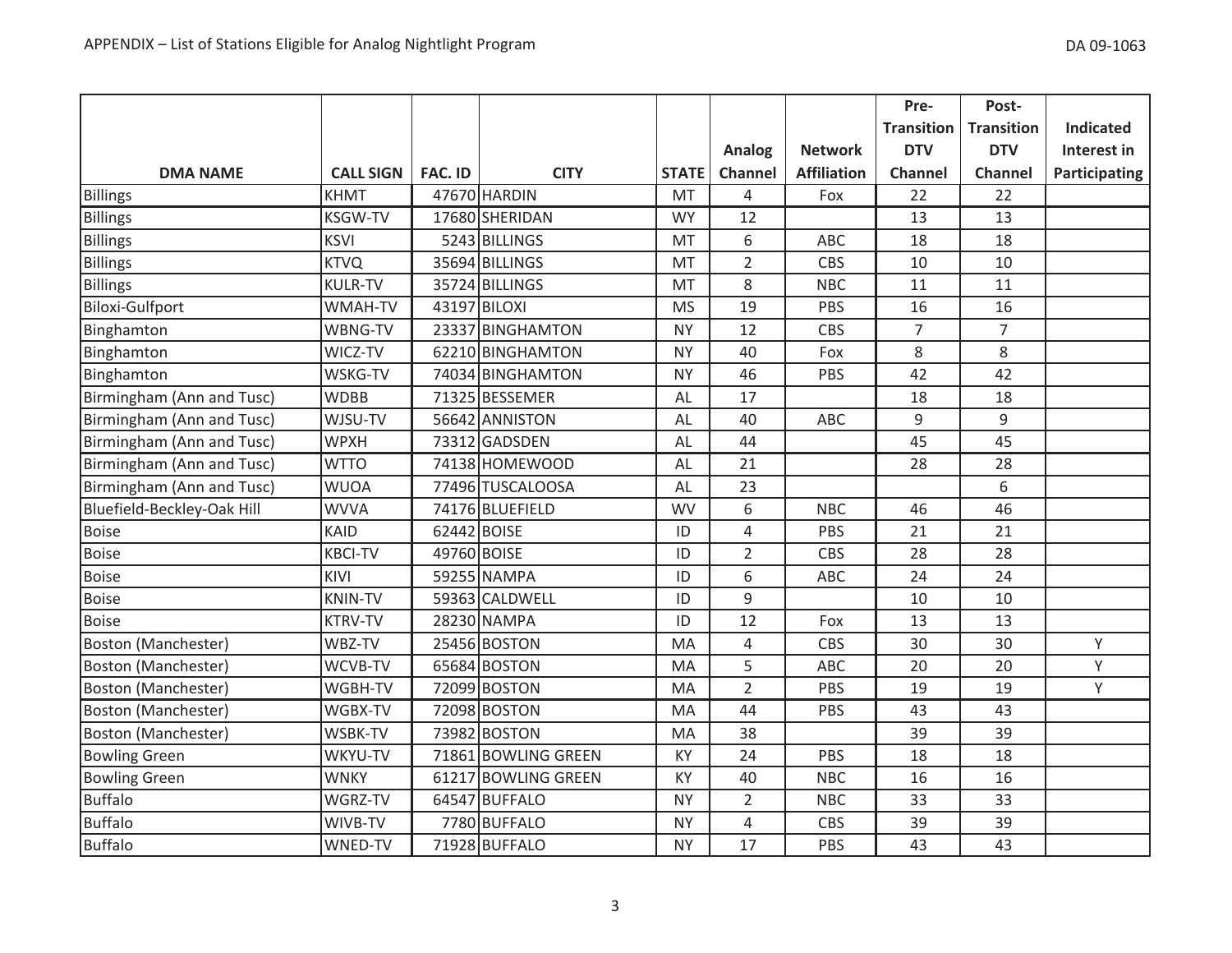|                            |                  |                |                     |              |                |                    | Pre-              | Post-             |                  |
|----------------------------|------------------|----------------|---------------------|--------------|----------------|--------------------|-------------------|-------------------|------------------|
|                            |                  |                |                     |              |                |                    | <b>Transition</b> | <b>Transition</b> | <b>Indicated</b> |
|                            |                  |                |                     |              | Analog         | <b>Network</b>     | <b>DTV</b>        | <b>DTV</b>        | Interest in      |
| <b>DMA NAME</b>            | <b>CALL SIGN</b> | <b>FAC. ID</b> | <b>CITY</b>         | <b>STATE</b> | Channel        | <b>Affiliation</b> | <b>Channel</b>    | Channel           | Participating    |
| <b>Billings</b>            | <b>KHMT</b>      |                | 47670 HARDIN        | MT           | 4              | Fox                | 22                | 22                |                  |
| <b>Billings</b>            | <b>KSGW-TV</b>   |                | 17680 SHERIDAN      | <b>WY</b>    | 12             |                    | 13                | 13                |                  |
| <b>Billings</b>            | <b>KSVI</b>      |                | 5243 BILLINGS       | <b>MT</b>    | 6              | ABC                | 18                | 18                |                  |
| <b>Billings</b>            | <b>KTVQ</b>      |                | 35694 BILLINGS      | MT           | $\overline{2}$ | CBS                | 10                | 10                |                  |
| <b>Billings</b>            | <b>KULR-TV</b>   |                | 35724 BILLINGS      | MT           | 8              | <b>NBC</b>         | 11                | 11                |                  |
| Biloxi-Gulfport            | WMAH-TV          |                | 43197 BILOXI        | <b>MS</b>    | 19             | PBS                | 16                | 16                |                  |
| Binghamton                 | WBNG-TV          |                | 23337 BINGHAMTON    | <b>NY</b>    | 12             | CBS                | $\overline{7}$    | 7                 |                  |
| Binghamton                 | WICZ-TV          |                | 62210 BINGHAMTON    | <b>NY</b>    | 40             | Fox                | 8                 | 8                 |                  |
| Binghamton                 | WSKG-TV          |                | 74034 BINGHAMTON    | <b>NY</b>    | 46             | PBS                | 42                | 42                |                  |
| Birmingham (Ann and Tusc)  | <b>WDBB</b>      |                | 71325 BESSEMER      | AL           | 17             |                    | 18                | 18                |                  |
| Birmingham (Ann and Tusc)  | WJSU-TV          |                | 56642 ANNISTON      | AL           | 40             | ABC                | $\mathsf g$       | 9                 |                  |
| Birmingham (Ann and Tusc)  | <b>WPXH</b>      |                | 73312 GADSDEN       | AL           | 44             |                    | 45                | 45                |                  |
| Birmingham (Ann and Tusc)  | <b>WTTO</b>      |                | 74138 HOMEWOOD      | AL           | 21             |                    | 28                | 28                |                  |
| Birmingham (Ann and Tusc)  | <b>WUOA</b>      |                | 77496 TUSCALOOSA    | AL           | 23             |                    |                   | 6                 |                  |
| Bluefield-Beckley-Oak Hill | <b>WVVA</b>      |                | 74176 BLUEFIELD     | <b>WV</b>    | 6              | <b>NBC</b>         | 46                | 46                |                  |
| <b>Boise</b>               | <b>KAID</b>      |                | 62442 BOISE         | ID           | 4              | PBS                | 21                | 21                |                  |
| <b>Boise</b>               | <b>KBCI-TV</b>   |                | 49760 BOISE         | ID           | $\overline{2}$ | CBS                | 28                | 28                |                  |
| <b>Boise</b>               | KIVI             |                | 59255 NAMPA         | ID           | 6              | ABC                | 24                | 24                |                  |
| <b>Boise</b>               | <b>KNIN-TV</b>   |                | 59363 CALDWELL      | ID           | 9              |                    | 10                | 10                |                  |
| <b>Boise</b>               | <b>KTRV-TV</b>   |                | 28230 NAMPA         | ID           | 12             | Fox                | 13                | 13                |                  |
| <b>Boston (Manchester)</b> | WBZ-TV           |                | 25456 BOSTON        | MA           | 4              | CBS                | 30                | 30                | Y                |
| Boston (Manchester)        | WCVB-TV          |                | 65684 BOSTON        | MA           | 5              | ABC                | 20                | 20                | Υ                |
| Boston (Manchester)        | WGBH-TV          |                | 72099 BOSTON        | MA           | $\overline{2}$ | PBS                | 19                | 19                | Υ                |
| Boston (Manchester)        | WGBX-TV          |                | 72098 BOSTON        | MA           | 44             | PBS                | 43                | 43                |                  |
| Boston (Manchester)        | WSBK-TV          |                | 73982 BOSTON        | MA           | 38             |                    | 39                | 39                |                  |
| <b>Bowling Green</b>       | WKYU-TV          |                | 71861 BOWLING GREEN | KY           | 24             | PBS                | 18                | 18                |                  |
| <b>Bowling Green</b>       | <b>WNKY</b>      |                | 61217 BOWLING GREEN | KY           | 40             | <b>NBC</b>         | 16                | 16                |                  |
| <b>Buffalo</b>             | WGRZ-TV          |                | 64547 BUFFALO       | <b>NY</b>    | $\overline{2}$ | <b>NBC</b>         | 33                | 33                |                  |
| <b>Buffalo</b>             | WIVB-TV          |                | 7780 BUFFALO        | <b>NY</b>    | 4              | <b>CBS</b>         | 39                | 39                |                  |
| <b>Buffalo</b>             | WNED-TV          |                | 71928 BUFFALO       | <b>NY</b>    | 17             | PBS                | 43                | 43                |                  |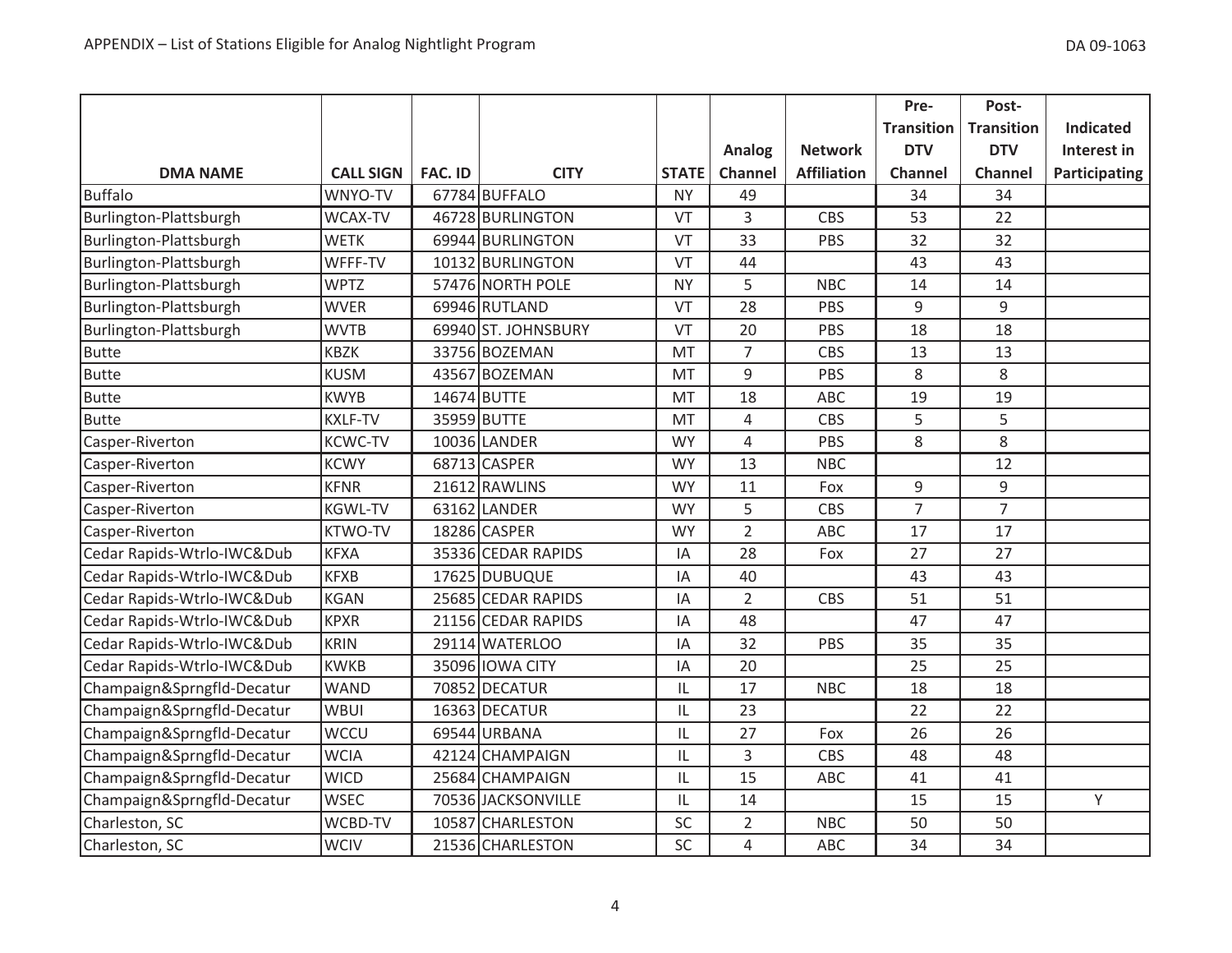|                            |                  |                |                     |              |                |                    | Pre-              | Post-             |                  |
|----------------------------|------------------|----------------|---------------------|--------------|----------------|--------------------|-------------------|-------------------|------------------|
|                            |                  |                |                     |              |                |                    | <b>Transition</b> | <b>Transition</b> | <b>Indicated</b> |
|                            |                  |                |                     |              | <b>Analog</b>  | <b>Network</b>     | <b>DTV</b>        | <b>DTV</b>        | Interest in      |
| <b>DMA NAME</b>            | <b>CALL SIGN</b> | <b>FAC. ID</b> | <b>CITY</b>         | <b>STATE</b> | Channel        | <b>Affiliation</b> | <b>Channel</b>    | <b>Channel</b>    | Participating    |
| <b>Buffalo</b>             | WNYO-TV          |                | 67784 BUFFALO       | <b>NY</b>    | 49             |                    | 34                | 34                |                  |
| Burlington-Plattsburgh     | <b>WCAX-TV</b>   |                | 46728 BURLINGTON    | VT           | 3              | <b>CBS</b>         | 53                | 22                |                  |
| Burlington-Plattsburgh     | <b>WETK</b>      |                | 69944 BURLINGTON    | VT           | 33             | PBS                | 32                | 32                |                  |
| Burlington-Plattsburgh     | WFFF-TV          |                | 10132 BURLINGTON    | VT           | 44             |                    | 43                | 43                |                  |
| Burlington-Plattsburgh     | <b>WPTZ</b>      |                | 57476 NORTH POLE    | <b>NY</b>    | 5              | <b>NBC</b>         | 14                | 14                |                  |
| Burlington-Plattsburgh     | <b>WVER</b>      |                | 69946 RUTLAND       | VT           | 28             | PBS                | 9                 | 9                 |                  |
| Burlington-Plattsburgh     | <b>WVTB</b>      |                | 69940 ST. JOHNSBURY | VT           | 20             | PBS                | 18                | 18                |                  |
| <b>Butte</b>               | <b>KBZK</b>      |                | 33756 BOZEMAN       | MT           | $\overline{7}$ | CBS                | 13                | 13                |                  |
| <b>Butte</b>               | <b>KUSM</b>      |                | 43567 BOZEMAN       | <b>MT</b>    | 9              | PBS                | 8                 | 8                 |                  |
| <b>Butte</b>               | <b>KWYB</b>      |                | 14674 BUTTE         | MT           | 18             | <b>ABC</b>         | 19                | 19                |                  |
| <b>Butte</b>               | <b>KXLF-TV</b>   |                | 35959 BUTTE         | MT           | $\overline{4}$ | <b>CBS</b>         | 5                 | 5                 |                  |
| Casper-Riverton            | <b>KCWC-TV</b>   |                | 10036 LANDER        | <b>WY</b>    | $\overline{4}$ | PBS                | 8                 | 8                 |                  |
| Casper-Riverton            | <b>KCWY</b>      |                | 68713 CASPER        | <b>WY</b>    | 13             | <b>NBC</b>         |                   | 12                |                  |
| Casper-Riverton            | <b>KFNR</b>      |                | 21612 RAWLINS       | <b>WY</b>    | 11             | Fox                | $\mathsf g$       | 9                 |                  |
| Casper-Riverton            | <b>KGWL-TV</b>   |                | 63162 LANDER        | <b>WY</b>    | 5              | <b>CBS</b>         | $\overline{7}$    | $\overline{7}$    |                  |
| Casper-Riverton            | <b>KTWO-TV</b>   |                | 18286 CASPER        | <b>WY</b>    | $\overline{2}$ | ABC                | 17                | 17                |                  |
| Cedar Rapids-Wtrlo-IWC&Dub | <b>KFXA</b>      |                | 35336 CEDAR RAPIDS  | ΙA           | 28             | Fox                | 27                | 27                |                  |
| Cedar Rapids-Wtrlo-IWC&Dub | <b>KFXB</b>      |                | 17625 DUBUQUE       | IA           | 40             |                    | 43                | 43                |                  |
| Cedar Rapids-Wtrlo-IWC&Dub | <b>KGAN</b>      |                | 25685 CEDAR RAPIDS  | IA           | $\overline{2}$ | <b>CBS</b>         | 51                | 51                |                  |
| Cedar Rapids-Wtrlo-IWC&Dub | <b>KPXR</b>      |                | 21156 CEDAR RAPIDS  | IA           | 48             |                    | 47                | 47                |                  |
| Cedar Rapids-Wtrlo-IWC&Dub | <b>KRIN</b>      |                | 29114 WATERLOO      | IA           | 32             | PBS                | 35                | 35                |                  |
| Cedar Rapids-Wtrlo-IWC&Dub | <b>KWKB</b>      |                | 35096 IOWA CITY     | IA           | 20             |                    | 25                | 25                |                  |
| Champaign&Sprngfld-Decatur | <b>WAND</b>      |                | 70852 DECATUR       | IL           | 17             | <b>NBC</b>         | 18                | 18                |                  |
| Champaign&Sprngfld-Decatur | <b>WBUI</b>      |                | 16363 DECATUR       | IL           | 23             |                    | 22                | 22                |                  |
| Champaign&Sprngfld-Decatur | <b>WCCU</b>      |                | 69544 URBANA        | IL           | 27             | Fox                | 26                | 26                |                  |
| Champaign&Sprngfld-Decatur | <b>WCIA</b>      |                | 42124 CHAMPAIGN     | IL           | $\overline{3}$ | <b>CBS</b>         | 48                | 48                |                  |
| Champaign&Sprngfld-Decatur | <b>WICD</b>      |                | 25684 CHAMPAIGN     | IL           | 15             | ABC                | 41                | 41                |                  |
| Champaign&Sprngfld-Decatur | <b>WSEC</b>      |                | 70536 JACKSONVILLE  | IL           | 14             |                    | 15                | 15                | Υ                |
| Charleston, SC             | WCBD-TV          |                | 10587 CHARLESTON    | SC           | $\overline{2}$ | <b>NBC</b>         | 50                | 50                |                  |
| Charleston, SC             | <b>WCIV</b>      |                | 21536 CHARLESTON    | SC           | $\overline{4}$ | ABC                | 34                | 34                |                  |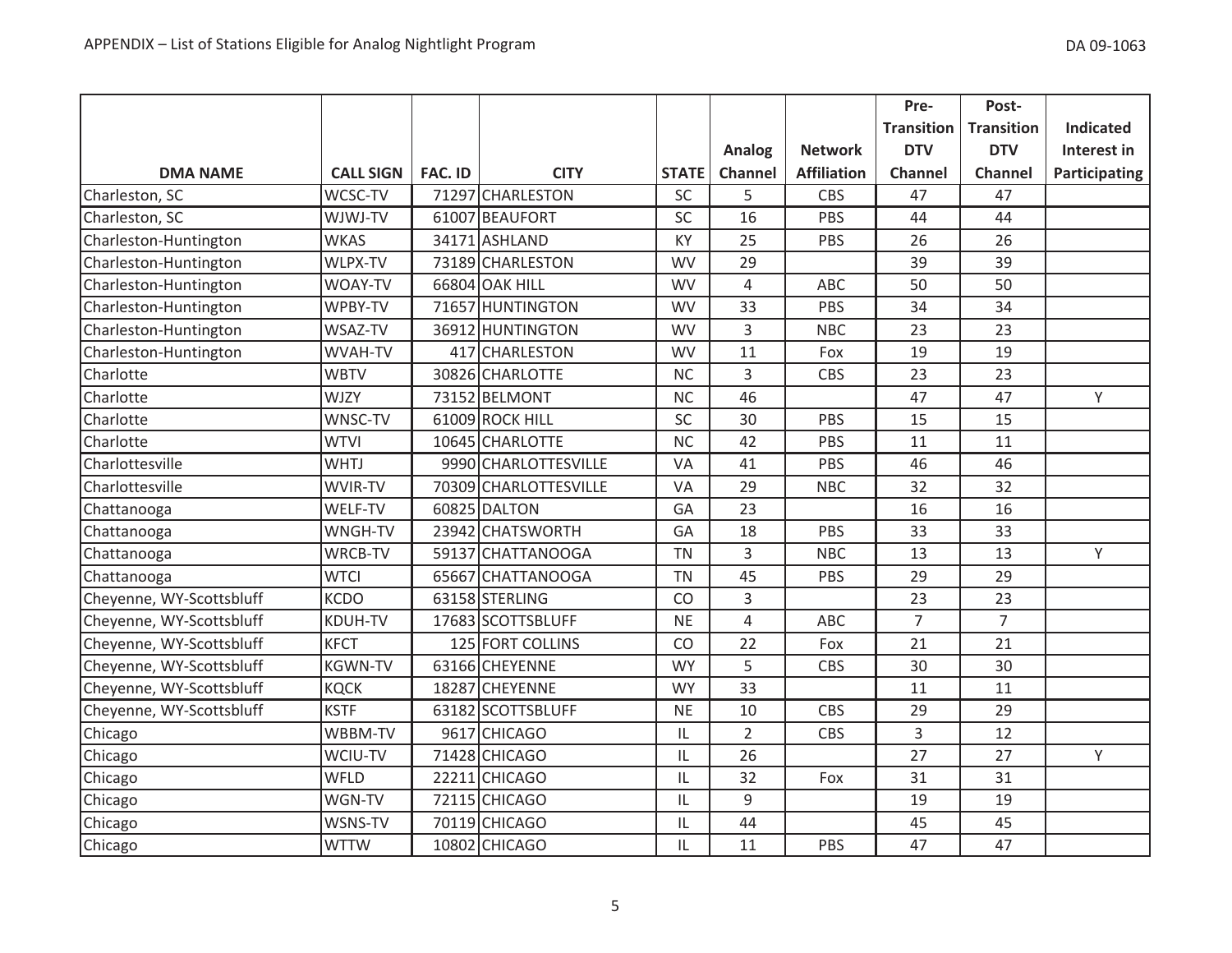|                          |                  |                |                       |              |                |                    | Pre-              | Post-             |                  |
|--------------------------|------------------|----------------|-----------------------|--------------|----------------|--------------------|-------------------|-------------------|------------------|
|                          |                  |                |                       |              |                |                    | <b>Transition</b> | <b>Transition</b> | <b>Indicated</b> |
|                          |                  |                |                       |              | Analog         | <b>Network</b>     | <b>DTV</b>        | <b>DTV</b>        | Interest in      |
| <b>DMA NAME</b>          | <b>CALL SIGN</b> | <b>FAC. ID</b> | <b>CITY</b>           | <b>STATE</b> | Channel        | <b>Affiliation</b> | <b>Channel</b>    | <b>Channel</b>    | Participating    |
| Charleston, SC           | WCSC-TV          |                | 71297 CHARLESTON      | SC           | 5              | CBS                | 47                | 47                |                  |
| Charleston, SC           | WJWJ-TV          |                | 61007 BEAUFORT        | SC           | 16             | PBS                | 44                | 44                |                  |
| Charleston-Huntington    | <b>WKAS</b>      |                | 34171 ASHLAND         | KY           | 25             | PBS                | 26                | 26                |                  |
| Charleston-Huntington    | WLPX-TV          |                | 73189 CHARLESTON      | <b>WV</b>    | 29             |                    | 39                | 39                |                  |
| Charleston-Huntington    | WOAY-TV          |                | 66804 OAK HILL        | <b>WV</b>    | $\overline{4}$ | ABC                | 50                | 50                |                  |
| Charleston-Huntington    | WPBY-TV          |                | 71657 HUNTINGTON      | <b>WV</b>    | 33             | PBS                | 34                | 34                |                  |
| Charleston-Huntington    | WSAZ-TV          |                | 36912 HUNTINGTON      | <b>WV</b>    | 3              | <b>NBC</b>         | 23                | 23                |                  |
| Charleston-Huntington    | WVAH-TV          |                | 417 CHARLESTON        | <b>WV</b>    | 11             | Fox                | 19                | 19                |                  |
| Charlotte                | <b>WBTV</b>      |                | 30826 CHARLOTTE       | <b>NC</b>    | 3              | CBS                | 23                | 23                |                  |
| Charlotte                | <b>WJZY</b>      |                | 73152 BELMONT         | <b>NC</b>    | 46             |                    | 47                | 47                | Y                |
| Charlotte                | WNSC-TV          |                | 61009 ROCK HILL       | SC           | 30             | PBS                | 15                | 15                |                  |
| Charlotte                | <b>WTVI</b>      |                | 10645 CHARLOTTE       | <b>NC</b>    | 42             | PBS                | 11                | 11                |                  |
| Charlottesville          | <b>WHTJ</b>      |                | 9990 CHARLOTTESVILLE  | VA           | 41             | PBS                | 46                | 46                |                  |
| Charlottesville          | WVIR-TV          |                | 70309 CHARLOTTESVILLE | VA           | 29             | <b>NBC</b>         | 32                | 32                |                  |
| Chattanooga              | WELF-TV          |                | 60825 DALTON          | GA           | 23             |                    | 16                | 16                |                  |
| Chattanooga              | WNGH-TV          |                | 23942 CHATSWORTH      | GA           | 18             | PBS                | 33                | 33                |                  |
| Chattanooga              | WRCB-TV          |                | 59137 CHATTANOOGA     | <b>TN</b>    | 3              | <b>NBC</b>         | 13                | 13                | Y                |
| Chattanooga              | <b>WTCI</b>      |                | 65667 CHATTANOOGA     | <b>TN</b>    | 45             | PBS                | 29                | 29                |                  |
| Cheyenne, WY-Scottsbluff | <b>KCDO</b>      |                | 63158 STERLING        | CO           | 3              |                    | 23                | 23                |                  |
| Cheyenne, WY-Scottsbluff | <b>KDUH-TV</b>   |                | 17683 SCOTTSBLUFF     | <b>NE</b>    | 4              | ABC                | $\overline{7}$    | $\overline{7}$    |                  |
| Cheyenne, WY-Scottsbluff | <b>KFCT</b>      |                | 125 FORT COLLINS      | CO           | 22             | Fox                | 21                | 21                |                  |
| Cheyenne, WY-Scottsbluff | <b>KGWN-TV</b>   |                | 63166 CHEYENNE        | <b>WY</b>    | 5              | <b>CBS</b>         | 30                | 30                |                  |
| Cheyenne, WY-Scottsbluff | <b>KQCK</b>      |                | 18287 CHEYENNE        | <b>WY</b>    | 33             |                    | 11                | 11                |                  |
| Cheyenne, WY-Scottsbluff | <b>KSTF</b>      |                | 63182 SCOTTSBLUFF     | <b>NE</b>    | 10             | CBS                | 29                | 29                |                  |
| Chicago                  | WBBM-TV          |                | 9617 CHICAGO          | IL           | $\overline{2}$ | <b>CBS</b>         | 3                 | 12                |                  |
| Chicago                  | WCIU-TV          |                | 71428 CHICAGO         | IL           | 26             |                    | 27                | 27                | Y                |
| Chicago                  | WFLD             |                | 22211 CHICAGO         | IL           | 32             | Fox                | 31                | 31                |                  |
| Chicago                  | WGN-TV           |                | 72115 CHICAGO         | IL           | 9              |                    | 19                | 19                |                  |
| Chicago                  | WSNS-TV          |                | 70119 CHICAGO         | IL           | 44             |                    | 45                | 45                |                  |
| Chicago                  | <b>WTTW</b>      |                | 10802 CHICAGO         | IL           | 11             | PBS                | 47                | 47                |                  |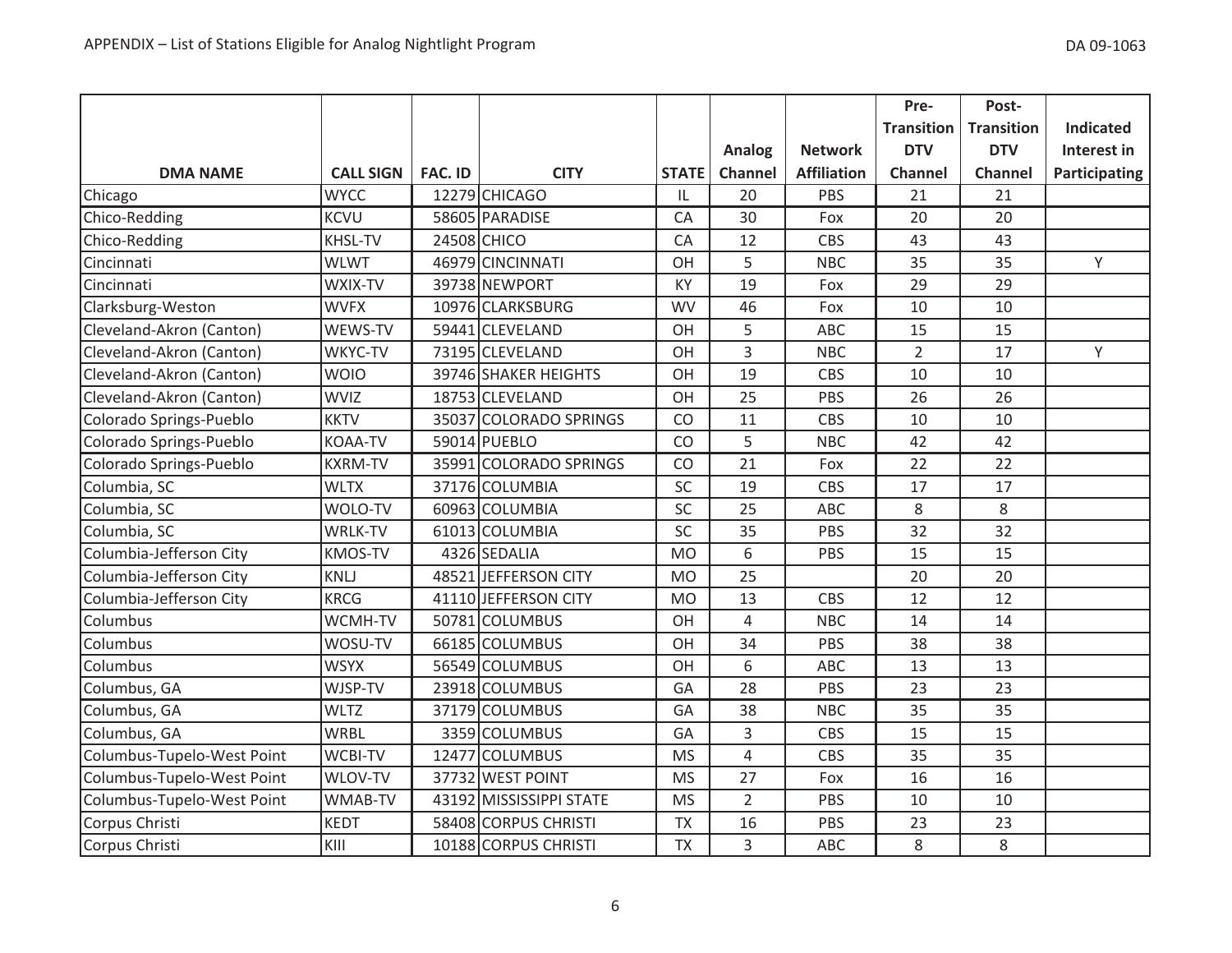|                            |                  |                |                         |              |                |                    | Pre-              | Post-             |                  |
|----------------------------|------------------|----------------|-------------------------|--------------|----------------|--------------------|-------------------|-------------------|------------------|
|                            |                  |                |                         |              |                |                    | <b>Transition</b> | <b>Transition</b> | <b>Indicated</b> |
|                            |                  |                |                         |              | <b>Analog</b>  | <b>Network</b>     | <b>DTV</b>        | <b>DTV</b>        | Interest in      |
| <b>DMA NAME</b>            | <b>CALL SIGN</b> | <b>FAC. ID</b> | <b>CITY</b>             | <b>STATE</b> | Channel        | <b>Affiliation</b> | Channel           | <b>Channel</b>    | Participating    |
| Chicago                    | <b>WYCC</b>      |                | 12279 CHICAGO           | IL           | 20             | PBS                | 21                | 21                |                  |
| Chico-Redding              | <b>KCVU</b>      |                | 58605 PARADISE          | CA           | 30             | Fox                | 20                | 20                |                  |
| Chico-Redding              | <b>KHSL-TV</b>   |                | 24508 CHICO             | CA           | 12             | <b>CBS</b>         | 43                | 43                |                  |
| Cincinnati                 | <b>WLWT</b>      |                | 46979 CINCINNATI        | OH           | 5              | <b>NBC</b>         | 35                | 35                | Y                |
| Cincinnati                 | WXIX-TV          |                | 39738 NEWPORT           | KY           | 19             | Fox                | 29                | 29                |                  |
| Clarksburg-Weston          | <b>WVFX</b>      |                | 10976 CLARKSBURG        | <b>WV</b>    | 46             | Fox                | 10                | 10                |                  |
| Cleveland-Akron (Canton)   | WEWS-TV          |                | 59441 CLEVELAND         | OH           | 5              | ABC                | 15                | 15                |                  |
| Cleveland-Akron (Canton)   | WKYC-TV          |                | 73195 CLEVELAND         | OH           | 3              | <b>NBC</b>         | $\overline{2}$    | 17                | Y                |
| Cleveland-Akron (Canton)   | <b>WOIO</b>      |                | 39746 SHAKER HEIGHTS    | OH           | 19             | CBS                | 10                | 10                |                  |
| Cleveland-Akron (Canton)   | <b>WVIZ</b>      |                | 18753 CLEVELAND         | OH           | 25             | PBS                | 26                | 26                |                  |
| Colorado Springs-Pueblo    | <b>KKTV</b>      |                | 35037 COLORADO SPRINGS  | CO           | 11             | <b>CBS</b>         | 10                | 10                |                  |
| Colorado Springs-Pueblo    | <b>KOAA-TV</b>   |                | 59014 PUEBLO            | CO           | 5              | <b>NBC</b>         | 42                | 42                |                  |
| Colorado Springs-Pueblo    | <b>KXRM-TV</b>   |                | 35991 COLORADO SPRINGS  | CO           | 21             | Fox                | 22                | 22                |                  |
| Columbia, SC               | <b>WLTX</b>      |                | 37176 COLUMBIA          | SC           | 19             | <b>CBS</b>         | 17                | 17                |                  |
| Columbia, SC               | WOLO-TV          |                | 60963 COLUMBIA          | SC           | 25             | ABC                | 8                 | 8                 |                  |
| Columbia, SC               | <b>WRLK-TV</b>   |                | 61013 COLUMBIA          | SC           | 35             | PBS                | 32                | 32                |                  |
| Columbia-Jefferson City    | <b>KMOS-TV</b>   |                | 4326 SEDALIA            | <b>MO</b>    | 6              | PBS                | 15                | 15                |                  |
| Columbia-Jefferson City    | <b>KNLJ</b>      |                | 48521 JEFFERSON CITY    | <b>MO</b>    | 25             |                    | 20                | 20                |                  |
| Columbia-Jefferson City    | <b>KRCG</b>      |                | 41110 JEFFERSON CITY    | <b>MO</b>    | 13             | <b>CBS</b>         | 12                | 12                |                  |
| Columbus                   | WCMH-TV          |                | 50781 COLUMBUS          | OH           | $\overline{4}$ | <b>NBC</b>         | 14                | 14                |                  |
| Columbus                   | WOSU-TV          |                | 66185 COLUMBUS          | OH           | 34             | PBS                | 38                | 38                |                  |
| Columbus                   | <b>WSYX</b>      |                | 56549 COLUMBUS          | OH           | 6              | ABC                | 13                | 13                |                  |
| Columbus, GA               | WJSP-TV          |                | 23918 COLUMBUS          | GA           | 28             | PBS                | 23                | 23                |                  |
| Columbus, GA               | <b>WLTZ</b>      |                | 37179 COLUMBUS          | GA           | 38             | <b>NBC</b>         | 35                | 35                |                  |
| Columbus, GA               | <b>WRBL</b>      |                | 3359 COLUMBUS           | GA           | $\overline{3}$ | <b>CBS</b>         | 15                | 15                |                  |
| Columbus-Tupelo-West Point | <b>WCBI-TV</b>   |                | 12477 COLUMBUS          | <b>MS</b>    | $\overline{4}$ | CBS                | 35                | 35                |                  |
| Columbus-Tupelo-West Point | WLOV-TV          |                | 37732 WEST POINT        | <b>MS</b>    | 27             | Fox                | 16                | 16                |                  |
| Columbus-Tupelo-West Point | WMAB-TV          |                | 43192 MISSISSIPPI STATE | <b>MS</b>    | $\overline{2}$ | PBS                | 10                | 10                |                  |
| Corpus Christi             | <b>KEDT</b>      |                | 58408 CORPUS CHRISTI    | <b>TX</b>    | 16             | PBS                | 23                | 23                |                  |
| Corpus Christi             | KIII             |                | 10188 CORPUS CHRISTI    | <b>TX</b>    | 3              | <b>ABC</b>         | 8                 | 8                 |                  |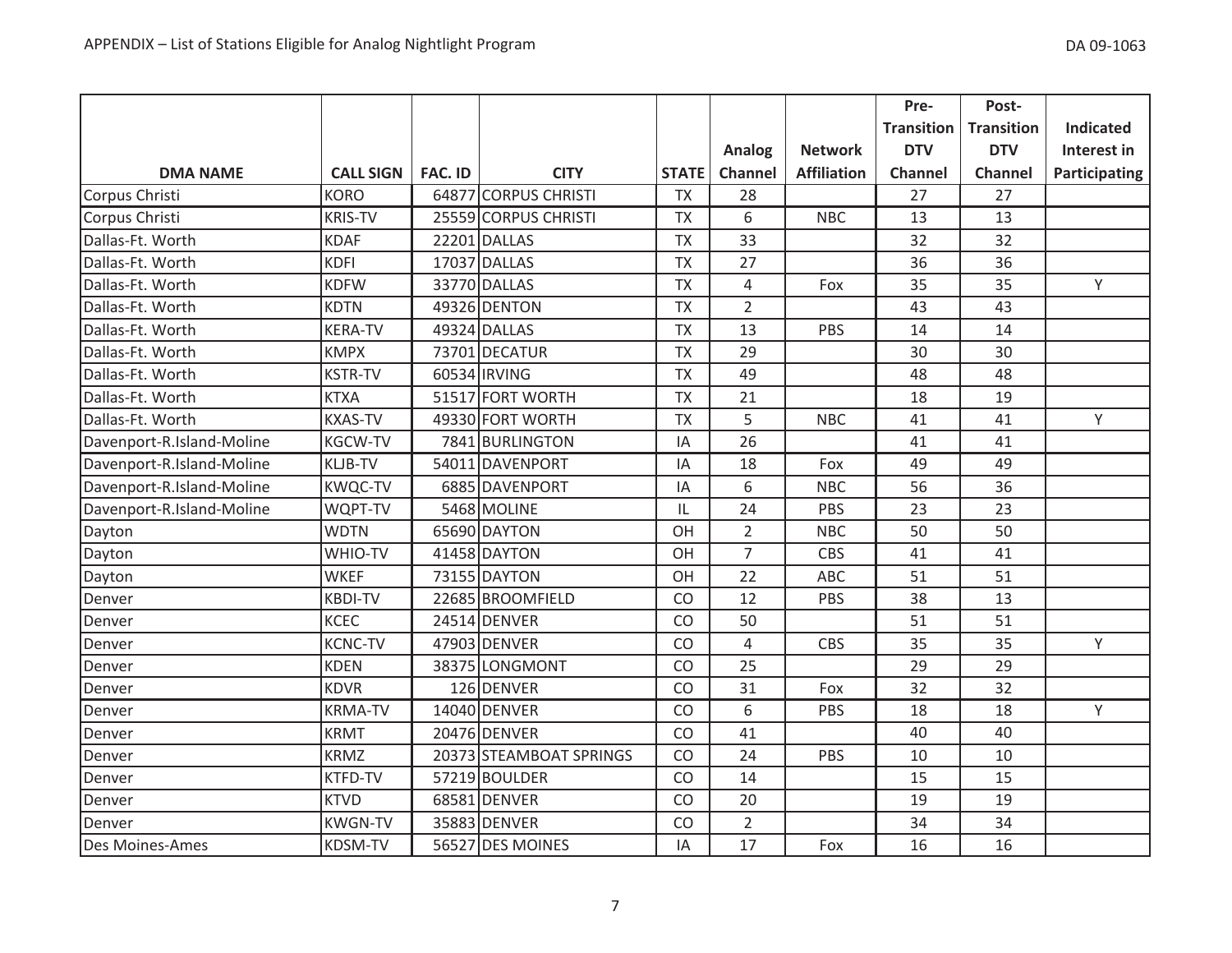|                           |                  |                |                         |              |                |                    | Pre-              | Post-             |                      |
|---------------------------|------------------|----------------|-------------------------|--------------|----------------|--------------------|-------------------|-------------------|----------------------|
|                           |                  |                |                         |              |                |                    | <b>Transition</b> | <b>Transition</b> | <b>Indicated</b>     |
|                           |                  |                |                         |              | <b>Analog</b>  | <b>Network</b>     | <b>DTV</b>        | <b>DTV</b>        | Interest in          |
| <b>DMA NAME</b>           | <b>CALL SIGN</b> | <b>FAC. ID</b> | <b>CITY</b>             | <b>STATE</b> | Channel        | <b>Affiliation</b> | Channel           | Channel           | <b>Participating</b> |
| Corpus Christi            | <b>KORO</b>      |                | 64877 CORPUS CHRISTI    | <b>TX</b>    | 28             |                    | 27                | 27                |                      |
| Corpus Christi            | <b>KRIS-TV</b>   |                | 25559 CORPUS CHRISTI    | <b>TX</b>    | 6              | <b>NBC</b>         | 13                | 13                |                      |
| Dallas-Ft. Worth          | <b>KDAF</b>      |                | 22201 DALLAS            | <b>TX</b>    | 33             |                    | 32                | 32                |                      |
| Dallas-Ft. Worth          | <b>KDFI</b>      |                | 17037 DALLAS            | <b>TX</b>    | 27             |                    | 36                | 36                |                      |
| Dallas-Ft. Worth          | <b>KDFW</b>      |                | 33770 DALLAS            | <b>TX</b>    | $\sqrt{4}$     | Fox                | 35                | 35                | Y                    |
| Dallas-Ft. Worth          | <b>KDTN</b>      |                | 49326 DENTON            | <b>TX</b>    | $\overline{2}$ |                    | 43                | 43                |                      |
| Dallas-Ft. Worth          | <b>KERA-TV</b>   |                | 49324 DALLAS            | <b>TX</b>    | 13             | PBS                | 14                | 14                |                      |
| Dallas-Ft. Worth          | <b>KMPX</b>      |                | 73701 DECATUR           | <b>TX</b>    | 29             |                    | 30                | 30                |                      |
| Dallas-Ft. Worth          | <b>KSTR-TV</b>   |                | 60534 IRVING            | <b>TX</b>    | 49             |                    | 48                | 48                |                      |
| Dallas-Ft. Worth          | <b>KTXA</b>      |                | 51517 FORT WORTH        | <b>TX</b>    | 21             |                    | 18                | 19                |                      |
| Dallas-Ft. Worth          | <b>KXAS-TV</b>   |                | 49330 FORT WORTH        | <b>TX</b>    | 5              | <b>NBC</b>         | 41                | 41                | Y                    |
| Davenport-R.Island-Moline | <b>KGCW-TV</b>   |                | 7841 BURLINGTON         | ΙA           | 26             |                    | 41                | 41                |                      |
| Davenport-R.Island-Moline | <b>KLJB-TV</b>   |                | 54011 DAVENPORT         | IA           | 18             | Fox                | 49                | 49                |                      |
| Davenport-R.Island-Moline | <b>KWQC-TV</b>   |                | 6885 DAVENPORT          | IA           | 6              | <b>NBC</b>         | 56                | 36                |                      |
| Davenport-R.Island-Moline | WQPT-TV          |                | 5468 MOLINE             | IL           | 24             | <b>PBS</b>         | 23                | 23                |                      |
| Dayton                    | <b>WDTN</b>      |                | 65690 DAYTON            | OH           | $\overline{2}$ | <b>NBC</b>         | 50                | 50                |                      |
| Dayton                    | WHIO-TV          |                | 41458 DAYTON            | OH           | $\overline{7}$ | CBS                | 41                | 41                |                      |
| Dayton                    | <b>WKEF</b>      |                | 73155 DAYTON            | OH           | 22             | ABC                | 51                | 51                |                      |
| Denver                    | <b>KBDI-TV</b>   |                | 22685 BROOMFIELD        | CO           | 12             | PBS                | 38                | 13                |                      |
| Denver                    | <b>KCEC</b>      |                | 24514 DENVER            | CO           | 50             |                    | 51                | 51                |                      |
| Denver                    | <b>KCNC-TV</b>   |                | 47903 DENVER            | CO           | $\overline{4}$ | CBS                | 35                | 35                | Y                    |
| Denver                    | <b>KDEN</b>      |                | 38375 LONGMONT          | CO           | 25             |                    | 29                | 29                |                      |
| Denver                    | <b>KDVR</b>      |                | 126 DENVER              | CO           | 31             | Fox                | 32                | 32                |                      |
| Denver                    | <b>KRMA-TV</b>   |                | 14040 DENVER            | CO           | 6              | PBS                | 18                | 18                | Y                    |
| Denver                    | <b>KRMT</b>      |                | 20476 DENVER            | CO           | 41             |                    | 40                | 40                |                      |
| Denver                    | <b>KRMZ</b>      |                | 20373 STEAMBOAT SPRINGS | CO           | 24             | PBS                | 10                | 10                |                      |
| Denver                    | <b>KTFD-TV</b>   |                | 57219 BOULDER           | CO           | 14             |                    | 15                | 15                |                      |
| Denver                    | <b>KTVD</b>      |                | 68581 DENVER            | CO           | 20             |                    | 19                | 19                |                      |
| Denver                    | <b>KWGN-TV</b>   |                | 35883 DENVER            | CO           | $\overline{2}$ |                    | 34                | 34                |                      |
| <b>Des Moines-Ames</b>    | <b>KDSM-TV</b>   |                | 56527 DES MOINES        | IA           | 17             | Fox                | 16                | 16                |                      |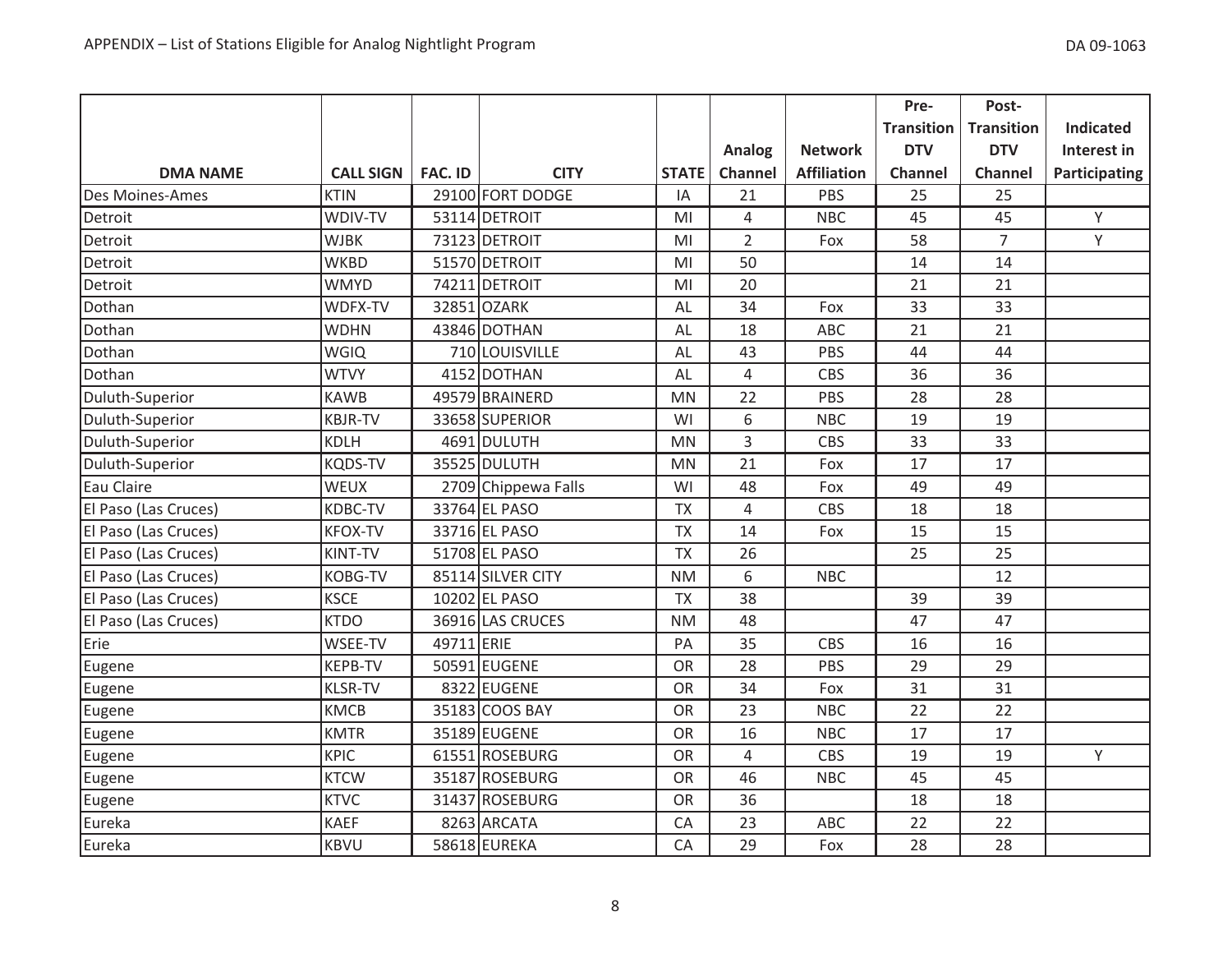|                      |                  |                |                     |              |                |                    | Pre-              | Post-             |                  |
|----------------------|------------------|----------------|---------------------|--------------|----------------|--------------------|-------------------|-------------------|------------------|
|                      |                  |                |                     |              |                |                    | <b>Transition</b> | <b>Transition</b> | <b>Indicated</b> |
|                      |                  |                |                     |              | Analog         | <b>Network</b>     | <b>DTV</b>        | <b>DTV</b>        | Interest in      |
| <b>DMA NAME</b>      | <b>CALL SIGN</b> | <b>FAC. ID</b> | <b>CITY</b>         | <b>STATE</b> | Channel        | <b>Affiliation</b> | <b>Channel</b>    | Channel           | Participating    |
| Des Moines-Ames      | <b>KTIN</b>      |                | 29100 FORT DODGE    | IA           | 21             | PBS                | 25                | 25                |                  |
| Detroit              | WDIV-TV          |                | 53114 DETROIT       | MI           | 4              | <b>NBC</b>         | 45                | 45                | Y                |
| Detroit              | <b>WJBK</b>      |                | 73123 DETROIT       | MI           | $\overline{2}$ | Fox                | 58                | $\overline{7}$    | Y                |
| Detroit              | <b>WKBD</b>      |                | 51570 DETROIT       | MI           | 50             |                    | 14                | 14                |                  |
| Detroit              | <b>WMYD</b>      |                | 74211 DETROIT       | MI           | 20             |                    | 21                | 21                |                  |
| Dothan               | WDFX-TV          |                | 32851 OZARK         | AL           | 34             | Fox                | 33                | 33                |                  |
| Dothan               | <b>WDHN</b>      |                | 43846 DOTHAN        | AL           | 18             | ABC                | 21                | 21                |                  |
| Dothan               | <b>WGIQ</b>      |                | 710 LOUISVILLE      | AL           | 43             | PBS                | 44                | 44                |                  |
| Dothan               | <b>WTVY</b>      |                | 4152 DOTHAN         | AL           | $\overline{4}$ | CBS                | 36                | 36                |                  |
| Duluth-Superior      | <b>KAWB</b>      |                | 49579 BRAINERD      | <b>MN</b>    | 22             | PBS                | 28                | 28                |                  |
| Duluth-Superior      | <b>KBJR-TV</b>   |                | 33658 SUPERIOR      | WI           | 6              | <b>NBC</b>         | 19                | 19                |                  |
| Duluth-Superior      | <b>KDLH</b>      |                | 4691 DULUTH         | <b>MN</b>    | 3              | CBS                | 33                | 33                |                  |
| Duluth-Superior      | <b>KQDS-TV</b>   |                | 35525 DULUTH        | <b>MN</b>    | 21             | Fox                | 17                | 17                |                  |
| Eau Claire           | WEUX             |                | 2709 Chippewa Falls | WI           | 48             | Fox                | 49                | 49                |                  |
| El Paso (Las Cruces) | <b>KDBC-TV</b>   |                | 33764 EL PASO       | <b>TX</b>    | 4              | <b>CBS</b>         | 18                | 18                |                  |
| El Paso (Las Cruces) | <b>KFOX-TV</b>   |                | 33716 EL PASO       | <b>TX</b>    | 14             | Fox                | 15                | 15                |                  |
| El Paso (Las Cruces) | KINT-TV          |                | 51708 EL PASO       | <b>TX</b>    | 26             |                    | 25                | 25                |                  |
| El Paso (Las Cruces) | <b>KOBG-TV</b>   |                | 85114 SILVER CITY   | <b>NM</b>    | 6              | <b>NBC</b>         |                   | 12                |                  |
| El Paso (Las Cruces) | <b>KSCE</b>      |                | 10202 EL PASO       | <b>TX</b>    | 38             |                    | 39                | 39                |                  |
| El Paso (Las Cruces) | <b>KTDO</b>      |                | 36916 LAS CRUCES    | <b>NM</b>    | 48             |                    | 47                | 47                |                  |
| Erie                 | WSEE-TV          | 49711 ERIE     |                     | PA           | 35             | <b>CBS</b>         | 16                | 16                |                  |
| Eugene               | KEPB-TV          |                | 50591 EUGENE        | <b>OR</b>    | 28             | PBS                | 29                | 29                |                  |
| Eugene               | <b>KLSR-TV</b>   |                | 8322 EUGENE         | OR           | 34             | Fox                | 31                | 31                |                  |
| Eugene               | <b>KMCB</b>      |                | 35183 COOS BAY      | <b>OR</b>    | 23             | <b>NBC</b>         | 22                | 22                |                  |
| Eugene               | <b>KMTR</b>      |                | 35189 EUGENE        | <b>OR</b>    | 16             | <b>NBC</b>         | 17                | 17                |                  |
| Eugene               | <b>KPIC</b>      |                | 61551 ROSEBURG      | OR           | 4              | CBS                | 19                | 19                | Y                |
| Eugene               | <b>KTCW</b>      |                | 35187 ROSEBURG      | <b>OR</b>    | 46             | <b>NBC</b>         | 45                | 45                |                  |
| Eugene               | <b>KTVC</b>      |                | 31437 ROSEBURG      | <b>OR</b>    | 36             |                    | 18                | 18                |                  |
| Eureka               | <b>KAEF</b>      |                | 8263 ARCATA         | CA           | 23             | ABC                | 22                | 22                |                  |
| Eureka               | <b>KBVU</b>      |                | 58618 EUREKA        | CA           | 29             | Fox                | 28                | 28                |                  |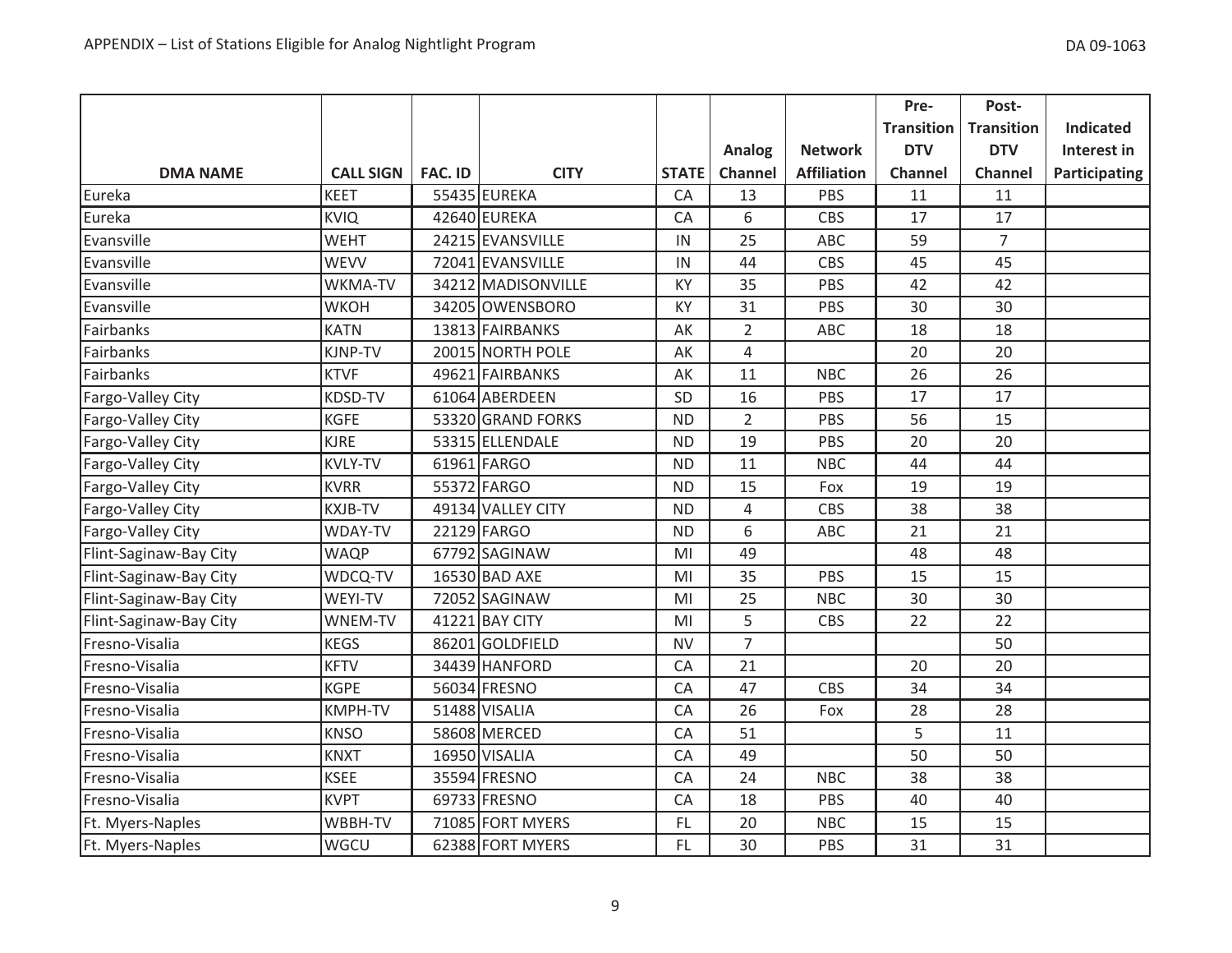|                        |                  |                |                    |              |                |                    | Pre-              | Post-             |                  |
|------------------------|------------------|----------------|--------------------|--------------|----------------|--------------------|-------------------|-------------------|------------------|
|                        |                  |                |                    |              |                |                    | <b>Transition</b> | <b>Transition</b> | <b>Indicated</b> |
|                        |                  |                |                    |              | Analog         | <b>Network</b>     | <b>DTV</b>        | <b>DTV</b>        | Interest in      |
| <b>DMA NAME</b>        | <b>CALL SIGN</b> | <b>FAC. ID</b> | <b>CITY</b>        | <b>STATE</b> | Channel        | <b>Affiliation</b> | <b>Channel</b>    | <b>Channel</b>    | Participating    |
| Eureka                 | <b>KEET</b>      |                | 55435 EUREKA       | CA           | 13             | PBS                | 11                | 11                |                  |
| Eureka                 | <b>KVIQ</b>      |                | 42640 EUREKA       | CA           | 6              | <b>CBS</b>         | 17                | 17                |                  |
| Evansville             | <b>WEHT</b>      |                | 24215 EVANSVILLE   | IN           | 25             | ABC                | 59                | $\overline{7}$    |                  |
| Evansville             | <b>WEVV</b>      |                | 72041 EVANSVILLE   | IN           | 44             | CBS                | 45                | 45                |                  |
| Evansville             | WKMA-TV          |                | 34212 MADISONVILLE | KY           | 35             | PBS                | 42                | 42                |                  |
| Evansville             | <b>WKOH</b>      |                | 34205 OWENSBORO    | KY           | 31             | PBS                | 30                | 30                |                  |
| Fairbanks              | <b>KATN</b>      |                | 13813 FAIRBANKS    | AK           | $\overline{2}$ | ABC                | 18                | 18                |                  |
| Fairbanks              | KJNP-TV          |                | 20015 NORTH POLE   | AK           | $\overline{4}$ |                    | 20                | 20                |                  |
| Fairbanks              | <b>KTVF</b>      |                | 49621 FAIRBANKS    | AK           | 11             | <b>NBC</b>         | 26                | 26                |                  |
| Fargo-Valley City      | <b>KDSD-TV</b>   |                | 61064 ABERDEEN     | SD           | 16             | PBS                | 17                | 17                |                  |
| Fargo-Valley City      | <b>KGFE</b>      |                | 53320 GRAND FORKS  | <b>ND</b>    | $\overline{2}$ | PBS                | 56                | 15                |                  |
| Fargo-Valley City      | <b>KJRE</b>      |                | 53315 ELLENDALE    | <b>ND</b>    | 19             | PBS                | 20                | 20                |                  |
| Fargo-Valley City      | <b>KVLY-TV</b>   |                | 61961 FARGO        | <b>ND</b>    | 11             | <b>NBC</b>         | 44                | 44                |                  |
| Fargo-Valley City      | <b>KVRR</b>      |                | 55372 FARGO        | <b>ND</b>    | 15             | Fox                | 19                | 19                |                  |
| Fargo-Valley City      | <b>KXJB-TV</b>   |                | 49134 VALLEY CITY  | <b>ND</b>    | 4              | <b>CBS</b>         | 38                | 38                |                  |
| Fargo-Valley City      | WDAY-TV          |                | 22129 FARGO        | <b>ND</b>    | 6              | ABC                | 21                | 21                |                  |
| Flint-Saginaw-Bay City | <b>WAQP</b>      |                | 67792 SAGINAW      | MI           | 49             |                    | 48                | 48                |                  |
| Flint-Saginaw-Bay City | WDCQ-TV          |                | 16530 BAD AXE      | MI           | 35             | PBS                | 15                | 15                |                  |
| Flint-Saginaw-Bay City | WEYI-TV          |                | 72052 SAGINAW      | MI           | 25             | <b>NBC</b>         | 30                | 30                |                  |
| Flint-Saginaw-Bay City | WNEM-TV          |                | 41221 BAY CITY     | MI           | 5              | <b>CBS</b>         | 22                | 22                |                  |
| Fresno-Visalia         | <b>KEGS</b>      |                | 86201 GOLDFIELD    | <b>NV</b>    | $\overline{7}$ |                    |                   | 50                |                  |
| Fresno-Visalia         | <b>KFTV</b>      |                | 34439 HANFORD      | CA           | 21             |                    | 20                | 20                |                  |
| Fresno-Visalia         | <b>KGPE</b>      |                | 56034 FRESNO       | CA           | 47             | <b>CBS</b>         | 34                | 34                |                  |
| Fresno-Visalia         | KMPH-TV          |                | 51488 VISALIA      | CA           | 26             | Fox                | 28                | 28                |                  |
| Fresno-Visalia         | <b>KNSO</b>      |                | 58608 MERCED       | CA           | 51             |                    | 5                 | 11                |                  |
| Fresno-Visalia         | <b>KNXT</b>      |                | 16950 VISALIA      | CA           | 49             |                    | 50                | 50                |                  |
| Fresno-Visalia         | <b>KSEE</b>      |                | 35594 FRESNO       | CA           | 24             | <b>NBC</b>         | 38                | 38                |                  |
| Fresno-Visalia         | <b>KVPT</b>      |                | 69733 FRESNO       | CA           | 18             | PBS                | 40                | 40                |                  |
| Ft. Myers-Naples       | WBBH-TV          |                | 71085 FORT MYERS   | FL           | 20             | <b>NBC</b>         | 15                | 15                |                  |
| Ft. Myers-Naples       | WGCU             |                | 62388 FORT MYERS   | FL.          | 30             | PBS                | 31                | 31                |                  |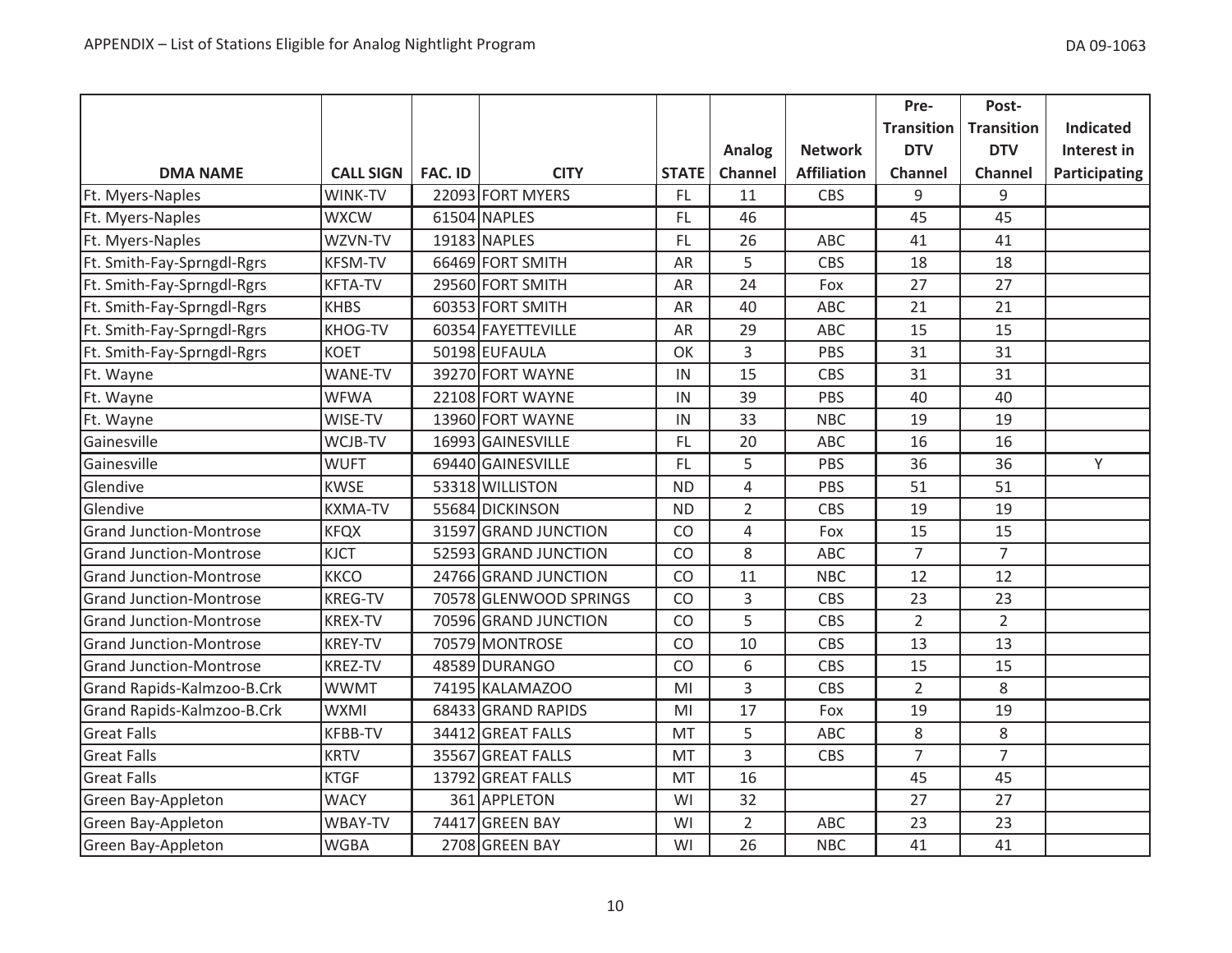|                                |                  |                |                        |              |                |                    | Pre-              | Post-             |                  |
|--------------------------------|------------------|----------------|------------------------|--------------|----------------|--------------------|-------------------|-------------------|------------------|
|                                |                  |                |                        |              |                |                    | <b>Transition</b> | <b>Transition</b> | <b>Indicated</b> |
|                                |                  |                |                        |              | Analog         | <b>Network</b>     | <b>DTV</b>        | <b>DTV</b>        | Interest in      |
| <b>DMA NAME</b>                | <b>CALL SIGN</b> | <b>FAC. ID</b> | <b>CITY</b>            | <b>STATE</b> | Channel        | <b>Affiliation</b> | <b>Channel</b>    | Channel           | Participating    |
| Ft. Myers-Naples               | WINK-TV          |                | 22093 FORT MYERS       | FL.          | 11             | <b>CBS</b>         | 9                 | 9                 |                  |
| Ft. Myers-Naples               | <b>WXCW</b>      |                | 61504 NAPLES           | <b>FL</b>    | 46             |                    | 45                | 45                |                  |
| Ft. Myers-Naples               | WZVN-TV          |                | 19183 NAPLES           | FL.          | 26             | ABC                | 41                | 41                |                  |
| Ft. Smith-Fay-Sprngdl-Rgrs     | <b>KFSM-TV</b>   |                | 66469 FORT SMITH       | AR           | 5              | <b>CBS</b>         | 18                | 18                |                  |
| Ft. Smith-Fay-Sprngdl-Rgrs     | <b>KFTA-TV</b>   |                | 29560 FORT SMITH       | AR           | 24             | Fox                | 27                | 27                |                  |
| Ft. Smith-Fay-Sprngdl-Rgrs     | <b>KHBS</b>      |                | 60353 FORT SMITH       | AR           | 40             | <b>ABC</b>         | 21                | 21                |                  |
| Ft. Smith-Fay-Sprngdl-Rgrs     | <b>KHOG-TV</b>   |                | 60354 FAYETTEVILLE     | AR           | 29             | <b>ABC</b>         | 15                | 15                |                  |
| Ft. Smith-Fay-Sprngdl-Rgrs     | <b>KOET</b>      |                | 50198 EUFAULA          | OK           | 3              | PBS                | 31                | 31                |                  |
| Ft. Wayne                      | <b>WANE-TV</b>   |                | 39270 FORT WAYNE       | IN           | 15             | CBS                | 31                | 31                |                  |
| Ft. Wayne                      | <b>WFWA</b>      |                | 22108 FORT WAYNE       | IN           | 39             | PBS                | 40                | 40                |                  |
| Ft. Wayne                      | WISE-TV          |                | 13960 FORT WAYNE       | IN           | 33             | <b>NBC</b>         | 19                | 19                |                  |
| Gainesville                    | WCJB-TV          |                | 16993 GAINESVILLE      | FL.          | 20             | ABC                | 16                | 16                |                  |
| Gainesville                    | <b>WUFT</b>      |                | 69440 GAINESVILLE      | FL.          | 5              | PBS                | 36                | 36                | Y                |
| Glendive                       | <b>KWSE</b>      |                | 53318 WILLISTON        | <b>ND</b>    | 4              | PBS                | 51                | 51                |                  |
| Glendive                       | <b>KXMA-TV</b>   |                | 55684 DICKINSON        | <b>ND</b>    | $\overline{2}$ | <b>CBS</b>         | 19                | 19                |                  |
| <b>Grand Junction-Montrose</b> | <b>KFQX</b>      |                | 31597 GRAND JUNCTION   | CO           | $\overline{4}$ | Fox                | 15                | 15                |                  |
| <b>Grand Junction-Montrose</b> | <b>KJCT</b>      |                | 52593 GRAND JUNCTION   | CO           | 8              | ABC                | $\overline{7}$    | $\overline{7}$    |                  |
| <b>Grand Junction-Montrose</b> | <b>KKCO</b>      |                | 24766 GRAND JUNCTION   | CO           | 11             | <b>NBC</b>         | 12                | 12                |                  |
| <b>Grand Junction-Montrose</b> | <b>KREG-TV</b>   |                | 70578 GLENWOOD SPRINGS | CO           | 3              | <b>CBS</b>         | 23                | 23                |                  |
| <b>Grand Junction-Montrose</b> | <b>KREX-TV</b>   |                | 70596 GRAND JUNCTION   | CO           | 5              | <b>CBS</b>         | $\overline{2}$    | $\overline{2}$    |                  |
| <b>Grand Junction-Montrose</b> | <b>KREY-TV</b>   |                | 70579 MONTROSE         | CO           | 10             | <b>CBS</b>         | 13                | 13                |                  |
| <b>Grand Junction-Montrose</b> | <b>KREZ-TV</b>   |                | 48589 DURANGO          | CO           | 6              | <b>CBS</b>         | 15                | 15                |                  |
| Grand Rapids-Kalmzoo-B.Crk     | <b>WWMT</b>      |                | 74195 KALAMAZOO        | MI           | 3              | CBS                | $\overline{2}$    | 8                 |                  |
| Grand Rapids-Kalmzoo-B.Crk     | <b>WXMI</b>      |                | 68433 GRAND RAPIDS     | MI           | 17             | Fox                | 19                | 19                |                  |
| <b>Great Falls</b>             | <b>KFBB-TV</b>   |                | 34412 GREAT FALLS      | <b>MT</b>    | 5              | ABC                | 8                 | 8                 |                  |
| <b>Great Falls</b>             | <b>KRTV</b>      |                | 35567 GREAT FALLS      | MT           | 3              | <b>CBS</b>         | $\overline{7}$    | $\overline{7}$    |                  |
| <b>Great Falls</b>             | <b>KTGF</b>      |                | 13792 GREAT FALLS      | MT           | 16             |                    | 45                | 45                |                  |
| Green Bay-Appleton             | <b>WACY</b>      |                | 361 APPLETON           | WI           | 32             |                    | 27                | 27                |                  |
| Green Bay-Appleton             | WBAY-TV          |                | 74417 GREEN BAY        | WI           | $\overline{2}$ | ABC                | 23                | 23                |                  |
| Green Bay-Appleton             | <b>WGBA</b>      |                | 2708 GREEN BAY         | WI           | 26             | <b>NBC</b>         | 41                | 41                |                  |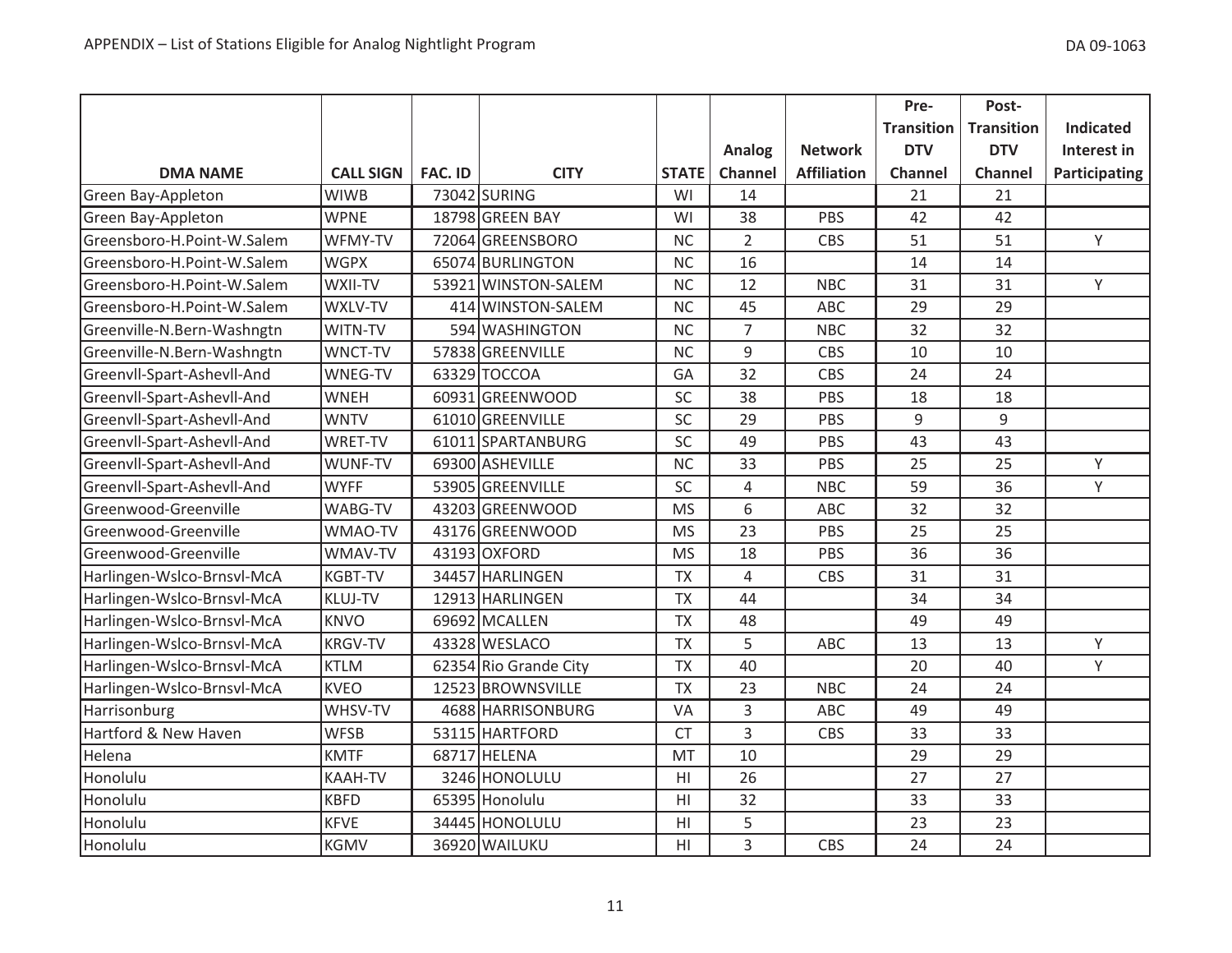|                            |                  |                |                       |                |                |                    | Pre-              | Post-             |                  |
|----------------------------|------------------|----------------|-----------------------|----------------|----------------|--------------------|-------------------|-------------------|------------------|
|                            |                  |                |                       |                |                |                    | <b>Transition</b> | <b>Transition</b> | <b>Indicated</b> |
|                            |                  |                |                       |                | Analog         | <b>Network</b>     | <b>DTV</b>        | <b>DTV</b>        | Interest in      |
| <b>DMA NAME</b>            | <b>CALL SIGN</b> | <b>FAC. ID</b> | <b>CITY</b>           | <b>STATE</b>   | Channel        | <b>Affiliation</b> | <b>Channel</b>    | Channel           | Participating    |
| Green Bay-Appleton         | <b>WIWB</b>      |                | 73042 SURING          | WI             | 14             |                    | 21                | 21                |                  |
| Green Bay-Appleton         | <b>WPNE</b>      |                | 18798 GREEN BAY       | WI             | 38             | <b>PBS</b>         | 42                | 42                |                  |
| Greensboro-H.Point-W.Salem | WFMY-TV          |                | 72064 GREENSBORO      | <b>NC</b>      | $\overline{2}$ | CBS                | 51                | 51                | Y.               |
| Greensboro-H.Point-W.Salem | <b>WGPX</b>      |                | 65074 BURLINGTON      | <b>NC</b>      | 16             |                    | 14                | 14                |                  |
| Greensboro-H.Point-W.Salem | WXII-TV          |                | 53921 WINSTON-SALEM   | <b>NC</b>      | 12             | <b>NBC</b>         | 31                | 31                | Y                |
| Greensboro-H.Point-W.Salem | WXLV-TV          |                | 414 WINSTON-SALEM     | <b>NC</b>      | 45             | <b>ABC</b>         | 29                | 29                |                  |
| Greenville-N.Bern-Washngtn | WITN-TV          |                | 594 WASHINGTON        | <b>NC</b>      | $\overline{7}$ | <b>NBC</b>         | 32                | 32                |                  |
| Greenville-N.Bern-Washngtn | WNCT-TV          |                | 57838 GREENVILLE      | <b>NC</b>      | 9              | CBS                | 10                | 10                |                  |
| Greenvll-Spart-Ashevll-And | WNEG-TV          |                | 63329 TOCCOA          | GA             | 32             | CBS                | 24                | 24                |                  |
| Greenvll-Spart-Ashevll-And | <b>WNEH</b>      |                | 60931 GREENWOOD       | SC             | 38             | <b>PBS</b>         | 18                | 18                |                  |
| Greenvll-Spart-Ashevll-And | <b>WNTV</b>      |                | 61010 GREENVILLE      | SC             | 29             | PBS                | 9                 | 9                 |                  |
| Greenvll-Spart-Ashevll-And | <b>WRET-TV</b>   |                | 61011 SPARTANBURG     | SC             | 49             | PBS                | 43                | 43                |                  |
| Greenvll-Spart-Ashevll-And | WUNF-TV          |                | 69300 ASHEVILLE       | <b>NC</b>      | 33             | PBS                | 25                | 25                | Y                |
| Greenvll-Spart-Ashevll-And | <b>WYFF</b>      |                | 53905 GREENVILLE      | SC             | $\overline{4}$ | <b>NBC</b>         | 59                | 36                | Y                |
| Greenwood-Greenville       | WABG-TV          |                | 43203 GREENWOOD       | <b>MS</b>      | 6              | <b>ABC</b>         | 32                | 32                |                  |
| Greenwood-Greenville       | WMAO-TV          |                | 43176 GREENWOOD       | <b>MS</b>      | 23             | PBS                | 25                | 25                |                  |
| Greenwood-Greenville       | WMAV-TV          |                | 43193 OXFORD          | <b>MS</b>      | 18             | PBS                | 36                | 36                |                  |
| Harlingen-Wslco-Brnsvl-McA | <b>KGBT-TV</b>   |                | 34457 HARLINGEN       | <b>TX</b>      | $\overline{4}$ | CBS                | 31                | 31                |                  |
| Harlingen-Wslco-Brnsvl-McA | <b>KLUJ-TV</b>   |                | 12913 HARLINGEN       | <b>TX</b>      | 44             |                    | 34                | 34                |                  |
| Harlingen-Wslco-Brnsvl-McA | <b>KNVO</b>      |                | 69692 MCALLEN         | <b>TX</b>      | 48             |                    | 49                | 49                |                  |
| Harlingen-Wslco-Brnsvl-McA | <b>KRGV-TV</b>   |                | 43328 WESLACO         | <b>TX</b>      | 5              | ABC                | 13                | 13                | Y                |
| Harlingen-Wslco-Brnsvl-McA | <b>KTLM</b>      |                | 62354 Rio Grande City | <b>TX</b>      | 40             |                    | 20                | 40                | Y                |
| Harlingen-Wslco-Brnsvl-McA | <b>KVEO</b>      |                | 12523 BROWNSVILLE     | <b>TX</b>      | 23             | <b>NBC</b>         | 24                | 24                |                  |
| Harrisonburg               | WHSV-TV          |                | 4688 HARRISONBURG     | VA             | 3              | ABC                | 49                | 49                |                  |
| Hartford & New Haven       | <b>WFSB</b>      |                | 53115 HARTFORD        | <b>CT</b>      | 3              | CBS                | 33                | 33                |                  |
| Helena                     | <b>KMTF</b>      |                | 68717 HELENA          | MT             | 10             |                    | 29                | 29                |                  |
| Honolulu                   | KAAH-TV          |                | 3246 HONOLULU         | H <sub>l</sub> | 26             |                    | 27                | 27                |                  |
| Honolulu                   | <b>KBFD</b>      |                | 65395 Honolulu        | HI             | 32             |                    | 33                | 33                |                  |
| Honolulu                   | <b>KFVE</b>      |                | 34445 HONOLULU        | HI             | 5              |                    | 23                | 23                |                  |
| Honolulu                   | <b>KGMV</b>      |                | 36920 WAILUKU         | HI             | 3              | <b>CBS</b>         | 24                | 24                |                  |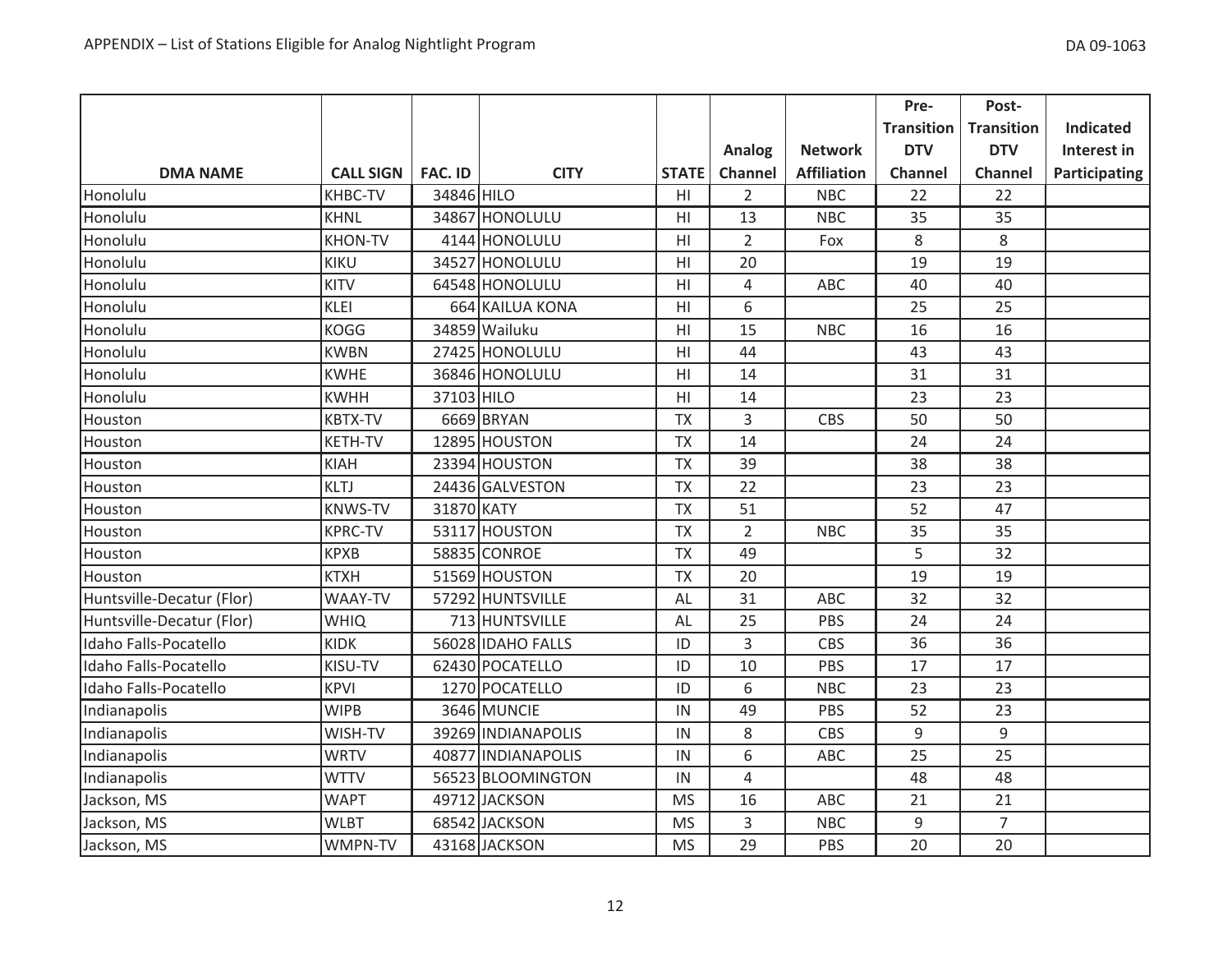|                           |                  |                |                    |                |                |                    | Pre-              | Post-             |                  |
|---------------------------|------------------|----------------|--------------------|----------------|----------------|--------------------|-------------------|-------------------|------------------|
|                           |                  |                |                    |                |                |                    | <b>Transition</b> | <b>Transition</b> | <b>Indicated</b> |
|                           |                  |                |                    |                | Analog         | <b>Network</b>     | <b>DTV</b>        | <b>DTV</b>        | Interest in      |
| <b>DMA NAME</b>           | <b>CALL SIGN</b> | <b>FAC. ID</b> | <b>CITY</b>        | <b>STATE</b>   | Channel        | <b>Affiliation</b> | Channel           | <b>Channel</b>    | Participating    |
| Honolulu                  | <b>KHBC-TV</b>   | 34846 HILO     |                    | HI             | $\overline{2}$ | <b>NBC</b>         | 22                | 22                |                  |
| Honolulu                  | <b>KHNL</b>      |                | 34867 HONOLULU     | H <sub>l</sub> | 13             | <b>NBC</b>         | 35                | 35                |                  |
| Honolulu                  | <b>KHON-TV</b>   |                | 4144 HONOLULU      | H <sub>l</sub> | $\overline{2}$ | Fox                | 8                 | 8                 |                  |
| Honolulu                  | <b>KIKU</b>      |                | 34527 HONOLULU     | H <sub>l</sub> | 20             |                    | 19                | 19                |                  |
| Honolulu                  | <b>KITV</b>      |                | 64548 HONOLULU     | H1             | 4              | ABC                | 40                | 40                |                  |
| Honolulu                  | <b>KLEI</b>      |                | 664 KAILUA KONA    | H1             | 6              |                    | 25                | 25                |                  |
| Honolulu                  | <b>KOGG</b>      |                | 34859 Wailuku      | H <sub>l</sub> | 15             | <b>NBC</b>         | 16                | 16                |                  |
| Honolulu                  | <b>KWBN</b>      |                | 27425 HONOLULU     | H <sub>l</sub> | 44             |                    | 43                | 43                |                  |
| Honolulu                  | <b>KWHE</b>      |                | 36846 HONOLULU     | H1             | 14             |                    | 31                | 31                |                  |
| Honolulu                  | <b>KWHH</b>      | 37103 HILO     |                    | H1             | 14             |                    | 23                | 23                |                  |
| Houston                   | <b>KBTX-TV</b>   |                | 6669 BRYAN         | <b>TX</b>      | 3              | CBS                | 50                | 50                |                  |
| Houston                   | KETH-TV          |                | 12895 HOUSTON      | <b>TX</b>      | 14             |                    | 24                | 24                |                  |
| Houston                   | <b>KIAH</b>      |                | 23394 HOUSTON      | <b>TX</b>      | 39             |                    | 38                | 38                |                  |
| Houston                   | <b>KLTJ</b>      |                | 24436 GALVESTON    | <b>TX</b>      | 22             |                    | 23                | 23                |                  |
| Houston                   | <b>KNWS-TV</b>   | 31870 KATY     |                    | <b>TX</b>      | 51             |                    | 52                | 47                |                  |
| Houston                   | <b>KPRC-TV</b>   |                | 53117 HOUSTON      | <b>TX</b>      | $\overline{2}$ | <b>NBC</b>         | 35                | 35                |                  |
| Houston                   | <b>KPXB</b>      |                | 58835 CONROE       | <b>TX</b>      | 49             |                    | 5                 | 32                |                  |
| Houston                   | <b>KTXH</b>      |                | 51569 HOUSTON      | <b>TX</b>      | 20             |                    | 19                | 19                |                  |
| Huntsville-Decatur (Flor) | WAAY-TV          |                | 57292 HUNTSVILLE   | AL             | 31             | ABC                | 32                | 32                |                  |
| Huntsville-Decatur (Flor) | <b>WHIQ</b>      |                | 713 HUNTSVILLE     | AL             | 25             | PBS                | 24                | 24                |                  |
| Idaho Falls-Pocatello     | <b>KIDK</b>      |                | 56028 IDAHO FALLS  | ID             | 3              | CBS                | 36                | 36                |                  |
| Idaho Falls-Pocatello     | KISU-TV          |                | 62430 POCATELLO    | ID             | 10             | PBS                | 17                | 17                |                  |
| Idaho Falls-Pocatello     | <b>KPVI</b>      |                | 1270 POCATELLO     | ID             | 6              | <b>NBC</b>         | 23                | 23                |                  |
| Indianapolis              | <b>WIPB</b>      |                | 3646 MUNCIE        | IN             | 49             | PBS                | 52                | 23                |                  |
| Indianapolis              | WISH-TV          |                | 39269 INDIANAPOLIS | IN             | 8              | CBS                | 9                 | 9                 |                  |
| Indianapolis              | <b>WRTV</b>      |                | 40877 INDIANAPOLIS | IN             | 6              | ABC                | 25                | 25                |                  |
| Indianapolis              | <b>WTTV</b>      |                | 56523 BLOOMINGTON  | IN             | 4              |                    | 48                | 48                |                  |
| Jackson, MS               | <b>WAPT</b>      |                | 49712 JACKSON      | <b>MS</b>      | 16             | ABC                | 21                | 21                |                  |
| Jackson, MS               | <b>WLBT</b>      |                | 68542 JACKSON      | <b>MS</b>      | 3              | <b>NBC</b>         | 9                 | $\overline{7}$    |                  |
| Jackson, MS               | WMPN-TV          |                | 43168 JACKSON      | <b>MS</b>      | 29             | PBS                | 20                | 20                |                  |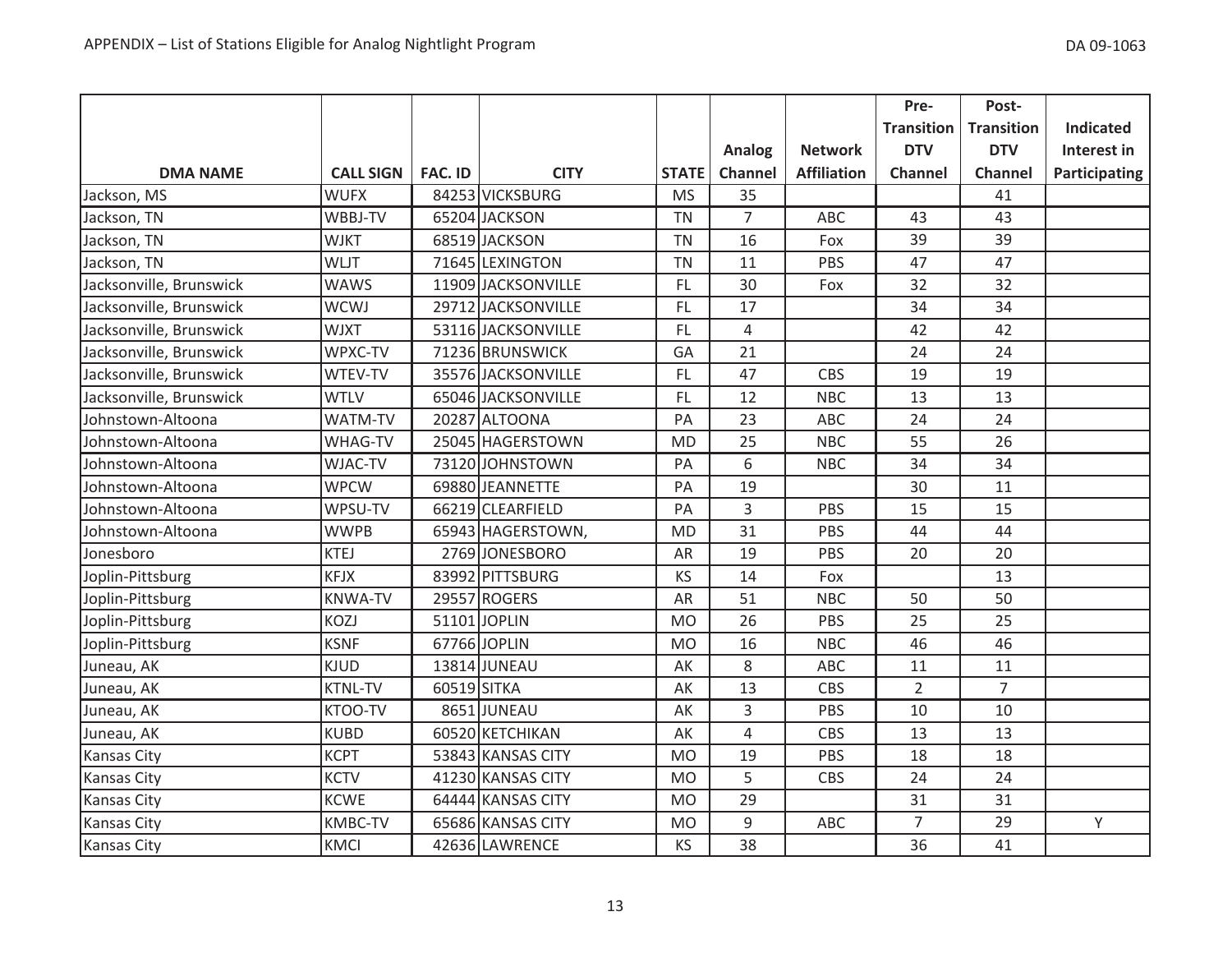|                         |                  |             |                    |              |                |                    | Pre-              | Post-             |                  |
|-------------------------|------------------|-------------|--------------------|--------------|----------------|--------------------|-------------------|-------------------|------------------|
|                         |                  |             |                    |              |                |                    | <b>Transition</b> | <b>Transition</b> | <b>Indicated</b> |
|                         |                  |             |                    |              | Analog         | <b>Network</b>     | <b>DTV</b>        | <b>DTV</b>        | Interest in      |
| <b>DMA NAME</b>         | <b>CALL SIGN</b> | FAC. ID     | <b>CITY</b>        | <b>STATE</b> | Channel        | <b>Affiliation</b> | <b>Channel</b>    | <b>Channel</b>    | Participating    |
| Jackson, MS             | <b>WUFX</b>      |             | 84253 VICKSBURG    | <b>MS</b>    | 35             |                    |                   | 41                |                  |
| Jackson, TN             | WBBJ-TV          |             | 65204 JACKSON      | <b>TN</b>    | $\overline{7}$ | ABC                | 43                | 43                |                  |
| Jackson, TN             | <b>WJKT</b>      |             | 68519 JACKSON      | <b>TN</b>    | 16             | Fox                | 39                | 39                |                  |
| Jackson, TN             | <b>WLJT</b>      |             | 71645 LEXINGTON    | <b>TN</b>    | 11             | PBS                | 47                | 47                |                  |
| Jacksonville, Brunswick | <b>WAWS</b>      |             | 11909 JACKSONVILLE | <b>FL</b>    | 30             | Fox                | 32                | 32                |                  |
| Jacksonville, Brunswick | <b>WCWJ</b>      |             | 29712 JACKSONVILLE | FL           | 17             |                    | 34                | 34                |                  |
| Jacksonville, Brunswick | <b>WJXT</b>      |             | 53116 JACKSONVILLE | FL.          | 4              |                    | 42                | 42                |                  |
| Jacksonville, Brunswick | WPXC-TV          |             | 71236 BRUNSWICK    | GA           | 21             |                    | 24                | 24                |                  |
| Jacksonville, Brunswick | WTEV-TV          |             | 35576 JACKSONVILLE | FL.          | 47             | CBS                | 19                | 19                |                  |
| Jacksonville, Brunswick | <b>WTLV</b>      |             | 65046 JACKSONVILLE | FL           | 12             | <b>NBC</b>         | 13                | 13                |                  |
| Johnstown-Altoona       | WATM-TV          |             | 20287 ALTOONA      | PA           | 23             | ABC                | 24                | 24                |                  |
| Johnstown-Altoona       | WHAG-TV          |             | 25045 HAGERSTOWN   | <b>MD</b>    | 25             | <b>NBC</b>         | 55                | 26                |                  |
| Johnstown-Altoona       | WJAC-TV          |             | 73120 JOHNSTOWN    | PA           | 6              | <b>NBC</b>         | 34                | 34                |                  |
| Johnstown-Altoona       | <b>WPCW</b>      |             | 69880 JEANNETTE    | PA           | 19             |                    | 30                | 11                |                  |
| Johnstown-Altoona       | WPSU-TV          |             | 66219 CLEARFIELD   | PA           | 3              | PBS                | 15                | 15                |                  |
| Johnstown-Altoona       | <b>WWPB</b>      |             | 65943 HAGERSTOWN,  | <b>MD</b>    | 31             | PBS                | 44                | 44                |                  |
| Jonesboro               | <b>KTEJ</b>      |             | 2769 JONESBORO     | AR           | 19             | PBS                | 20                | 20                |                  |
| Joplin-Pittsburg        | <b>KFJX</b>      |             | 83992 PITTSBURG    | KS           | 14             | Fox                |                   | 13                |                  |
| Joplin-Pittsburg        | <b>KNWA-TV</b>   |             | 29557 ROGERS       | AR           | 51             | <b>NBC</b>         | 50                | 50                |                  |
| Joplin-Pittsburg        | KOZJ             |             | 51101 JOPLIN       | <b>MO</b>    | 26             | PBS                | 25                | 25                |                  |
| Joplin-Pittsburg        | <b>KSNF</b>      |             | 67766 JOPLIN       | <b>MO</b>    | 16             | <b>NBC</b>         | 46                | 46                |                  |
| Juneau, AK              | <b>KJUD</b>      |             | 13814 JUNEAU       | AK           | 8              | ABC                | 11                | 11                |                  |
| Juneau, AK              | <b>KTNL-TV</b>   | 60519 SITKA |                    | AK           | 13             | <b>CBS</b>         | $\overline{2}$    | $\overline{7}$    |                  |
| Juneau, AK              | KTOO-TV          |             | 8651JUNEAU         | AK           | 3              | PBS                | 10                | 10                |                  |
| Juneau, AK              | <b>KUBD</b>      |             | 60520 KETCHIKAN    | AK           | $\overline{4}$ | <b>CBS</b>         | 13                | 13                |                  |
| <b>Kansas City</b>      | <b>KCPT</b>      |             | 53843 KANSAS CITY  | <b>MO</b>    | 19             | PBS                | 18                | 18                |                  |
| Kansas City             | <b>KCTV</b>      |             | 41230 KANSAS CITY  | <b>MO</b>    | 5              | CBS                | 24                | 24                |                  |
| Kansas City             | <b>KCWE</b>      |             | 64444 KANSAS CITY  | <b>MO</b>    | 29             |                    | 31                | 31                |                  |
| <b>Kansas City</b>      | KMBC-TV          |             | 65686 KANSAS CITY  | <b>MO</b>    | 9              | <b>ABC</b>         | $\overline{7}$    | 29                | Υ                |
| <b>Kansas City</b>      | <b>KMCI</b>      |             | 42636 LAWRENCE     | KS           | 38             |                    | 36                | 41                |                  |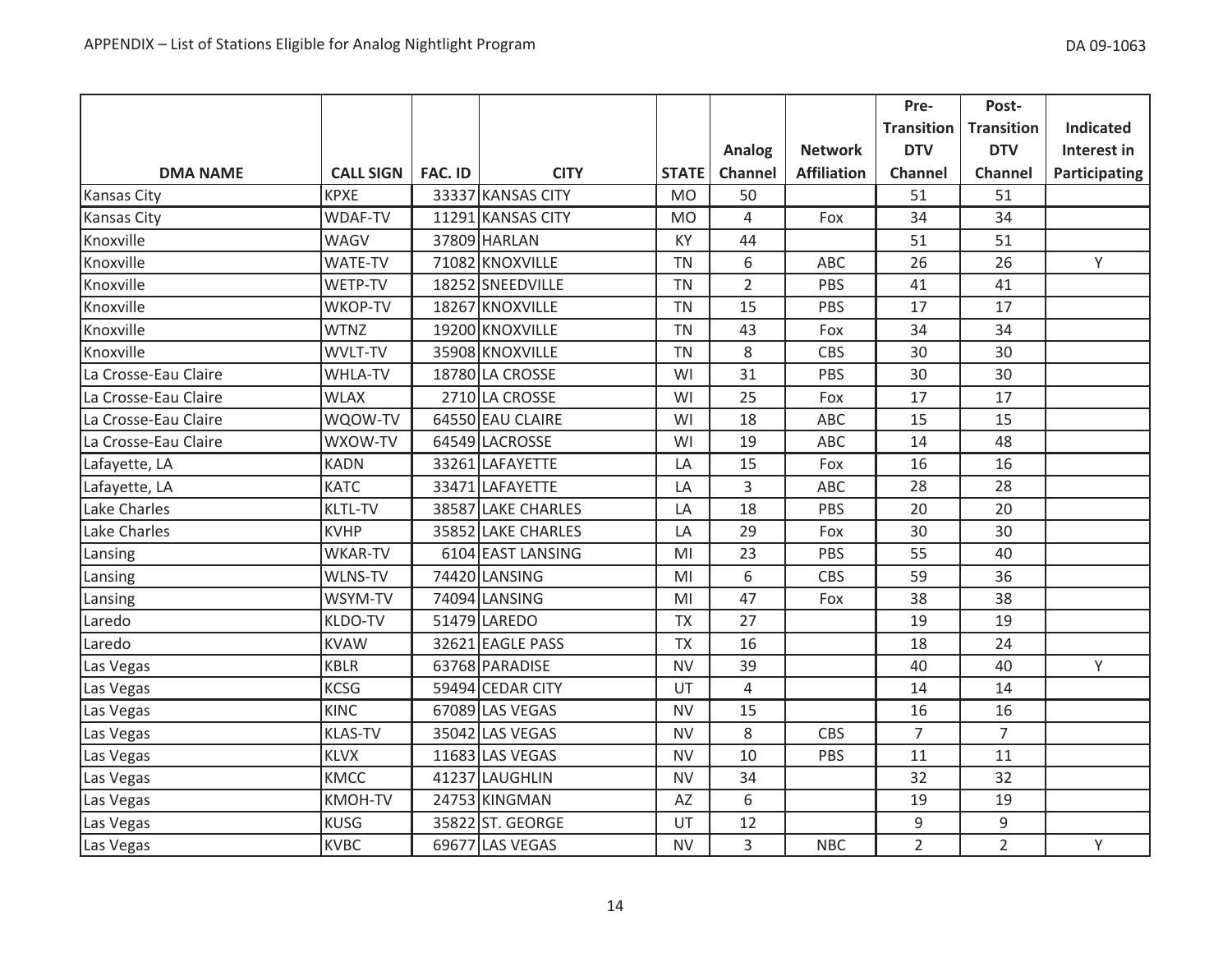|                      |                  |                |                    |                |                |                    | Pre-              | Post-             |                  |
|----------------------|------------------|----------------|--------------------|----------------|----------------|--------------------|-------------------|-------------------|------------------|
|                      |                  |                |                    |                |                |                    | <b>Transition</b> | <b>Transition</b> | <b>Indicated</b> |
|                      |                  |                |                    |                | Analog         | <b>Network</b>     | <b>DTV</b>        | <b>DTV</b>        | Interest in      |
| <b>DMA NAME</b>      | <b>CALL SIGN</b> | <b>FAC. ID</b> | <b>CITY</b>        | <b>STATE</b>   | Channel        | <b>Affiliation</b> | <b>Channel</b>    | <b>Channel</b>    | Participating    |
| <b>Kansas City</b>   | <b>KPXE</b>      |                | 33337 KANSAS CITY  | <b>MO</b>      | 50             |                    | 51                | 51                |                  |
| <b>Kansas City</b>   | <b>WDAF-TV</b>   |                | 11291 KANSAS CITY  | <b>MO</b>      | 4              | Fox                | 34                | 34                |                  |
| Knoxville            | <b>WAGV</b>      |                | 37809 HARLAN       | KY             | 44             |                    | 51                | 51                |                  |
| Knoxville            | <b>WATE-TV</b>   |                | 71082 KNOXVILLE    | <b>TN</b>      | 6              | ABC                | 26                | 26                | Y                |
| Knoxville            | WETP-TV          |                | 18252 SNEEDVILLE   | <b>TN</b>      | $\overline{2}$ | PBS                | 41                | 41                |                  |
| Knoxville            | WKOP-TV          |                | 18267 KNOXVILLE    | <b>TN</b>      | 15             | PBS                | 17                | 17                |                  |
| Knoxville            | <b>WTNZ</b>      |                | 19200 KNOXVILLE    | <b>TN</b>      | 43             | Fox                | 34                | 34                |                  |
| Knoxville            | WVLT-TV          |                | 35908 KNOXVILLE    | <b>TN</b>      | 8              | CBS                | 30                | 30                |                  |
| La Crosse-Eau Claire | <b>WHLA-TV</b>   |                | 18780 LA CROSSE    | WI             | 31             | PBS                | 30                | 30                |                  |
| La Crosse-Eau Claire | <b>WLAX</b>      |                | 2710 LA CROSSE     | WI             | 25             | Fox                | 17                | 17                |                  |
| La Crosse-Eau Claire | WQOW-TV          |                | 64550 EAU CLAIRE   | WI             | 18             | ABC                | 15                | 15                |                  |
| La Crosse-Eau Claire | WXOW-TV          |                | 64549 LACROSSE     | WI             | 19             | ABC                | 14                | 48                |                  |
| Lafayette, LA        | <b>KADN</b>      |                | 33261 LAFAYETTE    | LA             | 15             | Fox                | 16                | 16                |                  |
| Lafayette, LA        | <b>KATC</b>      |                | 33471 LAFAYETTE    | LA             | 3              | ABC                | 28                | 28                |                  |
| Lake Charles         | <b>KLTL-TV</b>   |                | 38587 LAKE CHARLES | LA             | 18             | PBS                | 20                | 20                |                  |
| Lake Charles         | <b>KVHP</b>      |                | 35852 LAKE CHARLES | LA             | 29             | Fox                | 30                | 30                |                  |
| Lansing              | <b>WKAR-TV</b>   |                | 6104 EAST LANSING  | MI             | 23             | PBS                | 55                | 40                |                  |
| Lansing              | WLNS-TV          |                | 74420 LANSING      | MI             | 6              | CBS                | 59                | 36                |                  |
| Lansing              | WSYM-TV          |                | 74094 LANSING      | M <sub>l</sub> | 47             | Fox                | 38                | 38                |                  |
| Laredo               | KLDO-TV          |                | 51479 LAREDO       | <b>TX</b>      | 27             |                    | 19                | 19                |                  |
| Laredo               | <b>KVAW</b>      |                | 32621 EAGLE PASS   | <b>TX</b>      | 16             |                    | 18                | 24                |                  |
| Las Vegas            | <b>KBLR</b>      |                | 63768 PARADISE     | <b>NV</b>      | 39             |                    | 40                | 40                | Y                |
| Las Vegas            | <b>KCSG</b>      |                | 59494 CEDAR CITY   | UT             | 4              |                    | 14                | 14                |                  |
| Las Vegas            | <b>KINC</b>      |                | 67089 LAS VEGAS    | <b>NV</b>      | 15             |                    | 16                | 16                |                  |
| Las Vegas            | <b>KLAS-TV</b>   |                | 35042 LAS VEGAS    | <b>NV</b>      | 8              | <b>CBS</b>         | $\overline{7}$    | $\overline{7}$    |                  |
| Las Vegas            | <b>KLVX</b>      |                | 11683 LAS VEGAS    | <b>NV</b>      | 10             | PBS                | 11                | 11                |                  |
| Las Vegas            | <b>KMCC</b>      |                | 41237 LAUGHLIN     | <b>NV</b>      | 34             |                    | 32                | 32                |                  |
| Las Vegas            | KMOH-TV          |                | 24753 KINGMAN      | AZ             | 6              |                    | 19                | 19                |                  |
| Las Vegas            | <b>KUSG</b>      |                | 35822 ST. GEORGE   | UT             | 12             |                    | $\mathsf 9$       | 9                 |                  |
| Las Vegas            | <b>KVBC</b>      |                | 69677 LAS VEGAS    | <b>NV</b>      | 3              | <b>NBC</b>         | $\overline{2}$    | $\overline{2}$    | Y                |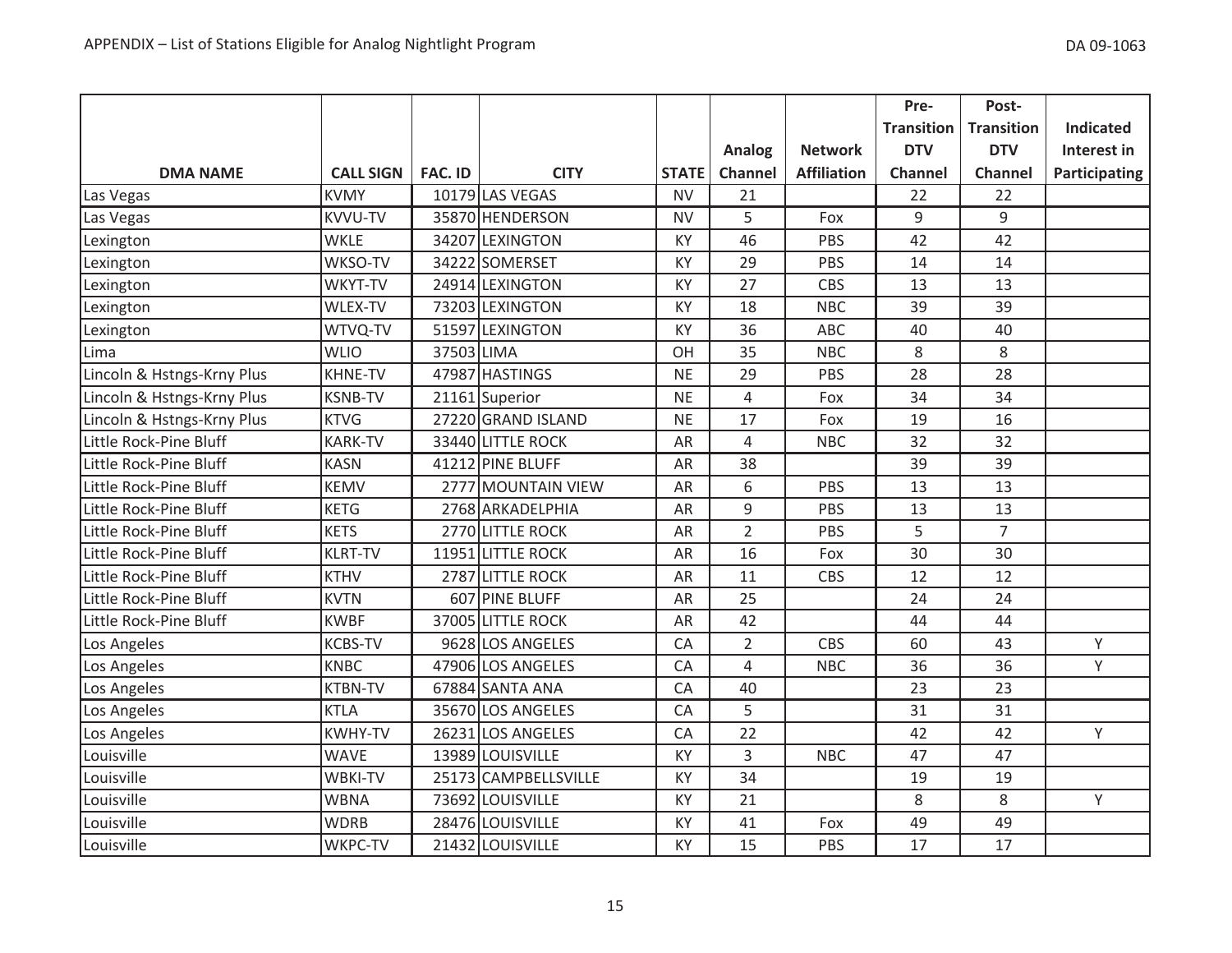|                            |                  |                |                      |              |                |                    | Pre-              | Post-             |                  |
|----------------------------|------------------|----------------|----------------------|--------------|----------------|--------------------|-------------------|-------------------|------------------|
|                            |                  |                |                      |              |                |                    | <b>Transition</b> | <b>Transition</b> | <b>Indicated</b> |
|                            |                  |                |                      |              | Analog         | <b>Network</b>     | <b>DTV</b>        | <b>DTV</b>        | Interest in      |
| <b>DMA NAME</b>            | <b>CALL SIGN</b> | <b>FAC. ID</b> | <b>CITY</b>          | <b>STATE</b> | Channel        | <b>Affiliation</b> | <b>Channel</b>    | Channel           | Participating    |
| Las Vegas                  | <b>KVMY</b>      |                | 10179 LAS VEGAS      | <b>NV</b>    | 21             |                    | 22                | 22                |                  |
| Las Vegas                  | <b>KVVU-TV</b>   |                | 35870 HENDERSON      | <b>NV</b>    | 5              | Fox                | $9$               | 9                 |                  |
| Lexington                  | <b>WKLE</b>      |                | 34207 LEXINGTON      | KY           | 46             | PBS                | 42                | 42                |                  |
| Lexington                  | WKSO-TV          |                | 34222 SOMERSET       | KY           | 29             | PBS                | 14                | 14                |                  |
| Lexington                  | WKYT-TV          |                | 24914 LEXINGTON      | KY           | 27             | <b>CBS</b>         | 13                | 13                |                  |
| Lexington                  | WLEX-TV          |                | 73203 LEXINGTON      | KY           | 18             | <b>NBC</b>         | 39                | 39                |                  |
| Lexington                  | WTVQ-TV          |                | 51597 LEXINGTON      | KY           | 36             | ABC                | 40                | 40                |                  |
| Lima                       | <b>WLIO</b>      | 37503 LIMA     |                      | OH           | 35             | <b>NBC</b>         | 8                 | 8                 |                  |
| Lincoln & Hstngs-Krny Plus | <b>KHNE-TV</b>   |                | 47987 HASTINGS       | <b>NE</b>    | 29             | PBS                | 28                | 28                |                  |
| Lincoln & Hstngs-Krny Plus | <b>KSNB-TV</b>   |                | 21161 Superior       | <b>NE</b>    | 4              | Fox                | 34                | 34                |                  |
| Lincoln & Hstngs-Krny Plus | <b>KTVG</b>      |                | 27220 GRAND ISLAND   | <b>NE</b>    | 17             | Fox                | 19                | 16                |                  |
| Little Rock-Pine Bluff     | <b>KARK-TV</b>   |                | 33440 LITTLE ROCK    | AR           | $\overline{4}$ | <b>NBC</b>         | 32                | 32                |                  |
| Little Rock-Pine Bluff     | <b>KASN</b>      |                | 41212 PINE BLUFF     | AR           | 38             |                    | 39                | 39                |                  |
| Little Rock-Pine Bluff     | <b>KEMV</b>      |                | 2777 MOUNTAIN VIEW   | AR           | 6              | PBS                | 13                | 13                |                  |
| Little Rock-Pine Bluff     | <b>KETG</b>      |                | 2768 ARKADELPHIA     | AR           | 9              | PBS                | 13                | 13                |                  |
| Little Rock-Pine Bluff     | <b>KETS</b>      |                | 2770 LITTLE ROCK     | AR           | $\overline{2}$ | PBS                | 5                 | $\overline{7}$    |                  |
| Little Rock-Pine Bluff     | <b>KLRT-TV</b>   |                | 11951 LITTLE ROCK    | AR           | 16             | Fox                | 30                | 30                |                  |
| Little Rock-Pine Bluff     | <b>KTHV</b>      |                | 2787 LITTLE ROCK     | AR           | 11             | <b>CBS</b>         | 12                | 12                |                  |
| Little Rock-Pine Bluff     | <b>KVTN</b>      |                | 607 PINE BLUFF       | AR           | 25             |                    | 24                | 24                |                  |
| Little Rock-Pine Bluff     | <b>KWBF</b>      |                | 37005 LITTLE ROCK    | AR           | 42             |                    | 44                | 44                |                  |
| Los Angeles                | <b>KCBS-TV</b>   |                | 9628 LOS ANGELES     | CA           | $\overline{2}$ | <b>CBS</b>         | 60                | 43                | Υ                |
| Los Angeles                | <b>KNBC</b>      |                | 47906 LOS ANGELES    | CA           | $\overline{4}$ | <b>NBC</b>         | 36                | 36                | Y                |
| Los Angeles                | <b>KTBN-TV</b>   |                | 67884 SANTA ANA      | CA           | 40             |                    | 23                | 23                |                  |
| Los Angeles                | <b>KTLA</b>      |                | 35670 LOS ANGELES    | CA           | 5              |                    | 31                | 31                |                  |
| Los Angeles                | <b>KWHY-TV</b>   |                | 26231 LOS ANGELES    | CA           | 22             |                    | 42                | 42                | Y                |
| Louisville                 | <b>WAVE</b>      |                | 13989 LOUISVILLE     | KY           | 3              | <b>NBC</b>         | 47                | 47                |                  |
| Louisville                 | <b>WBKI-TV</b>   |                | 25173 CAMPBELLSVILLE | <b>KY</b>    | 34             |                    | 19                | 19                |                  |
| Louisville                 | <b>WBNA</b>      |                | 73692 LOUISVILLE     | KY           | 21             |                    | 8                 | 8                 | Υ                |
| Louisville                 | <b>WDRB</b>      |                | 28476 LOUISVILLE     | KY           | 41             | Fox                | 49                | 49                |                  |
| Louisville                 | WKPC-TV          |                | 21432 LOUISVILLE     | KY           | 15             | PBS                | 17                | 17                |                  |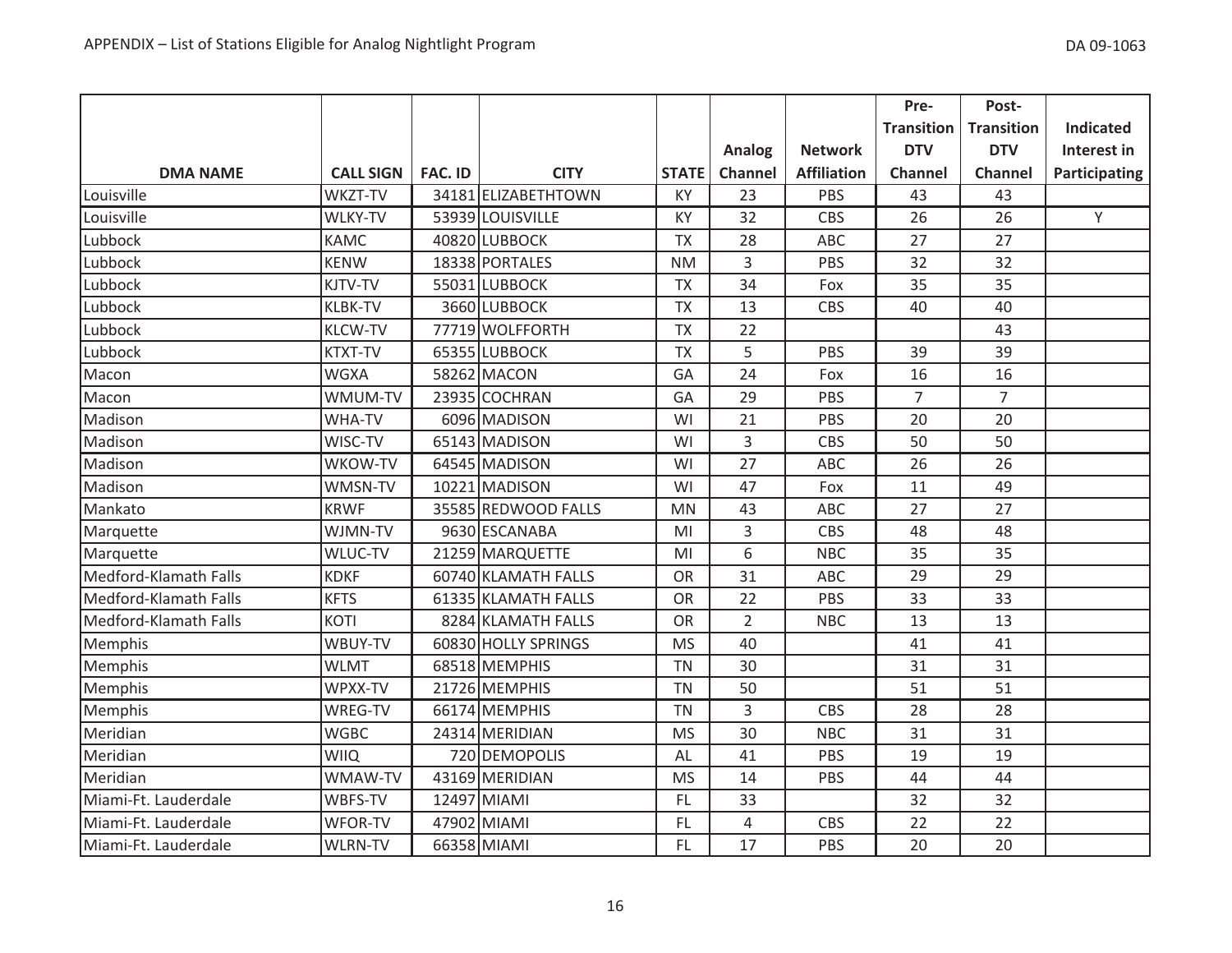|                       |                  |                |                     |              |                |                    | Pre-              | Post-             |                  |
|-----------------------|------------------|----------------|---------------------|--------------|----------------|--------------------|-------------------|-------------------|------------------|
|                       |                  |                |                     |              |                |                    | <b>Transition</b> | <b>Transition</b> | <b>Indicated</b> |
|                       |                  |                |                     |              | Analog         | <b>Network</b>     | <b>DTV</b>        | <b>DTV</b>        | Interest in      |
| <b>DMA NAME</b>       | <b>CALL SIGN</b> | <b>FAC. ID</b> | <b>CITY</b>         | <b>STATE</b> | Channel        | <b>Affiliation</b> | <b>Channel</b>    | Channel           | Participating    |
| Louisville            | WKZT-TV          |                | 34181 ELIZABETHTOWN | KY           | 23             | PBS                | 43                | 43                |                  |
| Louisville            | <b>WLKY-TV</b>   |                | 53939 LOUISVILLE    | KY           | 32             | <b>CBS</b>         | 26                | 26                | Y                |
| Lubbock               | <b>KAMC</b>      |                | 40820 LUBBOCK       | <b>TX</b>    | 28             | <b>ABC</b>         | 27                | 27                |                  |
| Lubbock               | <b>KENW</b>      |                | 18338 PORTALES      | <b>NM</b>    | $\overline{3}$ | PBS                | 32                | 32                |                  |
| Lubbock               | KJTV-TV          |                | 55031 LUBBOCK       | <b>TX</b>    | 34             | Fox                | 35                | 35                |                  |
| Lubbock               | <b>KLBK-TV</b>   |                | 3660 LUBBOCK        | <b>TX</b>    | 13             | <b>CBS</b>         | 40                | 40                |                  |
| Lubbock               | <b>KLCW-TV</b>   |                | 77719 WOLFFORTH     | <b>TX</b>    | 22             |                    |                   | 43                |                  |
| Lubbock               | <b>KTXT-TV</b>   |                | 65355 LUBBOCK       | <b>TX</b>    | 5              | PBS                | 39                | 39                |                  |
| Macon                 | <b>WGXA</b>      |                | 58262 MACON         | GA           | 24             | Fox                | 16                | 16                |                  |
| Macon                 | WMUM-TV          |                | 23935 COCHRAN       | GA           | 29             | PBS                | $\overline{7}$    | $\overline{7}$    |                  |
| Madison               | WHA-TV           |                | 6096 MADISON        | WI           | 21             | PBS                | 20                | 20                |                  |
| Madison               | WISC-TV          |                | 65143 MADISON       | WI           | 3              | CBS                | 50                | 50                |                  |
| Madison               | WKOW-TV          |                | 64545 MADISON       | WI           | 27             | ABC                | 26                | 26                |                  |
| Madison               | WMSN-TV          |                | 10221 MADISON       | WI           | 47             | Fox                | 11                | 49                |                  |
| Mankato               | <b>KRWF</b>      |                | 35585 REDWOOD FALLS | <b>MN</b>    | 43             | ABC                | 27                | 27                |                  |
| Marquette             | WJMN-TV          |                | 9630 ESCANABA       | MI           | 3              | CBS                | 48                | 48                |                  |
| Marquette             | WLUC-TV          |                | 21259 MARQUETTE     | MI           | 6              | <b>NBC</b>         | 35                | 35                |                  |
| Medford-Klamath Falls | <b>KDKF</b>      |                | 60740 KLAMATH FALLS | <b>OR</b>    | 31             | <b>ABC</b>         | 29                | 29                |                  |
| Medford-Klamath Falls | <b>KFTS</b>      |                | 61335 KLAMATH FALLS | <b>OR</b>    | 22             | PBS                | 33                | 33                |                  |
| Medford-Klamath Falls | KOTI             |                | 8284 KLAMATH FALLS  | <b>OR</b>    | $\overline{2}$ | <b>NBC</b>         | 13                | 13                |                  |
| Memphis               | WBUY-TV          |                | 60830 HOLLY SPRINGS | <b>MS</b>    | 40             |                    | 41                | 41                |                  |
| Memphis               | <b>WLMT</b>      |                | 68518 MEMPHIS       | <b>TN</b>    | 30             |                    | 31                | 31                |                  |
| Memphis               | WPXX-TV          |                | 21726 MEMPHIS       | <b>TN</b>    | 50             |                    | 51                | 51                |                  |
| Memphis               | WREG-TV          |                | 66174 MEMPHIS       | <b>TN</b>    | 3              | <b>CBS</b>         | 28                | 28                |                  |
| Meridian              | <b>WGBC</b>      |                | 24314 MERIDIAN      | <b>MS</b>    | 30             | <b>NBC</b>         | 31                | 31                |                  |
| Meridian              | <b>WIIQ</b>      |                | 720 DEMOPOLIS       | AL           | 41             | PBS                | 19                | 19                |                  |
| Meridian              | WMAW-TV          |                | 43169 MERIDIAN      | <b>MS</b>    | 14             | PBS                | 44                | 44                |                  |
| Miami-Ft. Lauderdale  | WBFS-TV          |                | 12497 MIAMI         | <b>FL</b>    | 33             |                    | 32                | 32                |                  |
| Miami-Ft. Lauderdale  | WFOR-TV          |                | 47902 MIAMI         | FL.          | $\overline{4}$ | <b>CBS</b>         | 22                | 22                |                  |
| Miami-Ft. Lauderdale  | <b>WLRN-TV</b>   |                | 66358 MIAMI         | FL.          | 17             | PBS                | 20                | 20                |                  |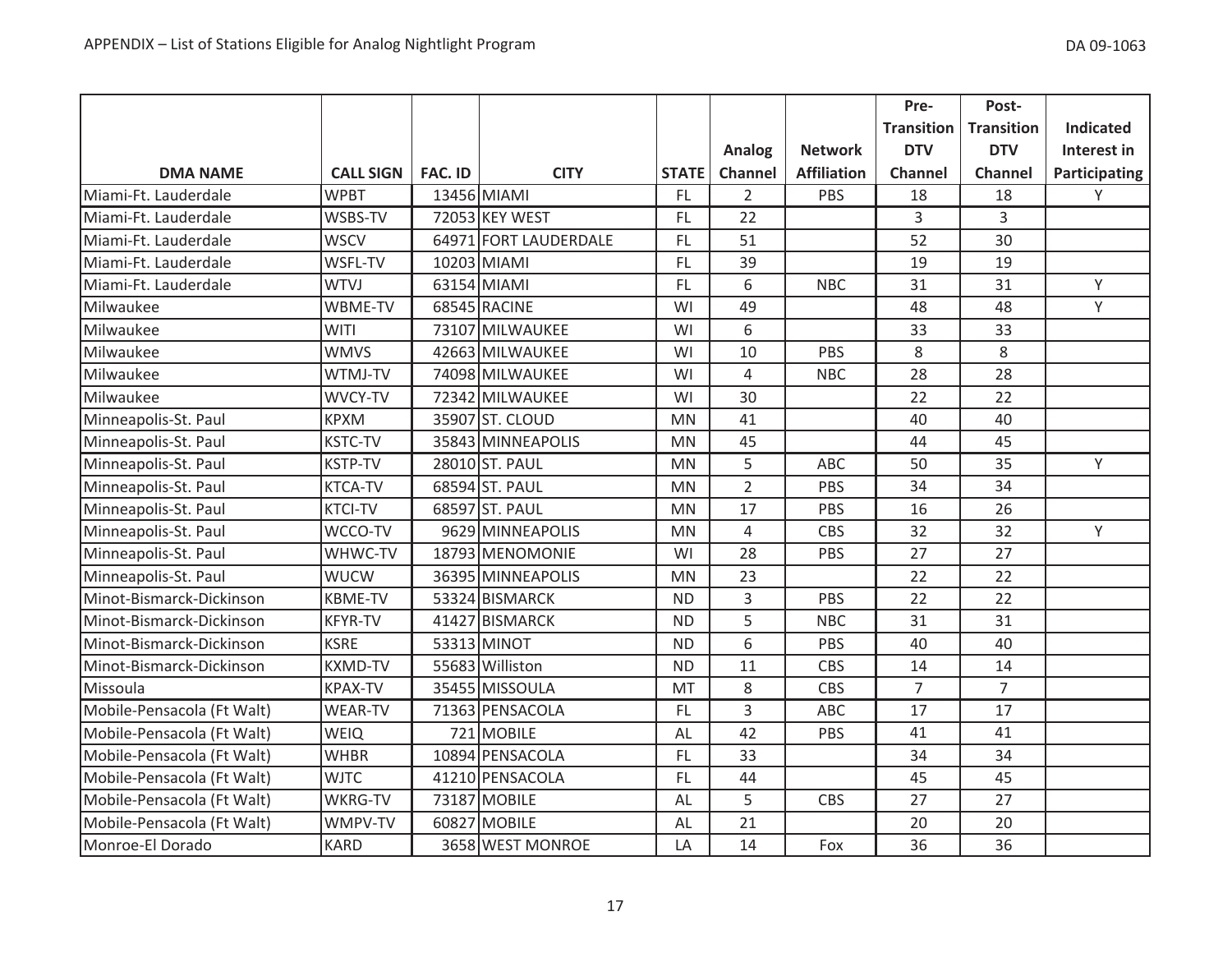|                            |                  |                |                       |              |                |                    | Pre-              | Post-             |                      |
|----------------------------|------------------|----------------|-----------------------|--------------|----------------|--------------------|-------------------|-------------------|----------------------|
|                            |                  |                |                       |              |                |                    | <b>Transition</b> | <b>Transition</b> | <b>Indicated</b>     |
|                            |                  |                |                       |              | <b>Analog</b>  | <b>Network</b>     | <b>DTV</b>        | <b>DTV</b>        | Interest in          |
| <b>DMA NAME</b>            | <b>CALL SIGN</b> | <b>FAC. ID</b> | <b>CITY</b>           | <b>STATE</b> | Channel        | <b>Affiliation</b> | <b>Channel</b>    | <b>Channel</b>    | <b>Participating</b> |
| Miami-Ft. Lauderdale       | <b>WPBT</b>      |                | 13456 MIAMI           | <b>FL</b>    | $\overline{2}$ | PBS                | 18                | 18                | Υ                    |
| Miami-Ft. Lauderdale       | WSBS-TV          |                | 72053 KEY WEST        | FL.          | 22             |                    | 3                 | 3                 |                      |
| Miami-Ft. Lauderdale       | <b>WSCV</b>      |                | 64971 FORT LAUDERDALE | FL           | 51             |                    | 52                | 30                |                      |
| Miami-Ft. Lauderdale       | WSFL-TV          |                | 10203 MIAMI           | <b>FL</b>    | 39             |                    | 19                | 19                |                      |
| Miami-Ft. Lauderdale       | <b>WTVJ</b>      |                | 63154 MIAMI           | FL.          | 6              | <b>NBC</b>         | 31                | 31                | Y                    |
| Milwaukee                  | WBME-TV          |                | 68545 RACINE          | WI           | 49             |                    | 48                | 48                | Y                    |
| Milwaukee                  | <b>WITI</b>      |                | 73107 MILWAUKEE       | WI           | 6              |                    | 33                | 33                |                      |
| Milwaukee                  | <b>WMVS</b>      |                | 42663 MILWAUKEE       | WI           | 10             | PBS                | 8                 | 8                 |                      |
| Milwaukee                  | WTMJ-TV          |                | 74098 MILWAUKEE       | WI           | $\overline{4}$ | <b>NBC</b>         | 28                | 28                |                      |
| Milwaukee                  | WVCY-TV          |                | 72342 MILWAUKEE       | WI           | 30             |                    | 22                | 22                |                      |
| Minneapolis-St. Paul       | <b>KPXM</b>      |                | 35907 ST. CLOUD       | <b>MN</b>    | 41             |                    | 40                | 40                |                      |
| Minneapolis-St. Paul       | <b>KSTC-TV</b>   |                | 35843 MINNEAPOLIS     | <b>MN</b>    | 45             |                    | 44                | 45                |                      |
| Minneapolis-St. Paul       | <b>KSTP-TV</b>   |                | 28010 ST. PAUL        | <b>MN</b>    | 5              | <b>ABC</b>         | 50                | 35                | Υ                    |
| Minneapolis-St. Paul       | <b>KTCA-TV</b>   |                | 68594 ST. PAUL        | <b>MN</b>    | $\overline{2}$ | PBS                | 34                | 34                |                      |
| Minneapolis-St. Paul       | <b>KTCI-TV</b>   |                | 68597 ST. PAUL        | <b>MN</b>    | 17             | PBS                | 16                | 26                |                      |
| Minneapolis-St. Paul       | WCCO-TV          |                | 9629 MINNEAPOLIS      | <b>MN</b>    | $\overline{4}$ | CBS                | 32                | 32                | Y                    |
| Minneapolis-St. Paul       | WHWC-TV          |                | 18793 MENOMONIE       | WI           | 28             | PBS                | 27                | 27                |                      |
| Minneapolis-St. Paul       | <b>WUCW</b>      |                | 36395 MINNEAPOLIS     | <b>MN</b>    | 23             |                    | 22                | 22                |                      |
| Minot-Bismarck-Dickinson   | <b>KBME-TV</b>   |                | 53324 BISMARCK        | <b>ND</b>    | 3              | PBS                | 22                | 22                |                      |
| Minot-Bismarck-Dickinson   | <b>KFYR-TV</b>   |                | 41427 BISMARCK        | <b>ND</b>    | 5              | <b>NBC</b>         | 31                | 31                |                      |
| Minot-Bismarck-Dickinson   | <b>KSRE</b>      |                | 53313 MINOT           | <b>ND</b>    | 6              | PBS                | 40                | 40                |                      |
| Minot-Bismarck-Dickinson   | <b>KXMD-TV</b>   |                | 55683 Williston       | <b>ND</b>    | 11             | CBS                | 14                | 14                |                      |
| Missoula                   | <b>KPAX-TV</b>   |                | 35455 MISSOULA        | MT           | 8              | <b>CBS</b>         | $\overline{7}$    | $\overline{7}$    |                      |
| Mobile-Pensacola (Ft Walt) | <b>WEAR-TV</b>   |                | 71363 PENSACOLA       | <b>FL</b>    | 3              | ABC                | 17                | 17                |                      |
| Mobile-Pensacola (Ft Walt) | <b>WEIQ</b>      |                | 721 MOBILE            | AL           | 42             | PBS                | 41                | 41                |                      |
| Mobile-Pensacola (Ft Walt) | <b>WHBR</b>      |                | 10894 PENSACOLA       | FL.          | 33             |                    | 34                | 34                |                      |
| Mobile-Pensacola (Ft Walt) | <b>WJTC</b>      |                | 41210 PENSACOLA       | FL.          | 44             |                    | 45                | 45                |                      |
| Mobile-Pensacola (Ft Walt) | <b>WKRG-TV</b>   |                | 73187 MOBILE          | AL           | 5              | <b>CBS</b>         | 27                | 27                |                      |
| Mobile-Pensacola (Ft Walt) | WMPV-TV          |                | 60827 MOBILE          | AL           | 21             |                    | 20                | 20                |                      |
| Monroe-El Dorado           | KARD             |                | 3658 WEST MONROE      | LA           | 14             | Fox                | 36                | 36                |                      |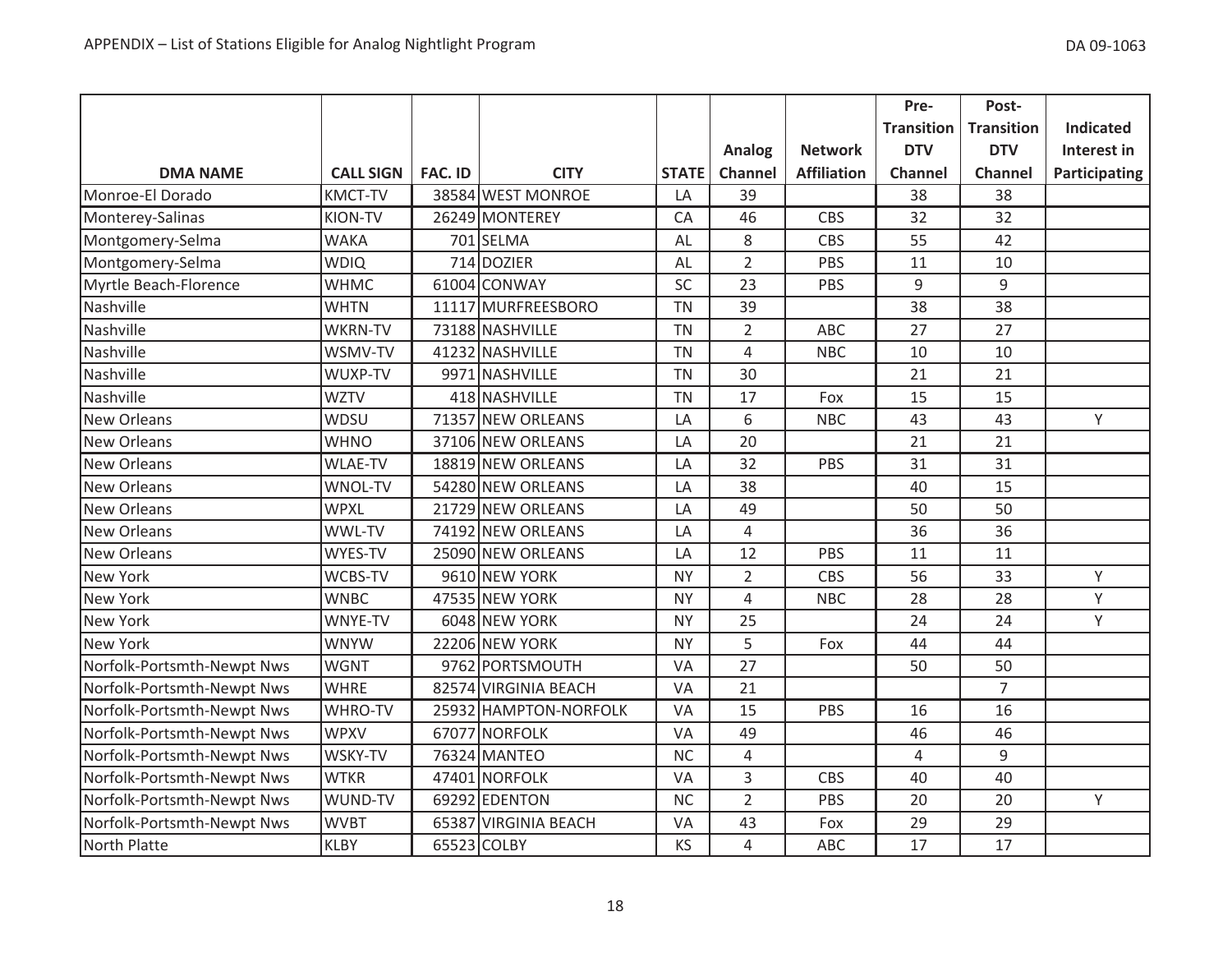|                            |                  |                |                       |              |                |                    | Pre-              | Post-             |                  |
|----------------------------|------------------|----------------|-----------------------|--------------|----------------|--------------------|-------------------|-------------------|------------------|
|                            |                  |                |                       |              |                |                    | <b>Transition</b> | <b>Transition</b> | <b>Indicated</b> |
|                            |                  |                |                       |              | Analog         | <b>Network</b>     | <b>DTV</b>        | <b>DTV</b>        | Interest in      |
| <b>DMA NAME</b>            | <b>CALL SIGN</b> | <b>FAC. ID</b> | <b>CITY</b>           | <b>STATE</b> | Channel        | <b>Affiliation</b> | Channel           | Channel           | Participating    |
| Monroe-El Dorado           | <b>KMCT-TV</b>   |                | 38584 WEST MONROE     | LA           | 39             |                    | 38                | 38                |                  |
| Monterey-Salinas           | KION-TV          |                | 26249 MONTEREY        | CA           | 46             | <b>CBS</b>         | 32                | 32                |                  |
| Montgomery-Selma           | <b>WAKA</b>      |                | 701 SELMA             | AL           | 8              | CBS                | 55                | 42                |                  |
| Montgomery-Selma           | <b>WDIQ</b>      |                | 714 DOZIER            | AL           | $\overline{2}$ | PBS                | 11                | 10                |                  |
| Myrtle Beach-Florence      | <b>WHMC</b>      |                | 61004 CONWAY          | SC           | 23             | PBS                | 9                 | 9                 |                  |
| Nashville                  | <b>WHTN</b>      |                | 11117 MURFREESBORO    | <b>TN</b>    | 39             |                    | 38                | 38                |                  |
| Nashville                  | <b>WKRN-TV</b>   |                | 73188 NASHVILLE       | <b>TN</b>    | $\overline{2}$ | ABC                | 27                | 27                |                  |
| Nashville                  | WSMV-TV          |                | 41232 NASHVILLE       | <b>TN</b>    | $\overline{4}$ | <b>NBC</b>         | 10                | 10                |                  |
| Nashville                  | WUXP-TV          |                | 9971 NASHVILLE        | <b>TN</b>    | 30             |                    | 21                | 21                |                  |
| Nashville                  | <b>WZTV</b>      |                | 418 NASHVILLE         | <b>TN</b>    | 17             | Fox                | 15                | 15                |                  |
| <b>New Orleans</b>         | WDSU             |                | 71357 NEW ORLEANS     | LA           | 6              | <b>NBC</b>         | 43                | 43                | Y                |
| <b>New Orleans</b>         | <b>WHNO</b>      |                | 37106 NEW ORLEANS     | LA           | 20             |                    | 21                | 21                |                  |
| <b>New Orleans</b>         | <b>WLAE-TV</b>   |                | 18819 NEW ORLEANS     | LA           | 32             | PBS                | 31                | 31                |                  |
| <b>New Orleans</b>         | WNOL-TV          |                | 54280 NEW ORLEANS     | LA           | 38             |                    | 40                | 15                |                  |
| <b>New Orleans</b>         | <b>WPXL</b>      |                | 21729 NEW ORLEANS     | LA           | 49             |                    | 50                | 50                |                  |
| New Orleans                | WWL-TV           |                | 74192 NEW ORLEANS     | LA           | $\overline{4}$ |                    | 36                | 36                |                  |
| <b>New Orleans</b>         | WYES-TV          |                | 25090 NEW ORLEANS     | LA           | 12             | PBS                | 11                | 11                |                  |
| <b>New York</b>            | <b>WCBS-TV</b>   |                | 9610 NEW YORK         | <b>NY</b>    | $\overline{2}$ | <b>CBS</b>         | 56                | 33                | Y                |
| <b>New York</b>            | <b>WNBC</b>      |                | 47535 NEW YORK        | <b>NY</b>    | 4              | <b>NBC</b>         | 28                | 28                | Y                |
| <b>New York</b>            | WNYE-TV          |                | 6048 NEW YORK         | <b>NY</b>    | 25             |                    | 24                | 24                | Υ                |
| New York                   | <b>WNYW</b>      |                | 22206 NEW YORK        | <b>NY</b>    | 5              | Fox                | 44                | 44                |                  |
| Norfolk-Portsmth-Newpt Nws | <b>WGNT</b>      |                | 9762 PORTSMOUTH       | VA           | 27             |                    | 50                | 50                |                  |
| Norfolk-Portsmth-Newpt Nws | <b>WHRE</b>      |                | 82574 VIRGINIA BEACH  | VA           | 21             |                    |                   | $\overline{7}$    |                  |
| Norfolk-Portsmth-Newpt Nws | WHRO-TV          |                | 25932 HAMPTON-NORFOLK | VA           | 15             | PBS                | 16                | 16                |                  |
| Norfolk-Portsmth-Newpt Nws | <b>WPXV</b>      |                | 67077 NORFOLK         | VA           | 49             |                    | 46                | 46                |                  |
| Norfolk-Portsmth-Newpt Nws | WSKY-TV          |                | 76324 MANTEO          | <b>NC</b>    | 4              |                    | $\overline{4}$    | 9                 |                  |
| Norfolk-Portsmth-Newpt Nws | <b>WTKR</b>      |                | 47401 NORFOLK         | <b>VA</b>    | 3              | <b>CBS</b>         | 40                | 40                |                  |
| Norfolk-Portsmth-Newpt Nws | WUND-TV          |                | 69292 EDENTON         | <b>NC</b>    | $\overline{2}$ | PBS                | 20                | 20                | Υ                |
| Norfolk-Portsmth-Newpt Nws | <b>WVBT</b>      |                | 65387 VIRGINIA BEACH  | VA           | 43             | Fox                | 29                | 29                |                  |
| North Platte               | <b>KLBY</b>      |                | 65523 COLBY           | KS           | $\overline{4}$ | ABC                | 17                | 17                |                  |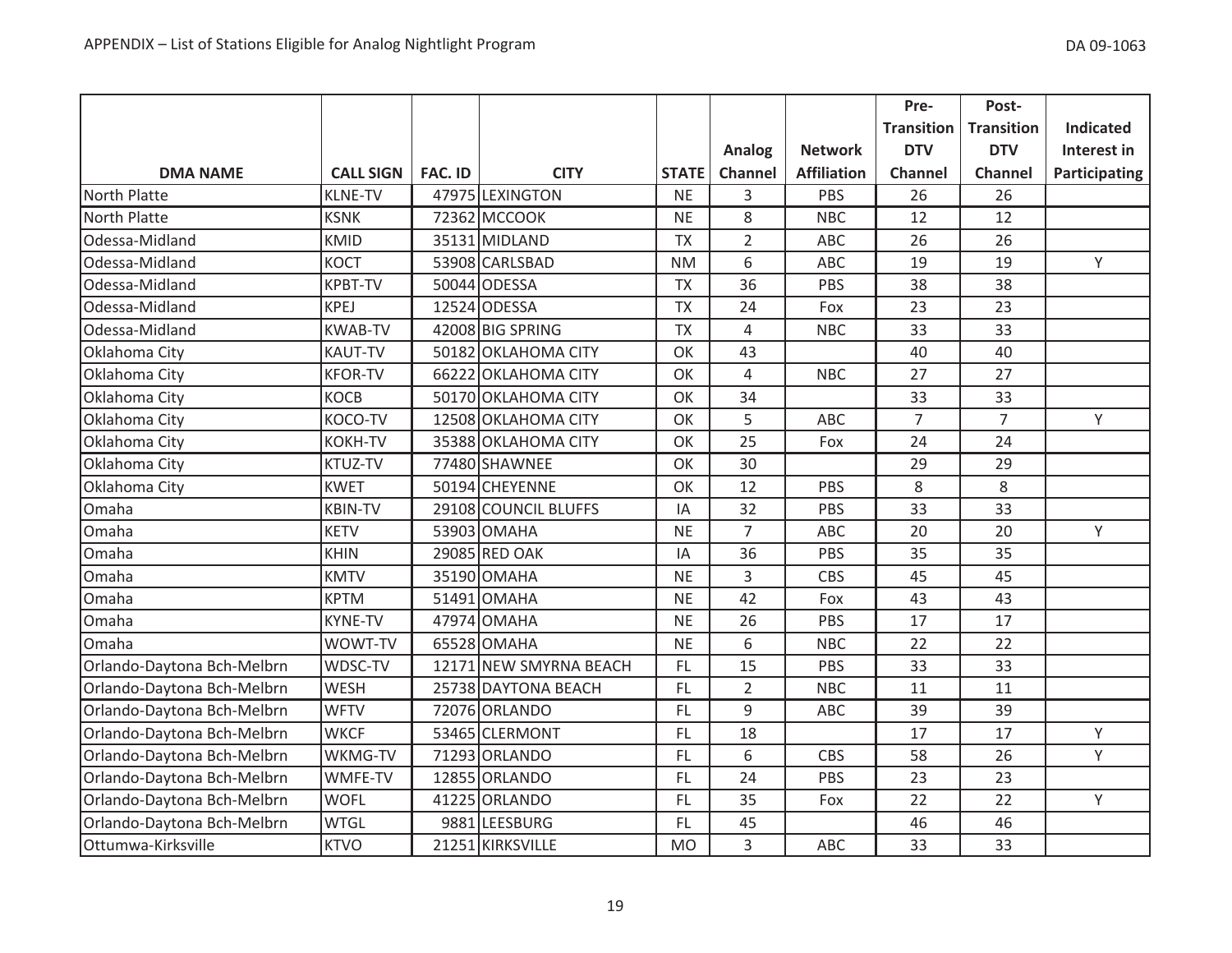|                            |                  |                |                        |              |                |                    | Pre-              | Post-             |                  |
|----------------------------|------------------|----------------|------------------------|--------------|----------------|--------------------|-------------------|-------------------|------------------|
|                            |                  |                |                        |              |                |                    | <b>Transition</b> | <b>Transition</b> | <b>Indicated</b> |
|                            |                  |                |                        |              | Analog         | <b>Network</b>     | <b>DTV</b>        | <b>DTV</b>        | Interest in      |
| <b>DMA NAME</b>            | <b>CALL SIGN</b> | <b>FAC. ID</b> | <b>CITY</b>            | <b>STATE</b> | Channel        | <b>Affiliation</b> | <b>Channel</b>    | Channel           | Participating    |
| North Platte               | <b>KLNE-TV</b>   |                | 47975 LEXINGTON        | <b>NE</b>    | 3              | PBS                | 26                | 26                |                  |
| <b>North Platte</b>        | <b>KSNK</b>      |                | 72362 MCCOOK           | <b>NE</b>    | 8              | <b>NBC</b>         | 12                | 12                |                  |
| Odessa-Midland             | <b>KMID</b>      |                | 35131 MIDLAND          | <b>TX</b>    | $\overline{2}$ | <b>ABC</b>         | 26                | 26                |                  |
| Odessa-Midland             | <b>KOCT</b>      |                | 53908 CARLSBAD         | <b>NM</b>    | 6              | ABC                | 19                | 19                | Y                |
| Odessa-Midland             | <b>KPBT-TV</b>   |                | 50044 ODESSA           | <b>TX</b>    | 36             | PBS                | 38                | 38                |                  |
| Odessa-Midland             | <b>KPEJ</b>      |                | 12524 ODESSA           | <b>TX</b>    | 24             | Fox                | 23                | 23                |                  |
| Odessa-Midland             | <b>KWAB-TV</b>   |                | 42008 BIG SPRING       | <b>TX</b>    | $\overline{4}$ | <b>NBC</b>         | 33                | 33                |                  |
| Oklahoma City              | <b>KAUT-TV</b>   |                | 50182 OKLAHOMA CITY    | OK           | 43             |                    | 40                | 40                |                  |
| Oklahoma City              | <b>KFOR-TV</b>   |                | 66222 OKLAHOMA CITY    | OK           | 4              | <b>NBC</b>         | 27                | 27                |                  |
| Oklahoma City              | <b>KOCB</b>      |                | 50170 OKLAHOMA CITY    | OK           | 34             |                    | 33                | 33                |                  |
| Oklahoma City              | KOCO-TV          |                | 12508 OKLAHOMA CITY    | OK           | 5              | <b>ABC</b>         | $\overline{7}$    | $\overline{7}$    | Y                |
| Oklahoma City              | <b>KOKH-TV</b>   |                | 35388 OKLAHOMA CITY    | OK           | 25             | Fox                | 24                | 24                |                  |
| Oklahoma City              | KTUZ-TV          |                | 77480 SHAWNEE          | OK           | 30             |                    | 29                | 29                |                  |
| Oklahoma City              | <b>KWET</b>      |                | 50194 CHEYENNE         | OK           | 12             | PBS                | 8                 | 8                 |                  |
| Omaha                      | <b>KBIN-TV</b>   |                | 29108 COUNCIL BLUFFS   | IA           | 32             | PBS                | 33                | 33                |                  |
| Omaha                      | <b>KETV</b>      |                | 53903 OMAHA            | <b>NE</b>    | $\overline{7}$ | ABC                | 20                | 20                | Y                |
| Omaha                      | <b>KHIN</b>      |                | 29085 RED OAK          | IA           | 36             | PBS                | 35                | 35                |                  |
| Omaha                      | <b>KMTV</b>      |                | 35190 OMAHA            | <b>NE</b>    | $\overline{3}$ | <b>CBS</b>         | 45                | 45                |                  |
| Omaha                      | <b>KPTM</b>      |                | 51491 OMAHA            | <b>NE</b>    | 42             | Fox                | 43                | 43                |                  |
| Omaha                      | <b>KYNE-TV</b>   |                | 47974 OMAHA            | <b>NE</b>    | 26             | PBS                | 17                | 17                |                  |
| Omaha                      | WOWT-TV          |                | 65528 OMAHA            | <b>NE</b>    | 6              | <b>NBC</b>         | 22                | 22                |                  |
| Orlando-Daytona Bch-Melbrn | WDSC-TV          |                | 12171 NEW SMYRNA BEACH | FL           | 15             | PBS                | 33                | 33                |                  |
| Orlando-Daytona Bch-Melbrn | WESH             |                | 25738 DAYTONA BEACH    | FL           | $\overline{2}$ | <b>NBC</b>         | 11                | 11                |                  |
| Orlando-Daytona Bch-Melbrn | <b>WFTV</b>      |                | 72076 ORLANDO          | FL           | 9              | ABC                | 39                | 39                |                  |
| Orlando-Daytona Bch-Melbrn | <b>WKCF</b>      |                | 53465 CLERMONT         | FL.          | 18             |                    | 17                | 17                | Y                |
| Orlando-Daytona Bch-Melbrn | WKMG-TV          |                | 71293 ORLANDO          | FL.          | 6              | <b>CBS</b>         | 58                | 26                | Y                |
| Orlando-Daytona Bch-Melbrn | WMFE-TV          |                | 12855 ORLANDO          | FL.          | 24             | PBS                | 23                | 23                |                  |
| Orlando-Daytona Bch-Melbrn | <b>WOFL</b>      |                | 41225 ORLANDO          | FL           | 35             | Fox                | 22                | 22                | Y                |
| Orlando-Daytona Bch-Melbrn | <b>WTGL</b>      |                | 9881 LEESBURG          | FL.          | 45             |                    | 46                | 46                |                  |
| Ottumwa-Kirksville         | <b>KTVO</b>      |                | 21251 KIRKSVILLE       | <b>MO</b>    | 3              | ABC                | 33                | 33                |                  |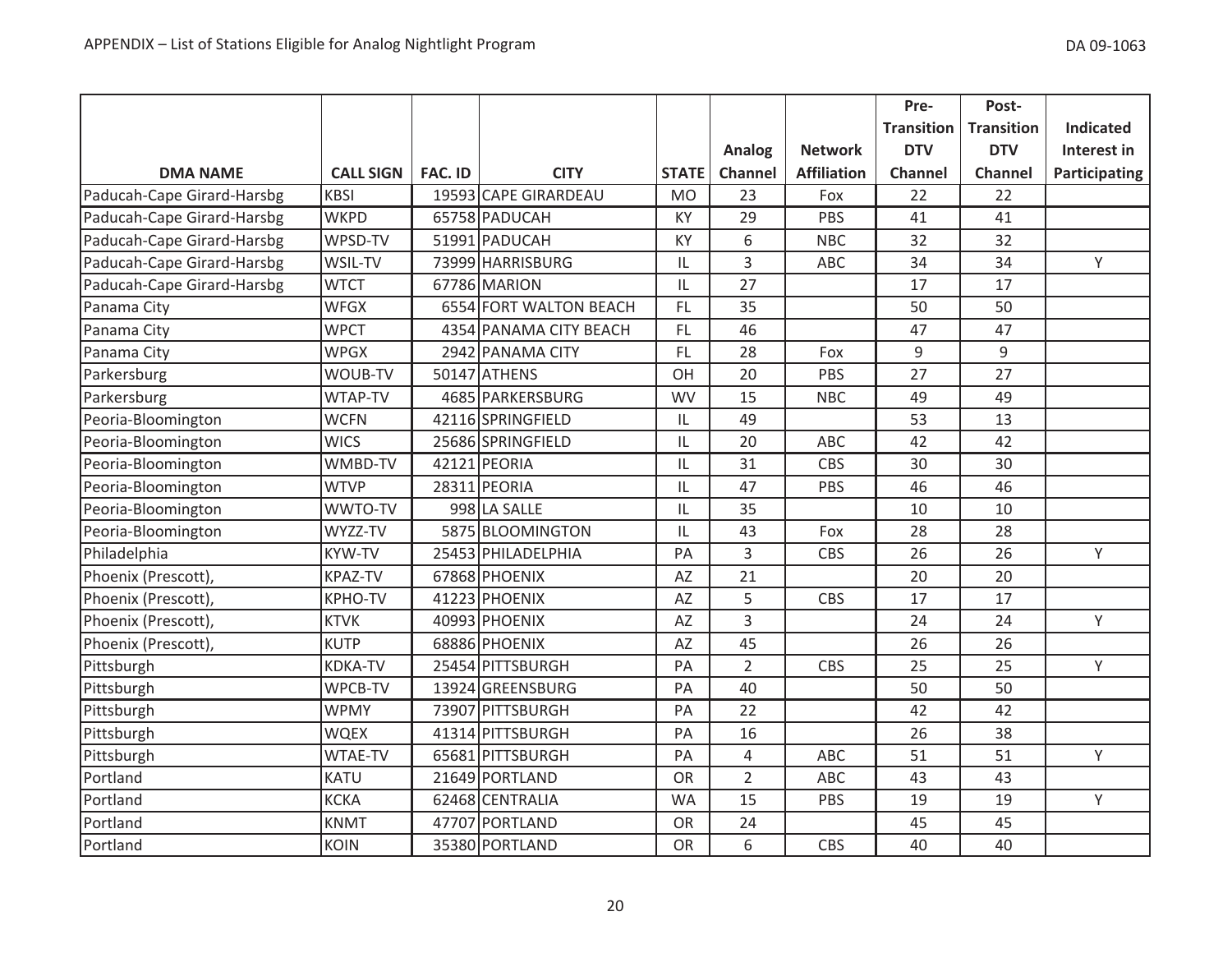|                            |                  |                |                        |              |                |                    | Pre-              | Post-             |                  |
|----------------------------|------------------|----------------|------------------------|--------------|----------------|--------------------|-------------------|-------------------|------------------|
|                            |                  |                |                        |              |                |                    | <b>Transition</b> | <b>Transition</b> | <b>Indicated</b> |
|                            |                  |                |                        |              | Analog         | <b>Network</b>     | <b>DTV</b>        | <b>DTV</b>        | Interest in      |
| <b>DMA NAME</b>            | <b>CALL SIGN</b> | <b>FAC. ID</b> | <b>CITY</b>            | <b>STATE</b> | Channel        | <b>Affiliation</b> | <b>Channel</b>    | Channel           | Participating    |
| Paducah-Cape Girard-Harsbg | <b>KBSI</b>      |                | 19593 CAPE GIRARDEAU   | <b>MO</b>    | 23             | Fox                | 22                | 22                |                  |
| Paducah-Cape Girard-Harsbg | <b>WKPD</b>      |                | 65758 PADUCAH          | KY           | 29             | PBS                | 41                | 41                |                  |
| Paducah-Cape Girard-Harsbg | WPSD-TV          |                | 51991 PADUCAH          | KY           | 6              | <b>NBC</b>         | 32                | 32                |                  |
| Paducah-Cape Girard-Harsbg | WSIL-TV          |                | 73999 HARRISBURG       | IL           | 3              | <b>ABC</b>         | 34                | 34                | Y                |
| Paducah-Cape Girard-Harsbg | <b>WTCT</b>      |                | 67786 MARION           | IL           | 27             |                    | 17                | 17                |                  |
| Panama City                | <b>WFGX</b>      |                | 6554 FORT WALTON BEACH | FL           | 35             |                    | 50                | 50                |                  |
| Panama City                | <b>WPCT</b>      |                | 4354 PANAMA CITY BEACH | FL.          | 46             |                    | 47                | 47                |                  |
| Panama City                | <b>WPGX</b>      |                | 2942 PANAMA CITY       | FL.          | 28             | Fox                | 9                 | 9                 |                  |
| Parkersburg                | WOUB-TV          |                | 50147 ATHENS           | OH           | 20             | PBS                | 27                | 27                |                  |
| Parkersburg                | WTAP-TV          |                | 4685 PARKERSBURG       | <b>WV</b>    | 15             | <b>NBC</b>         | 49                | 49                |                  |
| Peoria-Bloomington         | <b>WCFN</b>      |                | 42116 SPRINGFIELD      | IL           | 49             |                    | 53                | 13                |                  |
| Peoria-Bloomington         | <b>WICS</b>      |                | 25686 SPRINGFIELD      | IL           | 20             | <b>ABC</b>         | 42                | 42                |                  |
| Peoria-Bloomington         | WMBD-TV          |                | 42121 PEORIA           | IL           | 31             | CBS                | 30                | 30                |                  |
| Peoria-Bloomington         | <b>WTVP</b>      |                | 28311 PEORIA           | IL           | 47             | PBS                | 46                | 46                |                  |
| Peoria-Bloomington         | WWTO-TV          |                | 998 LA SALLE           | IL           | 35             |                    | 10                | 10                |                  |
| Peoria-Bloomington         | WYZZ-TV          |                | 5875 BLOOMINGTON       | IL           | 43             | Fox                | 28                | 28                |                  |
| Philadelphia               | <b>KYW-TV</b>    |                | 25453 PHILADELPHIA     | PA           | 3              | CBS                | 26                | 26                | Y                |
| Phoenix (Prescott),        | KPAZ-TV          |                | 67868 PHOENIX          | AZ           | 21             |                    | 20                | 20                |                  |
| Phoenix (Prescott),        | <b>KPHO-TV</b>   |                | 41223 PHOENIX          | AZ           | 5              | <b>CBS</b>         | 17                | 17                |                  |
| Phoenix (Prescott),        | <b>KTVK</b>      |                | 40993 PHOENIX          | AZ           | 3              |                    | 24                | 24                | Y                |
| Phoenix (Prescott),        | <b>KUTP</b>      |                | 68886 PHOENIX          | AZ           | 45             |                    | 26                | 26                |                  |
| Pittsburgh                 | <b>KDKA-TV</b>   |                | 25454 PITTSBURGH       | PA           | $\overline{2}$ | <b>CBS</b>         | 25                | 25                | Y                |
| Pittsburgh                 | WPCB-TV          |                | 13924 GREENSBURG       | PA           | 40             |                    | 50                | 50                |                  |
| Pittsburgh                 | <b>WPMY</b>      |                | 73907 PITTSBURGH       | PA           | 22             |                    | 42                | 42                |                  |
| Pittsburgh                 | <b>WQEX</b>      |                | 41314 PITTSBURGH       | PA           | 16             |                    | 26                | 38                |                  |
| Pittsburgh                 | WTAE-TV          |                | 65681 PITTSBURGH       | PA           | 4              | ABC                | 51                | 51                | Y                |
| Portland                   | <b>KATU</b>      |                | 21649 PORTLAND         | <b>OR</b>    | $\overline{2}$ | <b>ABC</b>         | 43                | 43                |                  |
| Portland                   | <b>KCKA</b>      |                | 62468 CENTRALIA        | <b>WA</b>    | 15             | PBS                | 19                | 19                | Υ                |
| Portland                   | <b>KNMT</b>      |                | 47707 PORTLAND         | <b>OR</b>    | 24             |                    | 45                | 45                |                  |
| Portland                   | <b>KOIN</b>      |                | 35380 PORTLAND         | <b>OR</b>    | 6              | <b>CBS</b>         | 40                | 40                |                  |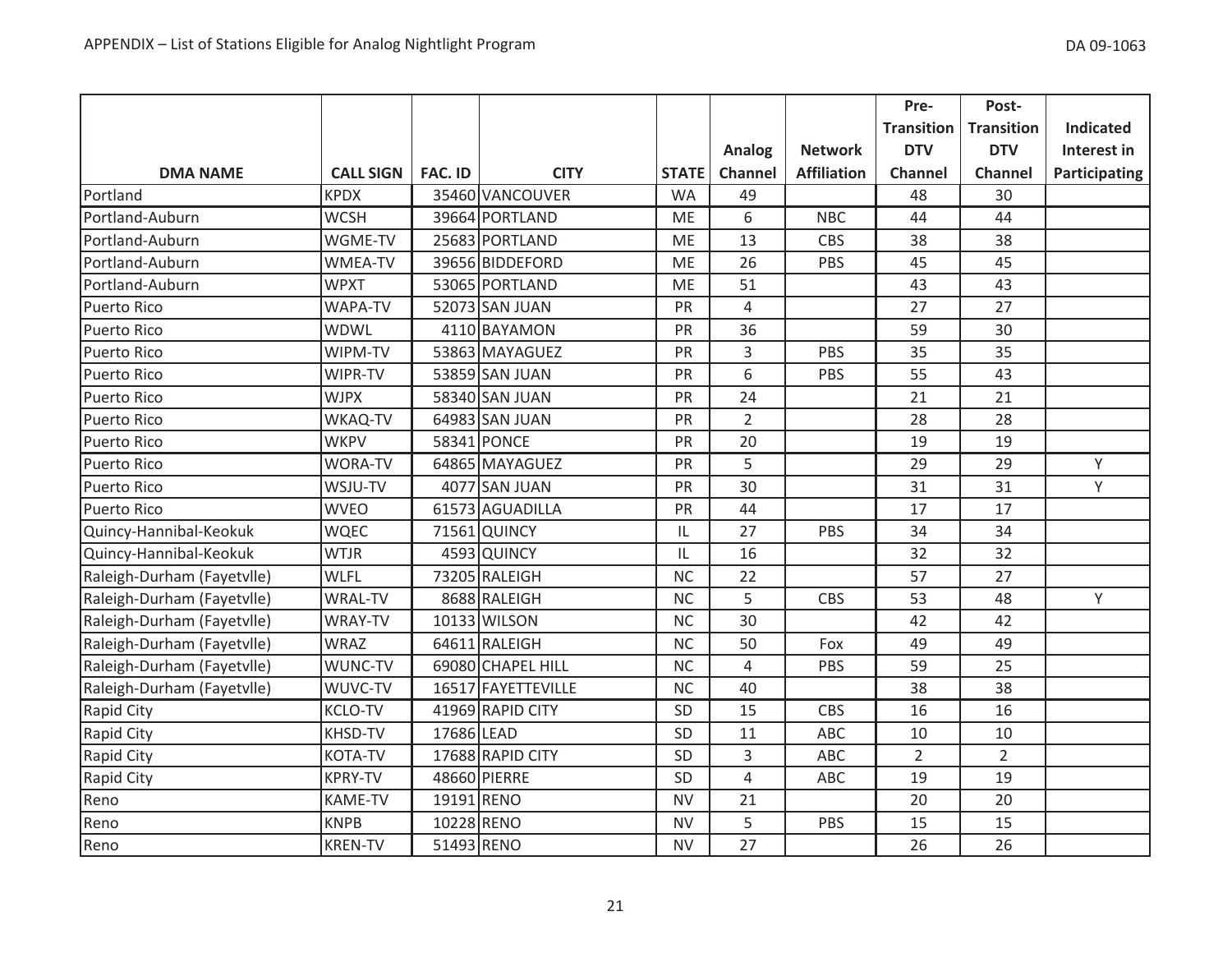|                            |                  |                |                    |              |                |                    | Pre-              | Post-             |                  |
|----------------------------|------------------|----------------|--------------------|--------------|----------------|--------------------|-------------------|-------------------|------------------|
|                            |                  |                |                    |              |                |                    | <b>Transition</b> | <b>Transition</b> | <b>Indicated</b> |
|                            |                  |                |                    |              | Analog         | <b>Network</b>     | <b>DTV</b>        | <b>DTV</b>        | Interest in      |
| <b>DMA NAME</b>            | <b>CALL SIGN</b> | <b>FAC. ID</b> | <b>CITY</b>        | <b>STATE</b> | Channel        | <b>Affiliation</b> | <b>Channel</b>    | <b>Channel</b>    | Participating    |
| Portland                   | <b>KPDX</b>      |                | 35460 VANCOUVER    | <b>WA</b>    | 49             |                    | 48                | 30                |                  |
| Portland-Auburn            | <b>WCSH</b>      |                | 39664 PORTLAND     | <b>ME</b>    | 6              | <b>NBC</b>         | 44                | 44                |                  |
| Portland-Auburn            | WGME-TV          |                | 25683 PORTLAND     | ME           | 13             | <b>CBS</b>         | 38                | 38                |                  |
| Portland-Auburn            | <b>WMEA-TV</b>   |                | 39656 BIDDEFORD    | <b>ME</b>    | 26             | PBS                | 45                | 45                |                  |
| Portland-Auburn            | <b>WPXT</b>      |                | 53065 PORTLAND     | <b>ME</b>    | 51             |                    | 43                | 43                |                  |
| <b>Puerto Rico</b>         | <b>WAPA-TV</b>   |                | 52073 SAN JUAN     | PR           | $\overline{4}$ |                    | 27                | 27                |                  |
| Puerto Rico                | <b>WDWL</b>      |                | 4110 BAYAMON       | PR           | 36             |                    | 59                | 30                |                  |
| Puerto Rico                | WIPM-TV          |                | 53863 MAYAGUEZ     | PR           | 3              | PBS                | 35                | 35                |                  |
| Puerto Rico                | WIPR-TV          |                | 53859 SAN JUAN     | PR           | 6              | PBS                | 55                | 43                |                  |
| <b>Puerto Rico</b>         | <b>WJPX</b>      |                | 58340 SAN JUAN     | PR           | 24             |                    | 21                | 21                |                  |
| Puerto Rico                | WKAQ-TV          |                | 64983 SAN JUAN     | PR           | $\overline{2}$ |                    | 28                | 28                |                  |
| Puerto Rico                | <b>WKPV</b>      |                | 58341 PONCE        | PR           | 20             |                    | 19                | 19                |                  |
| <b>Puerto Rico</b>         | <b>WORA-TV</b>   |                | 64865 MAYAGUEZ     | PR           | 5              |                    | 29                | 29                | Y                |
| <b>Puerto Rico</b>         | WSJU-TV          |                | 4077 SAN JUAN      | PR           | 30             |                    | 31                | 31                | Y                |
| <b>Puerto Rico</b>         | <b>WVEO</b>      |                | 61573 AGUADILLA    | PR           | 44             |                    | 17                | 17                |                  |
| Quincy-Hannibal-Keokuk     | <b>WQEC</b>      |                | 71561 QUINCY       | IL           | 27             | PBS                | 34                | 34                |                  |
| Quincy-Hannibal-Keokuk     | <b>WTJR</b>      |                | 4593 QUINCY        | IL           | 16             |                    | 32                | 32                |                  |
| Raleigh-Durham (Fayetvlle) | <b>WLFL</b>      |                | 73205 RALEIGH      | <b>NC</b>    | 22             |                    | 57                | 27                |                  |
| Raleigh-Durham (Fayetvlle) | <b>WRAL-TV</b>   |                | 8688 RALEIGH       | <b>NC</b>    | 5              | <b>CBS</b>         | 53                | 48                | Y                |
| Raleigh-Durham (Fayetvlle) | WRAY-TV          |                | 10133 WILSON       | <b>NC</b>    | 30             |                    | 42                | 42                |                  |
| Raleigh-Durham (Fayetvlle) | <b>WRAZ</b>      |                | 64611 RALEIGH      | <b>NC</b>    | 50             | Fox                | 49                | 49                |                  |
| Raleigh-Durham (Fayetvlle) | WUNC-TV          |                | 69080 CHAPEL HILL  | <b>NC</b>    | $\overline{4}$ | PBS                | 59                | 25                |                  |
| Raleigh-Durham (Fayetvlle) | WUVC-TV          |                | 16517 FAYETTEVILLE | <b>NC</b>    | 40             |                    | 38                | 38                |                  |
| Rapid City                 | <b>KCLO-TV</b>   |                | 41969 RAPID CITY   | SD           | 15             | <b>CBS</b>         | 16                | 16                |                  |
| Rapid City                 | KHSD-TV          | 17686 LEAD     |                    | SD           | 11             | ABC                | 10                | 10                |                  |
| Rapid City                 | <b>KOTA-TV</b>   |                | 17688 RAPID CITY   | SD           | 3              | ABC                | $\overline{2}$    | $\overline{2}$    |                  |
| Rapid City                 | <b>KPRY-TV</b>   |                | 48660 PIERRE       | <b>SD</b>    | $\overline{4}$ | ABC                | 19                | 19                |                  |
| Reno                       | KAME-TV          | 19191 RENO     |                    | <b>NV</b>    | 21             |                    | 20                | 20                |                  |
| Reno                       | <b>KNPB</b>      | 10228 RENO     |                    | <b>NV</b>    | 5              | PBS                | 15                | 15                |                  |
| Reno                       | <b>KREN-TV</b>   | 51493 RENO     |                    | <b>NV</b>    | 27             |                    | 26                | 26                |                  |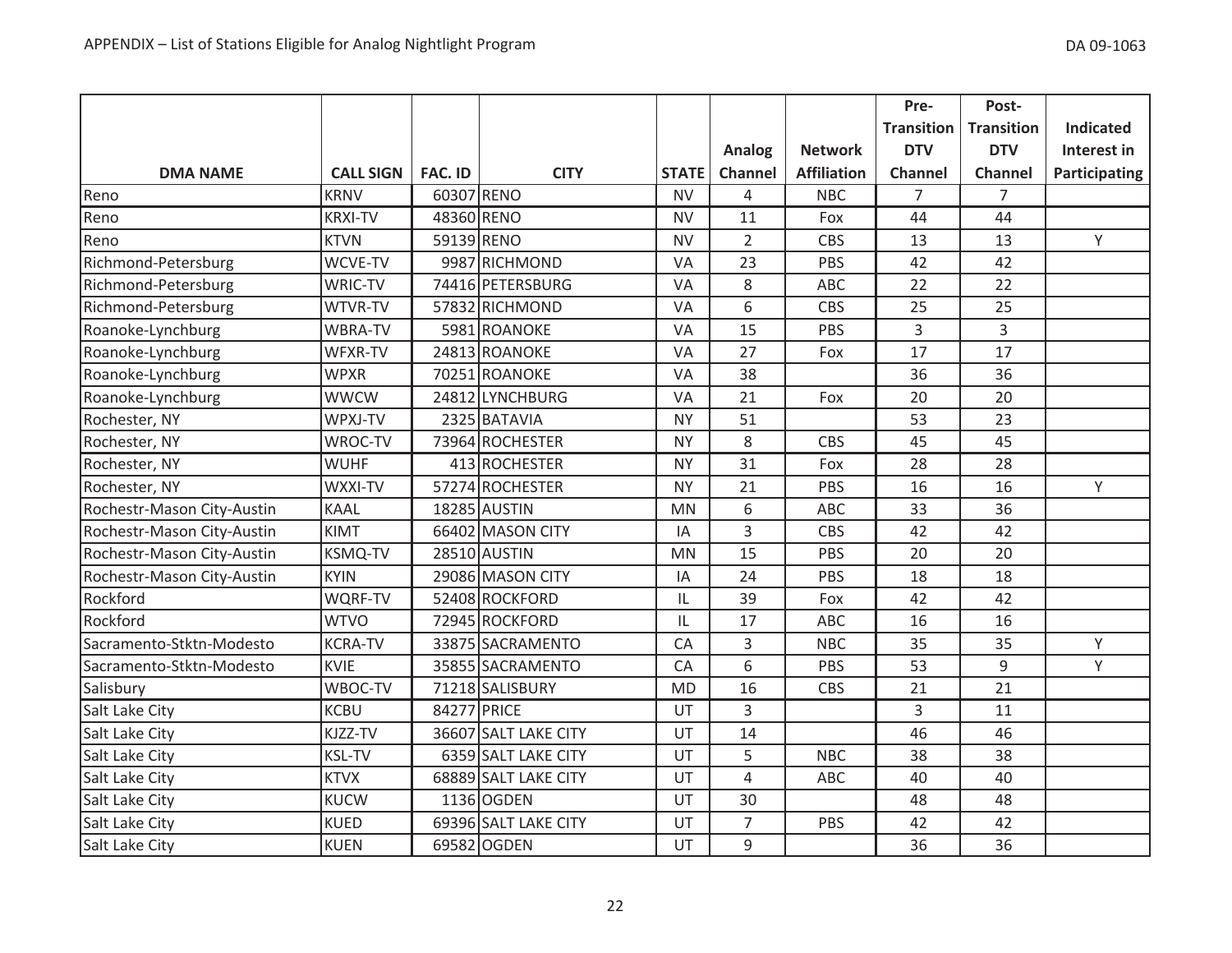|                            |                  |                |                      |              |                |                    | Pre-              | Post-             |                  |
|----------------------------|------------------|----------------|----------------------|--------------|----------------|--------------------|-------------------|-------------------|------------------|
|                            |                  |                |                      |              |                |                    | <b>Transition</b> | <b>Transition</b> | <b>Indicated</b> |
|                            |                  |                |                      |              | Analog         | <b>Network</b>     | <b>DTV</b>        | <b>DTV</b>        | Interest in      |
| <b>DMA NAME</b>            | <b>CALL SIGN</b> | <b>FAC. ID</b> | <b>CITY</b>          | <b>STATE</b> | Channel        | <b>Affiliation</b> | <b>Channel</b>    | Channel           | Participating    |
| Reno                       | <b>KRNV</b>      | 60307 RENO     |                      | <b>NV</b>    | 4              | <b>NBC</b>         | $\overline{7}$    | $\overline{7}$    |                  |
| Reno                       | <b>KRXI-TV</b>   | 48360 RENO     |                      | <b>NV</b>    | 11             | Fox                | 44                | 44                |                  |
| Reno                       | <b>KTVN</b>      | 59139 RENO     |                      | <b>NV</b>    | $\overline{2}$ | CBS                | 13                | 13                | Y                |
| Richmond-Petersburg        | WCVE-TV          |                | 9987 RICHMOND        | VA           | 23             | PBS                | 42                | 42                |                  |
| Richmond-Petersburg        | WRIC-TV          |                | 74416 PETERSBURG     | VA           | 8              | ABC                | 22                | 22                |                  |
| Richmond-Petersburg        | WTVR-TV          |                | 57832 RICHMOND       | VA           | 6              | <b>CBS</b>         | 25                | 25                |                  |
| Roanoke-Lynchburg          | WBRA-TV          |                | 5981 ROANOKE         | VA           | 15             | PBS                | $\overline{3}$    | 3                 |                  |
| Roanoke-Lynchburg          | WFXR-TV          |                | 24813 ROANOKE        | VA           | 27             | Fox                | 17                | 17                |                  |
| Roanoke-Lynchburg          | <b>WPXR</b>      |                | 70251 ROANOKE        | VA           | 38             |                    | 36                | 36                |                  |
| Roanoke-Lynchburg          | <b>WWCW</b>      |                | 24812 LYNCHBURG      | VA           | 21             | Fox                | 20                | 20                |                  |
| Rochester, NY              | WPXJ-TV          |                | 2325 BATAVIA         | <b>NY</b>    | 51             |                    | 53                | 23                |                  |
| Rochester, NY              | WROC-TV          |                | 73964 ROCHESTER      | <b>NY</b>    | 8              | CBS                | 45                | 45                |                  |
| Rochester, NY              | <b>WUHF</b>      |                | 413 ROCHESTER        | <b>NY</b>    | 31             | Fox                | 28                | 28                |                  |
| Rochester, NY              | WXXI-TV          |                | 57274 ROCHESTER      | <b>NY</b>    | 21             | PBS                | 16                | 16                | Y                |
| Rochestr-Mason City-Austin | <b>KAAL</b>      |                | 18285 AUSTIN         | <b>MN</b>    | 6              | <b>ABC</b>         | 33                | 36                |                  |
| Rochestr-Mason City-Austin | <b>KIMT</b>      |                | 66402 MASON CITY     | IA           | 3              | CBS                | 42                | 42                |                  |
| Rochestr-Mason City-Austin | <b>KSMQ-TV</b>   |                | 28510 AUSTIN         | <b>MN</b>    | 15             | PBS                | 20                | 20                |                  |
| Rochestr-Mason City-Austin | <b>KYIN</b>      |                | 29086 MASON CITY     | IA           | 24             | PBS                | 18                | 18                |                  |
| Rockford                   | WQRF-TV          |                | 52408 ROCKFORD       | IL           | 39             | Fox                | 42                | 42                |                  |
| Rockford                   | <b>WTVO</b>      |                | 72945 ROCKFORD       | IL           | 17             | ABC                | 16                | 16                |                  |
| Sacramento-Stktn-Modesto   | <b>KCRA-TV</b>   |                | 33875 SACRAMENTO     | CA           | 3              | <b>NBC</b>         | 35                | 35                | Y                |
| Sacramento-Stktn-Modesto   | <b>KVIE</b>      |                | 35855 SACRAMENTO     | CA           | 6              | PBS                | 53                | 9                 | Y                |
| Salisbury                  | WBOC-TV          |                | 71218 SALISBURY      | <b>MD</b>    | 16             | CBS                | 21                | 21                |                  |
| Salt Lake City             | <b>KCBU</b>      | 84277 PRICE    |                      | UT           | 3              |                    | $\overline{3}$    | 11                |                  |
| Salt Lake City             | KJZZ-TV          |                | 36607 SALT LAKE CITY | UT           | 14             |                    | 46                | 46                |                  |
| Salt Lake City             | <b>KSL-TV</b>    |                | 6359 SALT LAKE CITY  | UT           | 5              | <b>NBC</b>         | 38                | 38                |                  |
| Salt Lake City             | <b>KTVX</b>      |                | 68889 SALT LAKE CITY | UT           | $\overline{4}$ | <b>ABC</b>         | 40                | 40                |                  |
| Salt Lake City             | KUCW             |                | 1136 OGDEN           | UT           | 30             |                    | 48                | 48                |                  |
| Salt Lake City             | <b>KUED</b>      |                | 69396 SALT LAKE CITY | UT           | $\overline{7}$ | PBS                | 42                | 42                |                  |
| Salt Lake City             | <b>KUEN</b>      |                | 69582 OGDEN          | UT           | 9              |                    | 36                | 36                |                  |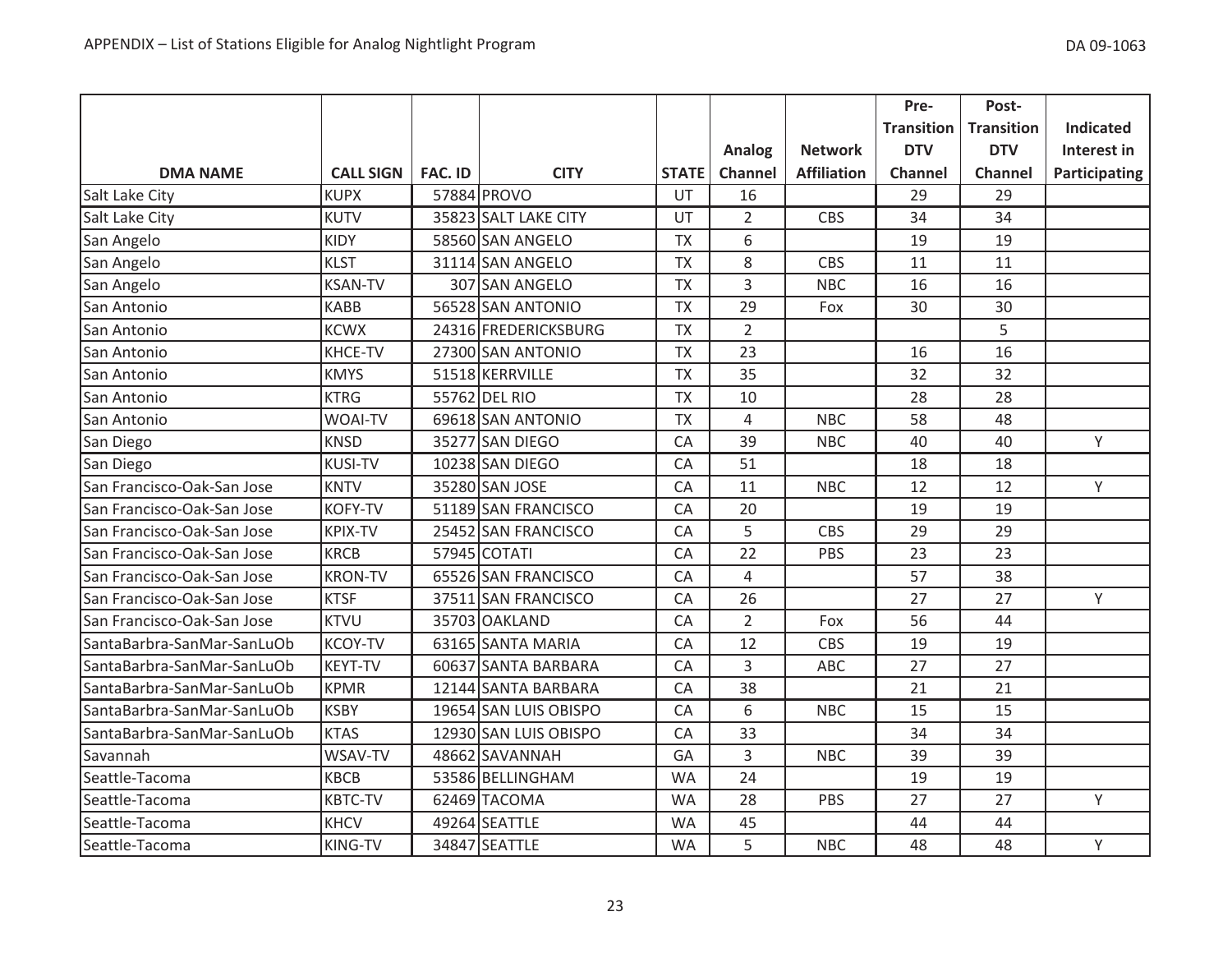|                            |                  |                |                       |              |                |                    | Pre-              | Post-             |                      |
|----------------------------|------------------|----------------|-----------------------|--------------|----------------|--------------------|-------------------|-------------------|----------------------|
|                            |                  |                |                       |              |                |                    | <b>Transition</b> | <b>Transition</b> | <b>Indicated</b>     |
|                            |                  |                |                       |              | Analog         | <b>Network</b>     | <b>DTV</b>        | <b>DTV</b>        | Interest in          |
| <b>DMA NAME</b>            | <b>CALL SIGN</b> | <b>FAC. ID</b> | <b>CITY</b>           | <b>STATE</b> | Channel        | <b>Affiliation</b> | <b>Channel</b>    | Channel           | <b>Participating</b> |
| Salt Lake City             | <b>KUPX</b>      |                | 57884 PROVO           | UT           | 16             |                    | 29                | 29                |                      |
| Salt Lake City             | <b>KUTV</b>      |                | 35823 SALT LAKE CITY  | UT           | $\overline{2}$ | CBS                | 34                | 34                |                      |
| San Angelo                 | <b>KIDY</b>      |                | 58560 SAN ANGELO      | <b>TX</b>    | 6              |                    | 19                | 19                |                      |
| San Angelo                 | <b>KLST</b>      |                | 31114 SAN ANGELO      | <b>TX</b>    | 8              | <b>CBS</b>         | 11                | 11                |                      |
| San Angelo                 | <b>KSAN-TV</b>   |                | 307 SAN ANGELO        | <b>TX</b>    | 3              | <b>NBC</b>         | 16                | 16                |                      |
| San Antonio                | <b>KABB</b>      |                | 56528 SAN ANTONIO     | <b>TX</b>    | 29             | Fox                | 30                | 30                |                      |
| San Antonio                | <b>KCWX</b>      |                | 24316 FREDERICKSBURG  | <b>TX</b>    | $\overline{2}$ |                    |                   | 5                 |                      |
| San Antonio                | KHCE-TV          |                | 27300 SAN ANTONIO     | <b>TX</b>    | 23             |                    | 16                | 16                |                      |
| San Antonio                | <b>KMYS</b>      |                | 51518 KERRVILLE       | <b>TX</b>    | 35             |                    | 32                | 32                |                      |
| San Antonio                | <b>KTRG</b>      |                | 55762 DEL RIO         | <b>TX</b>    | 10             |                    | 28                | 28                |                      |
| San Antonio                | <b>WOAI-TV</b>   |                | 69618 SAN ANTONIO     | <b>TX</b>    | 4              | <b>NBC</b>         | 58                | 48                |                      |
| San Diego                  | <b>KNSD</b>      |                | 35277 SAN DIEGO       | CA           | 39             | <b>NBC</b>         | 40                | 40                | Y                    |
| San Diego                  | <b>KUSI-TV</b>   |                | 10238 SAN DIEGO       | CA           | 51             |                    | 18                | 18                |                      |
| San Francisco-Oak-San Jose | <b>KNTV</b>      |                | 35280 SAN JOSE        | CA           | 11             | <b>NBC</b>         | 12                | 12                | Y                    |
| San Francisco-Oak-San Jose | <b>KOFY-TV</b>   |                | 51189 SAN FRANCISCO   | CA           | 20             |                    | 19                | 19                |                      |
| San Francisco-Oak-San Jose | <b>KPIX-TV</b>   |                | 25452 SAN FRANCISCO   | CA           | 5              | CBS                | 29                | 29                |                      |
| San Francisco-Oak-San Jose | <b>KRCB</b>      |                | 57945 COTATI          | CA           | 22             | PBS                | 23                | 23                |                      |
| San Francisco-Oak-San Jose | <b>KRON-TV</b>   |                | 65526 SAN FRANCISCO   | CA           | $\overline{4}$ |                    | 57                | 38                |                      |
| San Francisco-Oak-San Jose | <b>KTSF</b>      |                | 37511 SAN FRANCISCO   | CA           | 26             |                    | 27                | 27                | Y                    |
| San Francisco-Oak-San Jose | <b>KTVU</b>      |                | 35703 OAKLAND         | CA           | $\overline{2}$ | Fox                | 56                | 44                |                      |
| SantaBarbra-SanMar-SanLuOb | <b>KCOY-TV</b>   |                | 63165 SANTA MARIA     | CA           | 12             | <b>CBS</b>         | 19                | 19                |                      |
| SantaBarbra-SanMar-SanLuOb | <b>KEYT-TV</b>   |                | 60637 SANTA BARBARA   | CA           | 3              | <b>ABC</b>         | 27                | 27                |                      |
| SantaBarbra-SanMar-SanLuOb | <b>KPMR</b>      |                | 12144 SANTA BARBARA   | CA           | 38             |                    | 21                | 21                |                      |
| SantaBarbra-SanMar-SanLuOb | <b>KSBY</b>      |                | 19654 SAN LUIS OBISPO | CA           | 6              | <b>NBC</b>         | 15                | 15                |                      |
| SantaBarbra-SanMar-SanLuOb | <b>KTAS</b>      |                | 12930 SAN LUIS OBISPO | CA           | 33             |                    | 34                | 34                |                      |
| Savannah                   | WSAV-TV          |                | 48662 SAVANNAH        | GA           | 3              | <b>NBC</b>         | 39                | 39                |                      |
| Seattle-Tacoma             | <b>KBCB</b>      |                | 53586 BELLINGHAM      | <b>WA</b>    | 24             |                    | 19                | 19                |                      |
| Seattle-Tacoma             | <b>KBTC-TV</b>   |                | 62469 TACOMA          | <b>WA</b>    | 28             | PBS                | 27                | 27                | Y                    |
| Seattle-Tacoma             | <b>KHCV</b>      |                | 49264 SEATTLE         | <b>WA</b>    | 45             |                    | 44                | 44                |                      |
| Seattle-Tacoma             | KING-TV          |                | 34847 SEATTLE         | <b>WA</b>    | 5              | <b>NBC</b>         | 48                | 48                | Y                    |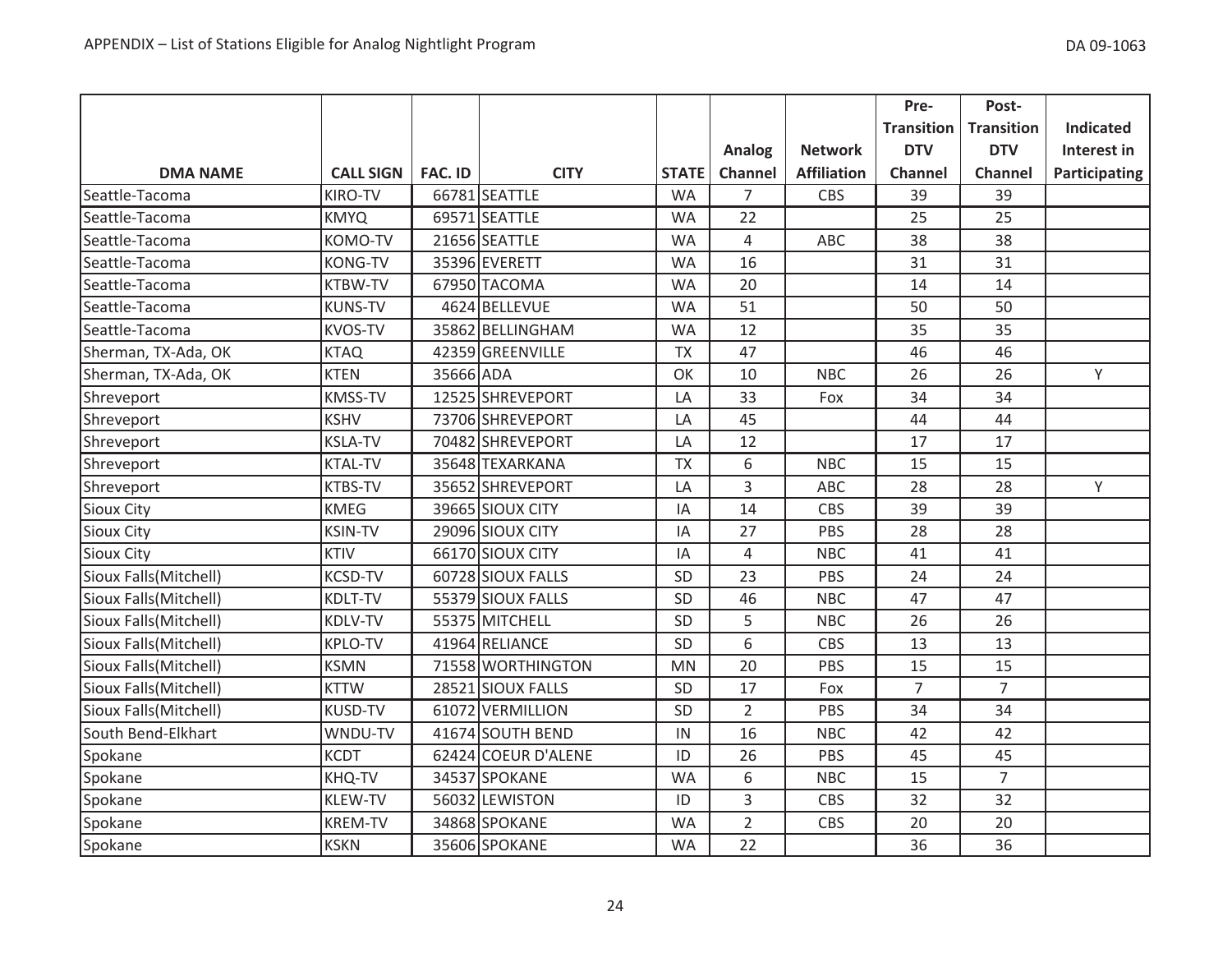|                       |                  |                |                     |              |                |                    | Pre-              | Post-             |                      |
|-----------------------|------------------|----------------|---------------------|--------------|----------------|--------------------|-------------------|-------------------|----------------------|
|                       |                  |                |                     |              |                |                    | <b>Transition</b> | <b>Transition</b> | <b>Indicated</b>     |
|                       |                  |                |                     |              | Analog         | <b>Network</b>     | <b>DTV</b>        | <b>DTV</b>        | Interest in          |
| <b>DMA NAME</b>       | <b>CALL SIGN</b> | <b>FAC. ID</b> | <b>CITY</b>         | <b>STATE</b> | Channel        | <b>Affiliation</b> | <b>Channel</b>    | Channel           | <b>Participating</b> |
| Seattle-Tacoma        | <b>KIRO-TV</b>   |                | 66781 SEATTLE       | <b>WA</b>    | 7              | <b>CBS</b>         | 39                | 39                |                      |
| Seattle-Tacoma        | <b>KMYQ</b>      |                | 69571 SEATTLE       | <b>WA</b>    | 22             |                    | 25                | 25                |                      |
| Seattle-Tacoma        | <b>KOMO-TV</b>   |                | 21656 SEATTLE       | <b>WA</b>    | 4              | <b>ABC</b>         | 38                | 38                |                      |
| Seattle-Tacoma        | <b>KONG-TV</b>   |                | 35396 EVERETT       | <b>WA</b>    | 16             |                    | 31                | 31                |                      |
| Seattle-Tacoma        | <b>KTBW-TV</b>   |                | 67950 TACOMA        | <b>WA</b>    | 20             |                    | 14                | 14                |                      |
| Seattle-Tacoma        | <b>KUNS-TV</b>   |                | 4624 BELLEVUE       | <b>WA</b>    | 51             |                    | 50                | 50                |                      |
| Seattle-Tacoma        | <b>KVOS-TV</b>   |                | 35862 BELLINGHAM    | <b>WA</b>    | 12             |                    | 35                | 35                |                      |
| Sherman, TX-Ada, OK   | <b>KTAQ</b>      |                | 42359 GREENVILLE    | <b>TX</b>    | 47             |                    | 46                | 46                |                      |
| Sherman, TX-Ada, OK   | <b>KTEN</b>      | 35666 ADA      |                     | OK           | 10             | <b>NBC</b>         | 26                | 26                | Y                    |
| Shreveport            | <b>KMSS-TV</b>   |                | 12525 SHREVEPORT    | LA           | 33             | Fox                | 34                | 34                |                      |
| Shreveport            | <b>KSHV</b>      |                | 73706 SHREVEPORT    | LA           | 45             |                    | 44                | 44                |                      |
| Shreveport            | <b>KSLA-TV</b>   |                | 70482 SHREVEPORT    | LA           | 12             |                    | 17                | 17                |                      |
| Shreveport            | <b>KTAL-TV</b>   |                | 35648 TEXARKANA     | <b>TX</b>    | 6              | <b>NBC</b>         | 15                | 15                |                      |
| Shreveport            | <b>KTBS-TV</b>   |                | 35652 SHREVEPORT    | LA           | 3              | ABC                | 28                | 28                | Y                    |
| <b>Sioux City</b>     | <b>KMEG</b>      |                | 39665 SIOUX CITY    | IA           | 14             | <b>CBS</b>         | 39                | 39                |                      |
| <b>Sioux City</b>     | <b>KSIN-TV</b>   |                | 29096 SIOUX CITY    | IA           | 27             | PBS                | 28                | 28                |                      |
| <b>Sioux City</b>     | <b>KTIV</b>      |                | 66170 SIOUX CITY    | IA           | 4              | <b>NBC</b>         | 41                | 41                |                      |
| Sioux Falls(Mitchell) | <b>KCSD-TV</b>   |                | 60728 SIOUX FALLS   | SD           | 23             | <b>PBS</b>         | 24                | 24                |                      |
| Sioux Falls(Mitchell) | <b>KDLT-TV</b>   |                | 55379 SIOUX FALLS   | SD           | 46             | <b>NBC</b>         | 47                | 47                |                      |
| Sioux Falls(Mitchell) | <b>KDLV-TV</b>   |                | 55375 MITCHELL      | SD           | 5              | <b>NBC</b>         | 26                | 26                |                      |
| Sioux Falls(Mitchell) | <b>KPLO-TV</b>   |                | 41964 RELIANCE      | <b>SD</b>    | 6              | <b>CBS</b>         | 13                | 13                |                      |
| Sioux Falls(Mitchell) | <b>KSMN</b>      |                | 71558 WORTHINGTON   | <b>MN</b>    | 20             | PBS                | 15                | 15                |                      |
| Sioux Falls(Mitchell) | <b>KTTW</b>      |                | 28521 SIOUX FALLS   | SD           | 17             | Fox                | $\overline{7}$    | $\overline{7}$    |                      |
| Sioux Falls(Mitchell) | <b>KUSD-TV</b>   |                | 61072 VERMILLION    | SD           | $\overline{2}$ | PBS                | 34                | 34                |                      |
| South Bend-Elkhart    | WNDU-TV          |                | 41674 SOUTH BEND    | IN           | 16             | <b>NBC</b>         | 42                | 42                |                      |
| Spokane               | <b>KCDT</b>      |                | 62424 COEUR D'ALENE | ID           | 26             | PBS                | 45                | 45                |                      |
| Spokane               | KHQ-TV           |                | 34537 SPOKANE       | <b>WA</b>    | 6              | <b>NBC</b>         | 15                | $\overline{7}$    |                      |
| Spokane               | <b>KLEW-TV</b>   |                | 56032 LEWISTON      | ID           | 3              | CBS                | 32                | 32                |                      |
| Spokane               | <b>KREM-TV</b>   |                | 34868 SPOKANE       | <b>WA</b>    | $\overline{2}$ | <b>CBS</b>         | 20                | 20                |                      |
| Spokane               | <b>KSKN</b>      |                | 35606 SPOKANE       | <b>WA</b>    | 22             |                    | 36                | 36                |                      |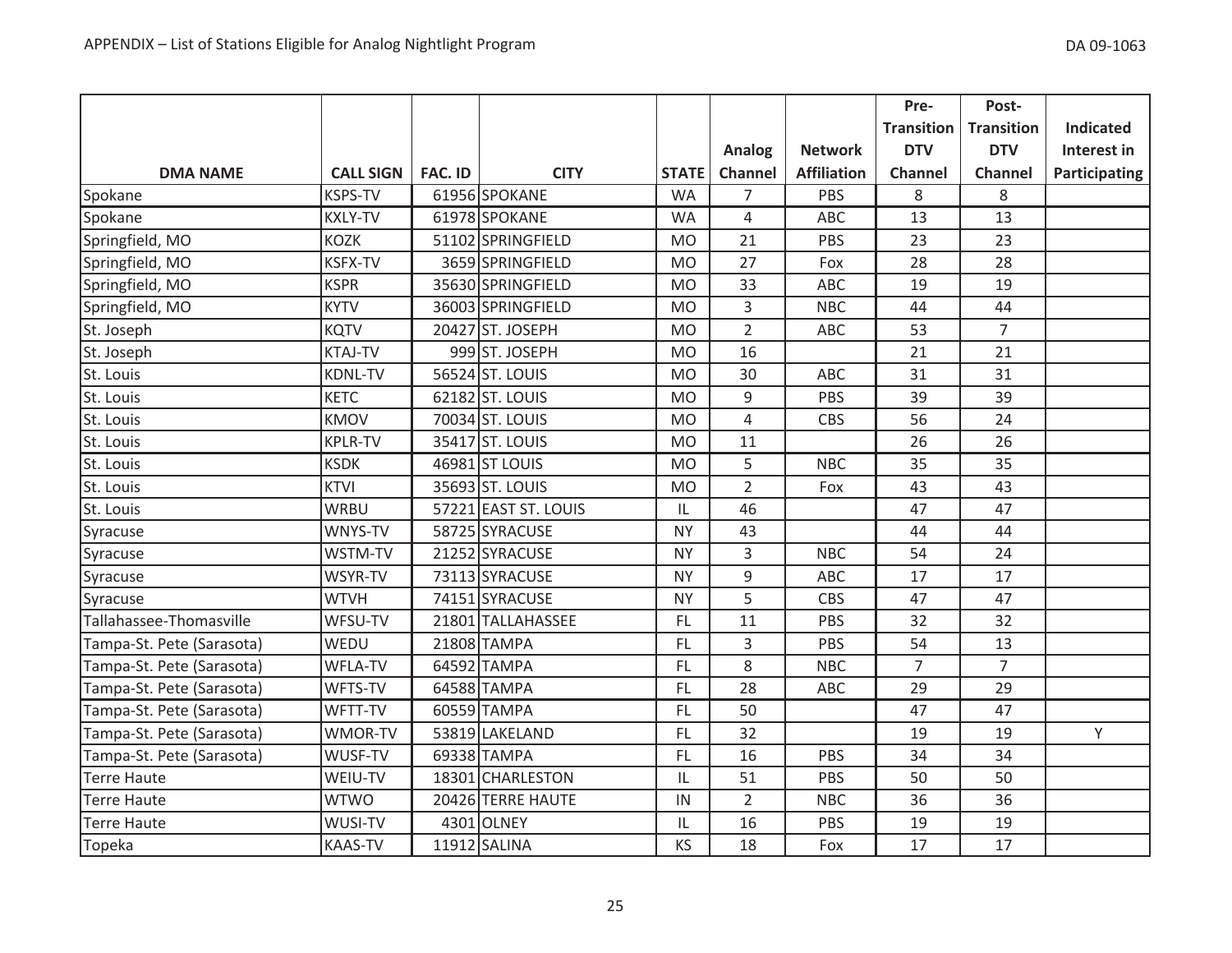|                           |                  |         |                      |              |                |                    | Pre-              | Post-             |                      |
|---------------------------|------------------|---------|----------------------|--------------|----------------|--------------------|-------------------|-------------------|----------------------|
|                           |                  |         |                      |              |                |                    | <b>Transition</b> | <b>Transition</b> | <b>Indicated</b>     |
|                           |                  |         |                      |              | Analog         | <b>Network</b>     | <b>DTV</b>        | <b>DTV</b>        | Interest in          |
| <b>DMA NAME</b>           | <b>CALL SIGN</b> | FAC. ID | <b>CITY</b>          | <b>STATE</b> | Channel        | <b>Affiliation</b> | <b>Channel</b>    | Channel           | <b>Participating</b> |
| Spokane                   | <b>KSPS-TV</b>   |         | 61956 SPOKANE        | <b>WA</b>    | 7              | PBS                | 8                 | 8                 |                      |
| Spokane                   | <b>KXLY-TV</b>   |         | 61978 SPOKANE        | <b>WA</b>    | $\overline{4}$ | ABC                | 13                | 13                |                      |
| Springfield, MO           | <b>KOZK</b>      |         | 51102 SPRINGFIELD    | <b>MO</b>    | 21             | PBS                | 23                | 23                |                      |
| Springfield, MO           | <b>KSFX-TV</b>   |         | 3659 SPRINGFIELD     | <b>MO</b>    | 27             | Fox                | 28                | 28                |                      |
| Springfield, MO           | <b>KSPR</b>      |         | 35630 SPRINGFIELD    | <b>MO</b>    | 33             | ABC                | 19                | 19                |                      |
| Springfield, MO           | <b>KYTV</b>      |         | 36003 SPRINGFIELD    | <b>MO</b>    | 3              | <b>NBC</b>         | 44                | 44                |                      |
| St. Joseph                | <b>KQTV</b>      |         | 20427 ST. JOSEPH     | <b>MO</b>    | $\overline{2}$ | ABC                | 53                | $\overline{7}$    |                      |
| St. Joseph                | <b>KTAJ-TV</b>   |         | 999 ST. JOSEPH       | <b>MO</b>    | 16             |                    | 21                | 21                |                      |
| St. Louis                 | <b>KDNL-TV</b>   |         | 56524 ST. LOUIS      | <b>MO</b>    | 30             | ABC                | 31                | 31                |                      |
| St. Louis                 | <b>KETC</b>      |         | 62182 ST. LOUIS      | <b>MO</b>    | 9              | PBS                | 39                | 39                |                      |
| St. Louis                 | <b>KMOV</b>      |         | 70034 ST. LOUIS      | <b>MO</b>    | 4              | <b>CBS</b>         | 56                | 24                |                      |
| St. Louis                 | <b>KPLR-TV</b>   |         | 35417 ST. LOUIS      | <b>MO</b>    | 11             |                    | 26                | 26                |                      |
| St. Louis                 | <b>KSDK</b>      |         | 46981 ST LOUIS       | <b>MO</b>    | 5              | <b>NBC</b>         | 35                | 35                |                      |
| St. Louis                 | <b>KTVI</b>      |         | 35693 ST. LOUIS      | <b>MO</b>    | $\overline{2}$ | Fox                | 43                | 43                |                      |
| St. Louis                 | <b>WRBU</b>      |         | 57221 EAST ST. LOUIS | IL           | 46             |                    | 47                | 47                |                      |
| Syracuse                  | WNYS-TV          |         | 58725 SYRACUSE       | <b>NY</b>    | 43             |                    | 44                | 44                |                      |
| Syracuse                  | WSTM-TV          |         | 21252 SYRACUSE       | <b>NY</b>    | 3              | <b>NBC</b>         | 54                | 24                |                      |
| Syracuse                  | WSYR-TV          |         | 73113 SYRACUSE       | <b>NY</b>    | 9              | ABC                | 17                | 17                |                      |
| Syracuse                  | <b>WTVH</b>      |         | 74151 SYRACUSE       | <b>NY</b>    | 5              | CBS                | 47                | 47                |                      |
| Tallahassee-Thomasville   | WFSU-TV          |         | 21801 TALLAHASSEE    | <b>FL</b>    | 11             | PBS                | 32                | 32                |                      |
| Tampa-St. Pete (Sarasota) | WEDU             |         | 21808 TAMPA          | <b>FL</b>    | 3              | PBS                | 54                | 13                |                      |
| Tampa-St. Pete (Sarasota) | WFLA-TV          |         | 64592 TAMPA          | FL           | 8              | <b>NBC</b>         | $\overline{7}$    | $\overline{7}$    |                      |
| Tampa-St. Pete (Sarasota) | WFTS-TV          |         | 64588 TAMPA          | FL.          | 28             | <b>ABC</b>         | 29                | 29                |                      |
| Tampa-St. Pete (Sarasota) | WFTT-TV          |         | 60559 TAMPA          | FL           | 50             |                    | 47                | 47                |                      |
| Tampa-St. Pete (Sarasota) | WMOR-TV          |         | 53819 LAKELAND       | FL           | 32             |                    | 19                | 19                | Y                    |
| Tampa-St. Pete (Sarasota) | WUSF-TV          |         | 69338 TAMPA          | FL.          | 16             | PBS                | 34                | 34                |                      |
| Terre Haute               | WEIU-TV          |         | 18301 CHARLESTON     | IL           | 51             | PBS                | 50                | 50                |                      |
| Terre Haute               | <b>WTWO</b>      |         | 20426 TERRE HAUTE    | IN           | $\overline{2}$ | <b>NBC</b>         | 36                | 36                |                      |
| Terre Haute               | WUSI-TV          |         | 4301 OLNEY           | IL           | 16             | PBS                | 19                | 19                |                      |
| Topeka                    | <b>KAAS-TV</b>   |         | 11912 SALINA         | KS           | 18             | Fox                | 17                | 17                |                      |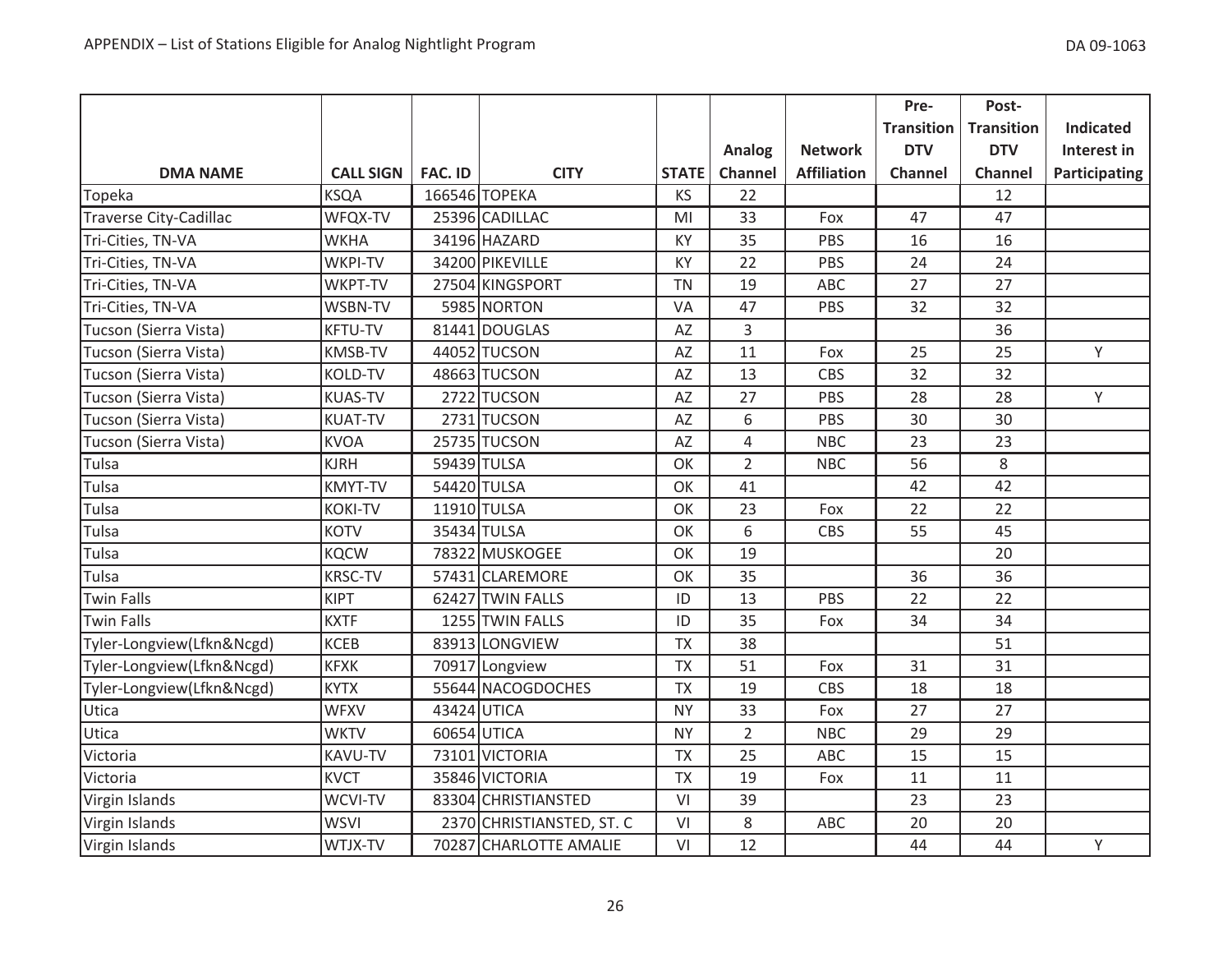|                           |                  |                |                           |              |                |                    | Pre-              | Post-             |                  |
|---------------------------|------------------|----------------|---------------------------|--------------|----------------|--------------------|-------------------|-------------------|------------------|
|                           |                  |                |                           |              |                |                    | <b>Transition</b> | <b>Transition</b> | <b>Indicated</b> |
|                           |                  |                |                           |              | Analog         | <b>Network</b>     | <b>DTV</b>        | <b>DTV</b>        | Interest in      |
| <b>DMA NAME</b>           | <b>CALL SIGN</b> | <b>FAC. ID</b> | <b>CITY</b>               | <b>STATE</b> | Channel        | <b>Affiliation</b> | <b>Channel</b>    | Channel           | Participating    |
| Topeka                    | <b>KSQA</b>      |                | 166546 TOPEKA             | <b>KS</b>    | 22             |                    |                   | 12                |                  |
| Traverse City-Cadillac    | WFQX-TV          |                | 25396 CADILLAC            | MI           | 33             | Fox                | 47                | 47                |                  |
| Tri-Cities, TN-VA         | <b>WKHA</b>      |                | 34196 HAZARD              | KY           | 35             | PBS                | 16                | 16                |                  |
| Tri-Cities, TN-VA         | WKPI-TV          |                | 34200 PIKEVILLE           | KY           | 22             | PBS                | 24                | 24                |                  |
| Tri-Cities, TN-VA         | WKPT-TV          |                | 27504 KINGSPORT           | <b>TN</b>    | 19             | <b>ABC</b>         | 27                | 27                |                  |
| Tri-Cities, TN-VA         | WSBN-TV          |                | 5985 NORTON               | VA           | 47             | PBS                | 32                | 32                |                  |
| Tucson (Sierra Vista)     | <b>KFTU-TV</b>   |                | 81441 DOUGLAS             | AZ           | $\overline{3}$ |                    |                   | 36                |                  |
| Tucson (Sierra Vista)     | <b>KMSB-TV</b>   |                | 44052 TUCSON              | AZ           | 11             | Fox                | 25                | 25                | Y                |
| Tucson (Sierra Vista)     | <b>KOLD-TV</b>   |                | 48663 TUCSON              | AZ           | 13             | CBS                | 32                | 32                |                  |
| Tucson (Sierra Vista)     | <b>KUAS-TV</b>   |                | 2722 TUCSON               | AZ           | 27             | PBS                | 28                | 28                | Y                |
| Tucson (Sierra Vista)     | <b>KUAT-TV</b>   |                | 2731 TUCSON               | AZ           | 6              | PBS                | 30                | 30                |                  |
| Tucson (Sierra Vista)     | <b>KVOA</b>      |                | 25735 TUCSON              | AZ           | $\overline{4}$ | <b>NBC</b>         | 23                | 23                |                  |
| Tulsa                     | <b>KJRH</b>      |                | 59439 TULSA               | OK           | $\overline{2}$ | <b>NBC</b>         | 56                | 8                 |                  |
| Tulsa                     | <b>KMYT-TV</b>   |                | 54420 TULSA               | OK           | 41             |                    | 42                | 42                |                  |
| Tulsa                     | <b>KOKI-TV</b>   |                | 11910 TULSA               | OK           | 23             | Fox                | 22                | 22                |                  |
| Tulsa                     | <b>KOTV</b>      |                | 35434 TULSA               | OK           | 6              | CBS                | 55                | 45                |                  |
| Tulsa                     | <b>KQCW</b>      |                | 78322 MUSKOGEE            | OK           | 19             |                    |                   | 20                |                  |
| Tulsa                     | <b>KRSC-TV</b>   |                | 57431 CLAREMORE           | OK           | 35             |                    | 36                | 36                |                  |
| Twin Falls                | <b>KIPT</b>      |                | 62427 TWIN FALLS          | ID           | 13             | PBS                | 22                | 22                |                  |
| <b>Twin Falls</b>         | <b>KXTF</b>      |                | 1255 TWIN FALLS           | ID           | 35             | Fox                | 34                | 34                |                  |
| Tyler-Longview(Lfkn&Ncgd) | <b>KCEB</b>      |                | 83913 LONGVIEW            | <b>TX</b>    | 38             |                    |                   | 51                |                  |
| Tyler-Longview(Lfkn&Ncgd) | <b>KFXK</b>      |                | 70917 Longview            | <b>TX</b>    | 51             | Fox                | 31                | 31                |                  |
| Tyler-Longview(Lfkn&Ncgd) | <b>KYTX</b>      |                | 55644 NACOGDOCHES         | <b>TX</b>    | 19             | <b>CBS</b>         | 18                | 18                |                  |
| Utica                     | <b>WFXV</b>      |                | 43424 UTICA               | <b>NY</b>    | 33             | Fox                | 27                | 27                |                  |
| Utica                     | <b>WKTV</b>      |                | 60654 UTICA               | <b>NY</b>    | $\overline{2}$ | <b>NBC</b>         | 29                | 29                |                  |
| Victoria                  | KAVU-TV          |                | 73101 VICTORIA            | <b>TX</b>    | 25             | ABC                | 15                | 15                |                  |
| Victoria                  | <b>KVCT</b>      |                | 35846 VICTORIA            | <b>TX</b>    | 19             | Fox                | 11                | 11                |                  |
| Virgin Islands            | WCVI-TV          |                | 83304 CHRISTIANSTED       | VI           | 39             |                    | 23                | 23                |                  |
| Virgin Islands            | <b>WSVI</b>      |                | 2370 CHRISTIANSTED, ST. C | VI           | 8              | ABC                | 20                | 20                |                  |
| Virgin Islands            | WTJX-TV          |                | 70287 CHARLOTTE AMALIE    | VI           | 12             |                    | 44                | 44                | Υ                |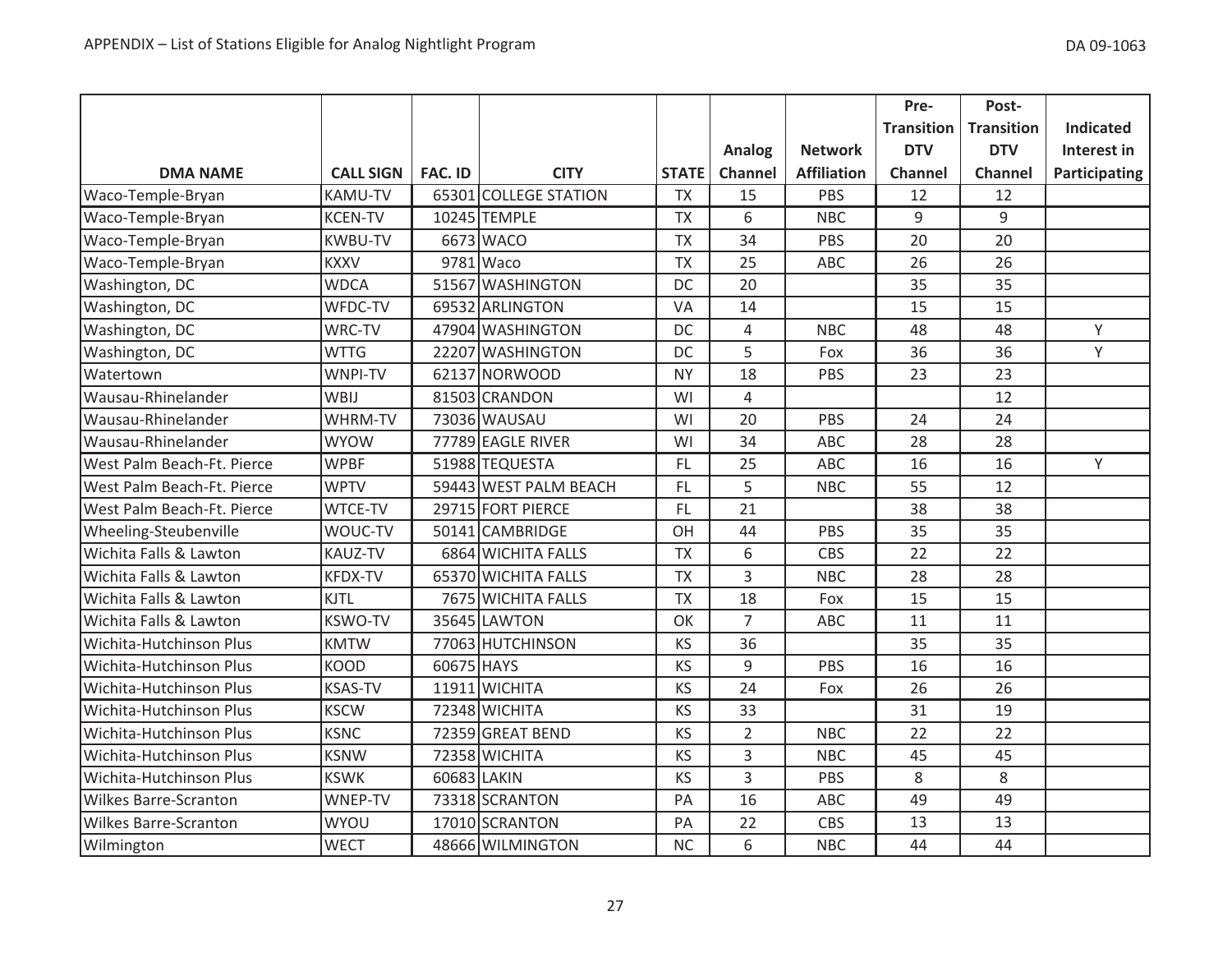|                              |                  |                |                       |              |                |                    | Pre-              | Post-             |                  |
|------------------------------|------------------|----------------|-----------------------|--------------|----------------|--------------------|-------------------|-------------------|------------------|
|                              |                  |                |                       |              |                |                    | <b>Transition</b> | <b>Transition</b> | <b>Indicated</b> |
|                              |                  |                |                       |              | Analog         | <b>Network</b>     | <b>DTV</b>        | <b>DTV</b>        | Interest in      |
| <b>DMA NAME</b>              | <b>CALL SIGN</b> | <b>FAC. ID</b> | <b>CITY</b>           | <b>STATE</b> | Channel        | <b>Affiliation</b> | Channel           | <b>Channel</b>    | Participating    |
| Waco-Temple-Bryan            | <b>KAMU-TV</b>   |                | 65301 COLLEGE STATION | <b>TX</b>    | 15             | PBS                | 12                | 12                |                  |
| Waco-Temple-Bryan            | <b>KCEN-TV</b>   |                | 10245 TEMPLE          | <b>TX</b>    | 6              | <b>NBC</b>         | $\boldsymbol{9}$  | $\boldsymbol{9}$  |                  |
| Waco-Temple-Bryan            | <b>KWBU-TV</b>   |                | 6673 WACO             | <b>TX</b>    | 34             | PBS                | 20                | 20                |                  |
| Waco-Temple-Bryan            | <b>KXXV</b>      |                | 9781 Waco             | <b>TX</b>    | 25             | ABC                | 26                | 26                |                  |
| Washington, DC               | <b>WDCA</b>      |                | 51567 WASHINGTON      | DC           | 20             |                    | 35                | 35                |                  |
| Washington, DC               | WFDC-TV          |                | 69532 ARLINGTON       | VA           | 14             |                    | 15                | 15                |                  |
| Washington, DC               | WRC-TV           |                | 47904 WASHINGTON      | DC           | 4              | <b>NBC</b>         | 48                | 48                | Y                |
| Washington, DC               | <b>WTTG</b>      |                | 22207 WASHINGTON      | DC           | 5              | Fox                | 36                | 36                | Y                |
| Watertown                    | WNPI-TV          |                | 62137 NORWOOD         | <b>NY</b>    | 18             | PBS                | 23                | 23                |                  |
| Wausau-Rhinelander           | WBIJ             |                | 81503 CRANDON         | WI           | 4              |                    |                   | 12                |                  |
| Wausau-Rhinelander           | WHRM-TV          |                | 73036 WAUSAU          | WI           | 20             | PBS                | 24                | 24                |                  |
| Wausau-Rhinelander           | <b>WYOW</b>      |                | 77789 EAGLE RIVER     | WI           | 34             | ABC                | 28                | 28                |                  |
| West Palm Beach-Ft. Pierce   | <b>WPBF</b>      |                | 51988 TEQUESTA        | FL.          | 25             | ABC                | 16                | 16                | Y                |
| West Palm Beach-Ft. Pierce   | <b>WPTV</b>      |                | 59443 WEST PALM BEACH | FL.          | 5              | <b>NBC</b>         | 55                | 12                |                  |
| West Palm Beach-Ft. Pierce   | <b>WTCE-TV</b>   |                | 29715 FORT PIERCE     | FL.          | 21             |                    | 38                | 38                |                  |
| Wheeling-Steubenville        | WOUC-TV          |                | 50141 CAMBRIDGE       | OH           | 44             | PBS                | 35                | 35                |                  |
| Wichita Falls & Lawton       | <b>KAUZ-TV</b>   |                | 6864 WICHITA FALLS    | <b>TX</b>    | 6              | CBS                | 22                | 22                |                  |
| Wichita Falls & Lawton       | <b>KFDX-TV</b>   |                | 65370 WICHITA FALLS   | <b>TX</b>    | 3              | <b>NBC</b>         | 28                | 28                |                  |
| Wichita Falls & Lawton       | <b>KJTL</b>      |                | 7675 WICHITA FALLS    | <b>TX</b>    | 18             | Fox                | 15                | 15                |                  |
| Wichita Falls & Lawton       | <b>KSWO-TV</b>   |                | 35645 LAWTON          | OK           | $\overline{7}$ | ABC                | 11                | 11                |                  |
| Wichita-Hutchinson Plus      | <b>KMTW</b>      |                | 77063 HUTCHINSON      | KS           | 36             |                    | 35                | 35                |                  |
| Wichita-Hutchinson Plus      | <b>KOOD</b>      | 60675 HAYS     |                       | KS           | 9              | PBS                | 16                | 16                |                  |
| Wichita-Hutchinson Plus      | <b>KSAS-TV</b>   |                | 11911 WICHITA         | KS           | 24             | Fox                | 26                | 26                |                  |
| Wichita-Hutchinson Plus      | <b>KSCW</b>      |                | 72348 WICHITA         | <b>KS</b>    | 33             |                    | 31                | 19                |                  |
| Wichita-Hutchinson Plus      | <b>KSNC</b>      |                | 72359 GREAT BEND      | KS           | $\overline{2}$ | <b>NBC</b>         | 22                | 22                |                  |
| Wichita-Hutchinson Plus      | <b>KSNW</b>      |                | 72358 WICHITA         | <b>KS</b>    | 3              | <b>NBC</b>         | 45                | 45                |                  |
| Wichita-Hutchinson Plus      | <b>KSWK</b>      | 60683 LAKIN    |                       | <b>KS</b>    | $\overline{3}$ | PBS                | 8                 | 8                 |                  |
| <b>Wilkes Barre-Scranton</b> | WNEP-TV          |                | 73318 SCRANTON        | PA           | 16             | ABC                | 49                | 49                |                  |
| <b>Wilkes Barre-Scranton</b> | WYOU             |                | 17010 SCRANTON        | PA           | 22             | <b>CBS</b>         | 13                | 13                |                  |
| Wilmington                   | <b>WECT</b>      |                | 48666 WILMINGTON      | <b>NC</b>    | 6              | <b>NBC</b>         | 44                | 44                |                  |